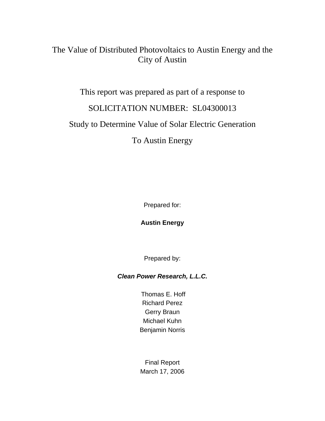## The Value of Distributed Photovoltaics to Austin Energy and the City of Austin

This report was prepared as part of a response to SOLICITATION NUMBER: SL04300013 Study to Determine Value of Solar Electric Generation To Austin Energy

Prepared for:

**Austin Energy** 

Prepared by:

*Clean Power Research, L.L.C.* 

 Thomas E. Hoff Richard Perez Gerry Braun Michael Kuhn Benjamin Norris

Final Report March 17, 2006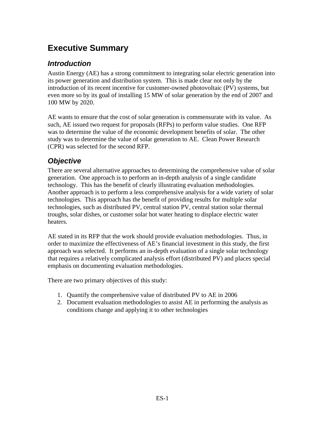# **Executive Summary**

## *Introduction*

Austin Energy (AE) has a strong commitment to integrating solar electric generation into its power generation and distribution system. This is made clear not only by the introduction of its recent incentive for customer-owned photovoltaic (PV) systems, but even more so by its goal of installing 15 MW of solar generation by the end of 2007 and 100 MW by 2020.

AE wants to ensure that the cost of solar generation is commensurate with its value. As such, AE issued two request for proposals (RFPs) to perform value studies. One RFP was to determine the value of the economic development benefits of solar. The other study was to determine the value of solar generation to AE. Clean Power Research (CPR) was selected for the second RFP.

## *Objective*

There are several alternative approaches to determining the comprehensive value of solar generation. One approach is to perform an in-depth analysis of a single candidate technology. This has the benefit of clearly illustrating evaluation methodologies. Another approach is to perform a less comprehensive analysis for a wide variety of solar technologies. This approach has the benefit of providing results for multiple solar technologies, such as distributed PV, central station PV, central station solar thermal troughs, solar dishes, or customer solar hot water heating to displace electric water heaters.

AE stated in its RFP that the work should provide evaluation methodologies. Thus, in order to maximize the effectiveness of AE's financial investment in this study, the first approach was selected. It performs an in-depth evaluation of a single solar technology that requires a relatively complicated analysis effort (distributed PV) and places special emphasis on documenting evaluation methodologies.

There are two primary objectives of this study:

- 1. Quantify the comprehensive value of distributed PV to AE in 2006
- 2. Document evaluation methodologies to assist AE in performing the analysis as conditions change and applying it to other technologies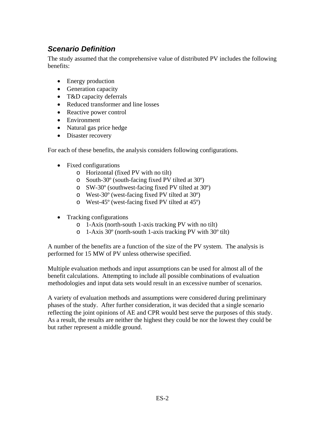## *Scenario Definition*

The study assumed that the comprehensive value of distributed PV includes the following benefits:

- Energy production
- Generation capacity
- T&D capacity deferrals
- Reduced transformer and line losses
- Reactive power control
- Environment
- Natural gas price hedge
- Disaster recovery

For each of these benefits, the analysis considers following configurations.

- Fixed configurations
	- o Horizontal (fixed PV with no tilt)
	- o South-30º (south-facing fixed PV tilted at 30º)
	- o SW-30º (southwest-facing fixed PV tilted at 30º)
	- o West-30º (west-facing fixed PV tilted at 30º)
	- o West-45º (west-facing fixed PV tilted at 45º)
- Tracking configurations
	- o 1-Axis (north-south 1-axis tracking PV with no tilt)
	- o 1-Axis 30º (north-south 1-axis tracking PV with 30º tilt)

A number of the benefits are a function of the size of the PV system. The analysis is performed for 15 MW of PV unless otherwise specified.

Multiple evaluation methods and input assumptions can be used for almost all of the benefit calculations. Attempting to include all possible combinations of evaluation methodologies and input data sets would result in an excessive number of scenarios.

A variety of evaluation methods and assumptions were considered during preliminary phases of the study. After further consideration, it was decided that a single scenario reflecting the joint opinions of AE and CPR would best serve the purposes of this study. As a result, the results are neither the highest they could be nor the lowest they could be but rather represent a middle ground.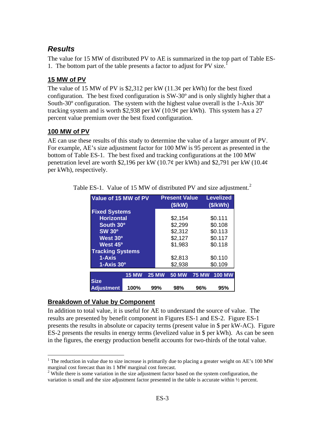## *Results*

The value for 15 MW of distributed PV to AE is summarized in the top part of Table ES-1. The bottom part of the table presents a factor to adjust for PV size.[1](#page-3-0)

### **15 MW of PV**

The value of 15 MW of PV is \$2,312 per kW  $(11.3¢$  per kWh) for the best fixed configuration. The best fixed configuration is SW-30º and is only slightly higher that a South-30º configuration. The system with the highest value overall is the 1-Axis 30º tracking system and is worth \$2,938 per kW (10.9¢ per kWh). This system has a 27 percent value premium over the best fixed configuration.

### **100 MW of PV**

AE can use these results of this study to determine the value of a larger amount of PV. For example, AE's size adjustment factor for 100 MW is 95 percent as presented in the bottom of Table ES-1. The best fixed and tracking configurations at the 100 MW penetration level are worth \$2,196 per kW (10.7¢ per kWh) and \$2,791 per kW (10.4¢ per kWh), respectively.

| Value of 15 MW of PV    |              |              | <b>Present Value</b><br>(S/KW) |              | <b>Levelized</b><br>(S/KWh) |  |
|-------------------------|--------------|--------------|--------------------------------|--------------|-----------------------------|--|
| <b>Fixed Systems</b>    |              |              |                                |              |                             |  |
| <b>Horizontal</b>       |              |              | \$2,154                        |              | \$0.111                     |  |
| South 30 <sup>°</sup>   |              |              | \$2,299                        |              | \$0.108                     |  |
| <b>SW 30°</b>           |              |              | \$2,312                        |              | \$0.113                     |  |
| West 30 <sup>o</sup>    |              |              | \$2,127                        |              | \$0.117                     |  |
| West 45 <sup>o</sup>    |              |              | \$1,983                        |              | \$0.118                     |  |
| <b>Tracking Systems</b> |              |              |                                |              |                             |  |
| 1-Axis                  |              |              | \$2,813                        |              | \$0.110                     |  |
| $1-Ax$ is $30^{\circ}$  |              |              | \$2,938                        |              | \$0.109                     |  |
|                         | <b>15 MW</b> | <b>25 MW</b> | <b>50 MW</b>                   | <b>75 MW</b> | <b>100 MW</b>               |  |
| <b>Size</b>             |              |              |                                |              |                             |  |
| <b>Adjustment</b>       | 100%         | 99%          | 98%                            | 96%          | 95%                         |  |

Table ES-1. Value of 15 MW of distributed PV and size adjustment.<sup>[2](#page-3-1)</sup>

## **Breakdown of Value by Component**

 $\overline{a}$ 

In addition to total value, it is useful for AE to understand the source of value. The results are presented by benefit component in Figures ES-1 and ES-2. Figure ES-1 presents the results in absolute or capacity terms (present value in \$ per kW-AC). Figure ES-2 presents the results in energy terms (levelized value in \$ per kWh). As can be seen in the figures, the energy production benefit accounts for two-thirds of the total value.

<span id="page-3-0"></span><sup>&</sup>lt;sup>1</sup> The reduction in value due to size increase is primarily due to placing a greater weight on AE's 100 MW marginal cost forecast than its 1 MW marginal cost forecast. 2

<span id="page-3-1"></span> $2$  While there is some variation in the size adjustment factor based on the system configuration, the variation is small and the size adjustment factor presented in the table is accurate within ½ percent.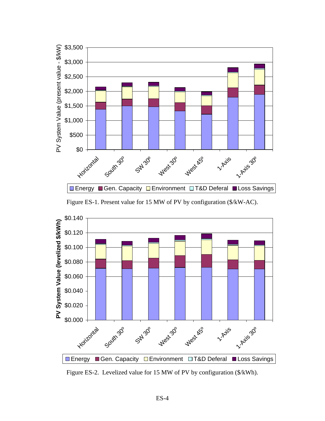

Figure ES-1. Present value for 15 MW of PV by configuration (\$/kW-AC).



Figure ES-2. Levelized value for 15 MW of PV by configuration (\$/kWh).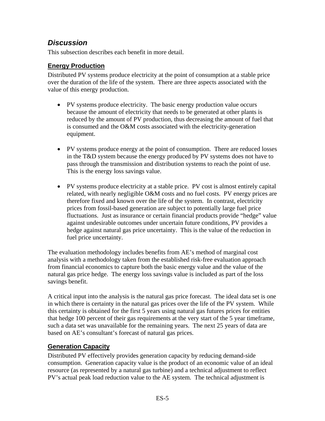## *Discussion*

This subsection describes each benefit in more detail.

### **Energy Production**

Distributed PV systems produce electricity at the point of consumption at a stable price over the duration of the life of the system. There are three aspects associated with the value of this energy production.

- PV systems produce electricity. The basic energy production value occurs because the amount of electricity that needs to be generated at other plants is reduced by the amount of PV production, thus decreasing the amount of fuel that is consumed and the O&M costs associated with the electricity-generation equipment.
- PV systems produce energy at the point of consumption. There are reduced losses in the T&D system because the energy produced by PV systems does not have to pass through the transmission and distribution systems to reach the point of use. This is the energy loss savings value.
- PV systems produce electricity at a stable price. PV cost is almost entirely capital related, with nearly negligible O&M costs and no fuel costs. PV energy prices are therefore fixed and known over the life of the system. In contrast, electricity prices from fossil-based generation are subject to potentially large fuel price fluctuations. Just as insurance or certain financial products provide "hedge" value against undesirable outcomes under uncertain future conditions, PV provides a hedge against natural gas price uncertainty. This is the value of the reduction in fuel price uncertainty.

The evaluation methodology includes benefits from AE's method of marginal cost analysis with a methodology taken from the established risk-free evaluation approach from financial economics to capture both the basic energy value and the value of the natural gas price hedge. The energy loss savings value is included as part of the loss savings benefit.

A critical input into the analysis is the natural gas price forecast. The ideal data set is one in which there is certainty in the natural gas prices over the life of the PV system. While this certainty is obtained for the first 5 years using natural gas futures prices for entities that hedge 100 percent of their gas requirements at the very start of the 5 year timeframe, such a data set was unavailable for the remaining years. The next 25 years of data are based on AE's consultant's forecast of natural gas prices.

### **Generation Capacity**

Distributed PV effectively provides generation capacity by reducing demand-side consumption. Generation capacity value is the product of an economic value of an ideal resource (as represented by a natural gas turbine) and a technical adjustment to reflect PV's actual peak load reduction value to the AE system. The technical adjustment is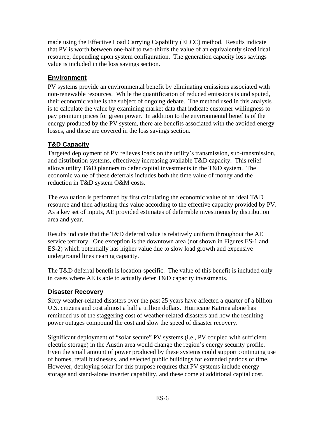made using the Effective Load Carrying Capability (ELCC) method. Results indicate that PV is worth between one-half to two-thirds the value of an equivalently sized ideal resource, depending upon system configuration. The generation capacity loss savings value is included in the loss savings section.

### **Environment**

PV systems provide an environmental benefit by eliminating emissions associated with non-renewable resources. While the quantification of reduced emissions is undisputed, their economic value is the subject of ongoing debate. The method used in this analysis is to calculate the value by examining market data that indicate customer willingness to pay premium prices for green power. In addition to the environmental benefits of the energy produced by the PV system, there are benefits associated with the avoided energy losses, and these are covered in the loss savings section.

### **T&D Capacity**

Targeted deployment of PV relieves loads on the utility's transmission, sub-transmission, and distribution systems, effectively increasing available T&D capacity. This relief allows utility T&D planners to defer capital investments in the T&D system. The economic value of these deferrals includes both the time value of money and the reduction in T&D system O&M costs.

The evaluation is performed by first calculating the economic value of an ideal T&D resource and then adjusting this value according to the effective capacity provided by PV. As a key set of inputs, AE provided estimates of deferrable investments by distribution area and year.

Results indicate that the T&D deferral value is relatively uniform throughout the AE service territory. One exception is the downtown area (not shown in Figures ES-1 and ES-2) which potentially has higher value due to slow load growth and expensive underground lines nearing capacity.

The T&D deferral benefit is location-specific. The value of this benefit is included only in cases where AE is able to actually defer T&D capacity investments.

### **Disaster Recovery**

Sixty weather-related disasters over the past 25 years have affected a quarter of a billion U.S. citizens and cost almost a half a trillion dollars. Hurricane Katrina alone has reminded us of the staggering cost of weather-related disasters and how the resulting power outages compound the cost and slow the speed of disaster recovery.

Significant deployment of "solar secure" PV systems (i.e., PV coupled with sufficient electric storage) in the Austin area would change the region's energy security profile. Even the small amount of power produced by these systems could support continuing use of homes, retail businesses, and selected public buildings for extended periods of time. However, deploying solar for this purpose requires that PV systems include energy storage and stand-alone inverter capability, and these come at additional capital cost.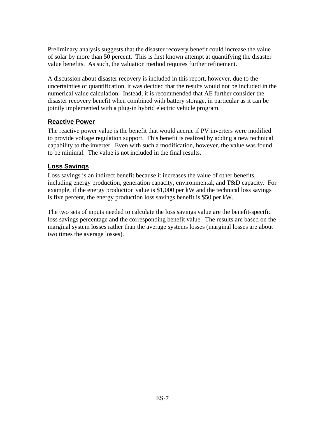Preliminary analysis suggests that the disaster recovery benefit could increase the value of solar by more than 50 percent. This is first known attempt at quantifying the disaster value benefits. As such, the valuation method requires further refinement.

A discussion about disaster recovery is included in this report, however, due to the uncertainties of quantification, it was decided that the results would not be included in the numerical value calculation. Instead, it is recommended that AE further consider the disaster recovery benefit when combined with battery storage, in particular as it can be jointly implemented with a plug-in hybrid electric vehicle program.

### **Reactive Power**

The reactive power value is the benefit that would accrue if PV inverters were modified to provide voltage regulation support. This benefit is realized by adding a new technical capability to the inverter. Even with such a modification, however, the value was found to be minimal. The value is not included in the final results.

### **Loss Savings**

Loss savings is an indirect benefit because it increases the value of other benefits, including energy production, generation capacity, environmental, and T&D capacity. For example, if the energy production value is \$1,000 per kW and the technical loss savings is five percent, the energy production loss savings benefit is \$50 per kW.

The two sets of inputs needed to calculate the loss savings value are the benefit-specific loss savings percentage and the corresponding benefit value. The results are based on the marginal system losses rather than the average systems losses (marginal losses are about two times the average losses).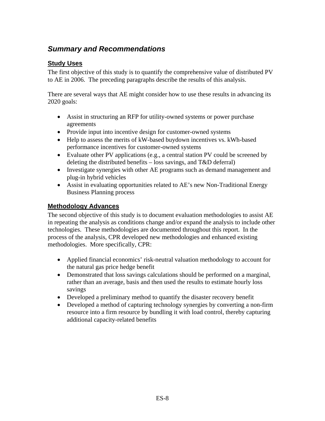## *Summary and Recommendations*

### **Study Uses**

The first objective of this study is to quantify the comprehensive value of distributed PV to AE in 2006. The preceding paragraphs describe the results of this analysis.

There are several ways that AE might consider how to use these results in advancing its 2020 goals:

- Assist in structuring an RFP for utility-owned systems or power purchase agreements
- Provide input into incentive design for customer-owned systems
- Help to assess the merits of kW-based buydown incentives vs. kWh-based performance incentives for customer-owned systems
- Evaluate other PV applications (e.g., a central station PV could be screened by deleting the distributed benefits – loss savings, and T&D deferral)
- Investigate synergies with other AE programs such as demand management and plug-in hybrid vehicles
- Assist in evaluating opportunities related to AE's new Non-Traditional Energy Business Planning process

### **Methodology Advances**

The second objective of this study is to document evaluation methodologies to assist AE in repeating the analysis as conditions change and/or expand the analysis to include other technologies. These methodologies are documented throughout this report. In the process of the analysis, CPR developed new methodologies and enhanced existing methodologies. More specifically, CPR:

- Applied financial economics' risk-neutral valuation methodology to account for the natural gas price hedge benefit
- Demonstrated that loss savings calculations should be performed on a marginal, rather than an average, basis and then used the results to estimate hourly loss savings
- Developed a preliminary method to quantify the disaster recovery benefit
- Developed a method of capturing technology synergies by converting a non-firm resource into a firm resource by bundling it with load control, thereby capturing additional capacity-related benefits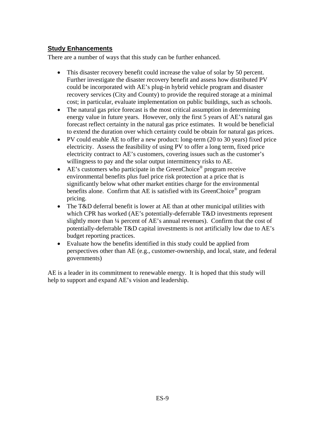#### **Study Enhancements**

There are a number of ways that this study can be further enhanced.

- This disaster recovery benefit could increase the value of solar by 50 percent. Further investigate the disaster recovery benefit and assess how distributed PV could be incorporated with AE's plug-in hybrid vehicle program and disaster recovery services (City and County) to provide the required storage at a minimal cost; in particular, evaluate implementation on public buildings, such as schools.
- The natural gas price forecast is the most critical assumption in determining energy value in future years. However, only the first 5 years of AE's natural gas forecast reflect certainty in the natural gas price estimates. It would be beneficial to extend the duration over which certainty could be obtain for natural gas prices.
- PV could enable AE to offer a new product: long-term (20 to 30 years) fixed price electricity. Assess the feasibility of using PV to offer a long term, fixed price electricity contract to AE's customers, covering issues such as the customer's willingness to pay and the solar output intermittency risks to AE.
- AE's customers who participate in the GreenChoice<sup>®</sup> program receive environmental benefits plus fuel price risk protection at a price that is significantly below what other market entities charge for the environmental benefits alone. Confirm that AE is satisfied with its GreenChoice<sup>®</sup> program pricing.
- The T&D deferral benefit is lower at AE than at other municipal utilities with which CPR has worked (AE's potentially-deferrable T&D investments represent slightly more than ¼ percent of AE's annual revenues). Confirm that the cost of potentially-deferrable T&D capital investments is not artificially low due to AE's budget reporting practices.
- Evaluate how the benefits identified in this study could be applied from perspectives other than AE (e.g., customer-ownership, and local, state, and federal governments)

AE is a leader in its commitment to renewable energy. It is hoped that this study will help to support and expand AE's vision and leadership.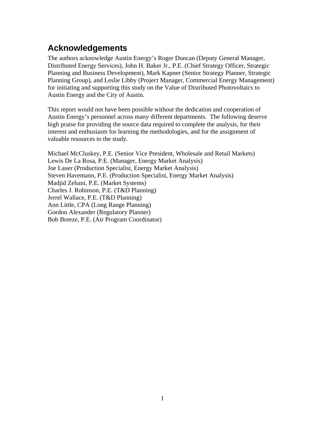# **Acknowledgements**

The authors acknowledge Austin Energy's Roger Duncan (Deputy General Manager, Distributed Energy Services), John H. Baker Jr., P.E. (Chief Strategy Officer, Strategic Planning and Business Development), Mark Kapner (Senior Strategy Planner, Strategic Planning Group), and Leslie Libby (Project Manager, Commercial Energy Management) for initiating and supporting this study on the Value of Distributed Photovoltaics to Austin Energy and the City of Austin.

This report would not have been possible without the dedication and cooperation of Austin Energy's personnel across many different departments. The following deserve high praise for providing the source data required to complete the analysis, for their interest and enthusiasm for learning the methodologies, and for the assignment of valuable resources to the study.

Michael McCluskey, P.E. (Senior Vice President, Wholesale and Retail Markets) Lewis De La Rosa, P.E. (Manager, Energy Market Analysis) Joe Lauer (Production Specialist, Energy Market Analysis) Steven Havemann, P.E. (Production Specialist, Energy Market Analysis) Madjid Zehani, P.E. (Market Systems) Charles J. Robinson, P.E. (T&D Planning) Jerrel Wallace, P.E. (T&D Planning) Ann Little, CPA (Long Range Planning) Gordon Alexander (Regulatory Planner) Bob Breeze, P.E. (Air Program Coordinator)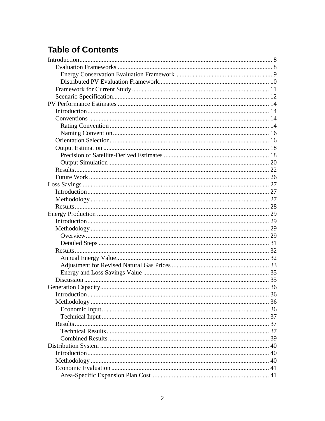# **Table of Contents**

| 40 |
|----|
|    |
|    |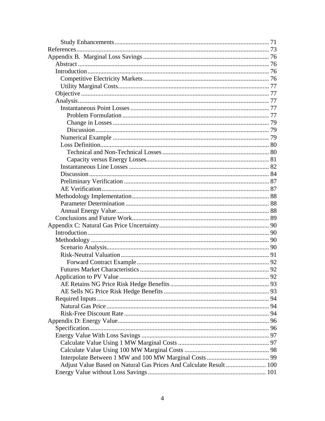| Adjust Value Based on Natural Gas Prices And Calculate Result  100 |  |
|--------------------------------------------------------------------|--|
|                                                                    |  |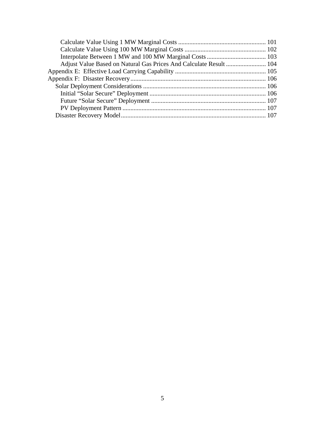| Adjust Value Based on Natural Gas Prices And Calculate Result  104 |  |
|--------------------------------------------------------------------|--|
|                                                                    |  |
|                                                                    |  |
|                                                                    |  |
|                                                                    |  |
|                                                                    |  |
|                                                                    |  |
|                                                                    |  |
|                                                                    |  |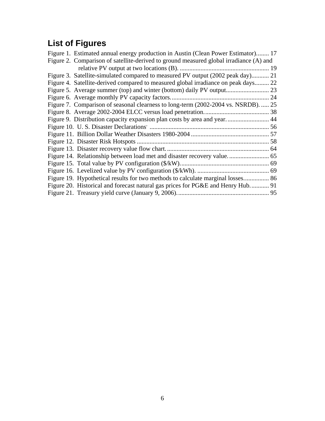# **List of Figures**

| Figure 1. Estimated annual energy production in Austin (Clean Power Estimator) 17      |  |
|----------------------------------------------------------------------------------------|--|
| Figure 2. Comparison of satellite-derived to ground measured global irradiance (A) and |  |
|                                                                                        |  |
| Figure 3. Satellite-simulated compared to measured PV output (2002 peak day) 21        |  |
| Figure 4. Satellite-derived compared to measured global irradiance on peak days 22     |  |
|                                                                                        |  |
|                                                                                        |  |
| Figure 7. Comparison of seasonal clearness to long-term (2002-2004 vs. NSRDB).  25     |  |
|                                                                                        |  |
| Figure 9. Distribution capacity expansion plan costs by area and year 44               |  |
|                                                                                        |  |
|                                                                                        |  |
|                                                                                        |  |
|                                                                                        |  |
|                                                                                        |  |
|                                                                                        |  |
|                                                                                        |  |
| Figure 19. Hypothetical results for two methods to calculate marginal losses 86        |  |
| Figure 20. Historical and forecast natural gas prices for PG&E and Henry Hub 91        |  |
|                                                                                        |  |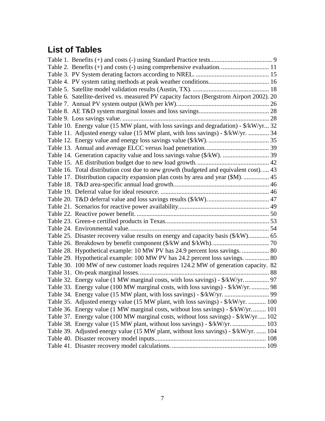# **List of Tables**

| Table 2. Benefits (+) and costs (-) using comprehensive evaluation 11                    |  |
|------------------------------------------------------------------------------------------|--|
|                                                                                          |  |
|                                                                                          |  |
|                                                                                          |  |
| Table 6. Satellite-derived vs. measured PV capacity factors (Bergstrom Airport 2002). 20 |  |
|                                                                                          |  |
|                                                                                          |  |
|                                                                                          |  |
| Table 10. Energy value (15 MW plant, with loss savings and degradation) - \$/kW/yr 32    |  |
| Table 11. Adjusted energy value (15 MW plant, with loss savings) - \$/kW/yr.  34         |  |
|                                                                                          |  |
|                                                                                          |  |
|                                                                                          |  |
|                                                                                          |  |
| Table 16. Total distribution cost due to new growth (budgeted and equivalent cost) 43    |  |
| Table 17. Distribution capacity expansion plan costs by area and year (\$M).  45         |  |
|                                                                                          |  |
|                                                                                          |  |
|                                                                                          |  |
|                                                                                          |  |
|                                                                                          |  |
|                                                                                          |  |
|                                                                                          |  |
| Table 25. Disaster recovery value results on energy and capacity basis (\$/kW) 65        |  |
|                                                                                          |  |
| Table 28. Hypothetical example: 10 MW PV has 24.9 percent loss savings.  80              |  |
| Table 29. Hypothetical example: 100 MW PV has 24.2 percent loss savings.  80             |  |
| Table 30. 100 MW of new customer loads requires 124.2 MW of generation capacity. 82      |  |
|                                                                                          |  |
| Table 32. Energy value (1 MW marginal costs, with loss savings) - \$/kW/yr 97            |  |
| Table 33. Energy value (100 MW marginal costs, with loss savings) - \$/kW/yr 98          |  |
|                                                                                          |  |
| Table 35. Adjusted energy value (15 MW plant, with loss savings) - \$/kW/yr.  100        |  |
| Table 36. Energy value (1 MW marginal costs, without loss savings) - \$/kW/yr 101        |  |
| Table 37. Energy value (100 MW marginal costs, without loss savings) - \$/kW/yr 102      |  |
| Table 38. Energy value (15 MW plant, without loss savings) - \$/kW/yr.  103              |  |
| Table 39. Adjusted energy value (15 MW plant, without loss savings) - \$/kW/yr.  104     |  |
|                                                                                          |  |
|                                                                                          |  |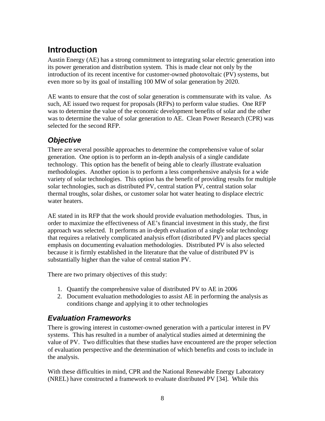# <span id="page-17-0"></span>**Introduction**

Austin Energy (AE) has a strong commitment to integrating solar electric generation into its power generation and distribution system. This is made clear not only by the introduction of its recent incentive for customer-owned photovoltaic (PV) systems, but even more so by its goal of installing 100 MW of solar generation by 2020.

AE wants to ensure that the cost of solar generation is commensurate with its value. As such, AE issued two request for proposals (RFPs) to perform value studies. One RFP was to determine the value of the economic development benefits of solar and the other was to determine the value of solar generation to AE. Clean Power Research (CPR) was selected for the second RFP.

## *Objective*

There are several possible approaches to determine the comprehensive value of solar generation. One option is to perform an in-depth analysis of a single candidate technology. This option has the benefit of being able to clearly illustrate evaluation methodologies. Another option is to perform a less comprehensive analysis for a wide variety of solar technologies. This option has the benefit of providing results for multiple solar technologies, such as distributed PV, central station PV, central station solar thermal troughs, solar dishes, or customer solar hot water heating to displace electric water heaters.

AE stated in its RFP that the work should provide evaluation methodologies. Thus, in order to maximize the effectiveness of AE's financial investment in this study, the first approach was selected. It performs an in-depth evaluation of a single solar technology that requires a relatively complicated analysis effort (distributed PV) and places special emphasis on documenting evaluation methodologies. Distributed PV is also selected because it is firmly established in the literature that the value of distributed PV is substantially higher than the value of central station PV.

There are two primary objectives of this study:

- 1. Quantify the comprehensive value of distributed PV to AE in 2006
- 2. Document evaluation methodologies to assist AE in performing the analysis as conditions change and applying it to other technologies

## *Evaluation Frameworks*

There is growing interest in customer-owned generation with a particular interest in PV systems. This has resulted in a number of analytical studies aimed at determining the value of PV. Two difficulties that these studies have encountered are the proper selection of evaluation perspective and the determination of which benefits and costs to include in the analysis.

With these difficulties in mind, CPR and the National Renewable Energy Laboratory (NREL) have constructed a framework to evaluate distributed PV [34]. While this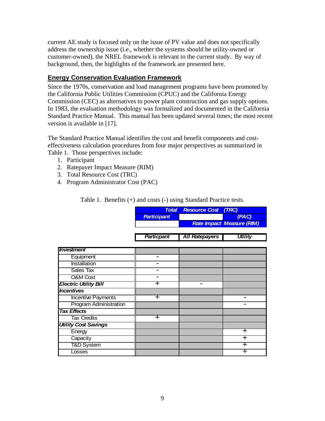<span id="page-18-0"></span>current AE study is focused only on the issue of PV value and does not specifically address the ownership issue (i.e., whether the systems should be utility-owned or customer-owned), the NREL framework is relevant to the current study. By way of background, then, the highlights of the framework are presented here.

#### **Energy Conservation Evaluation Framework**

Since the 1970s, conservation and load management programs have been promoted by the California Public Utilities Commission (CPUC) and the California Energy Commission (CEC) as alternatives to power plant construction and gas supply options. In 1983, the evaluation methodology was formalized and documented in the California Standard Practice Manual. This manual has been updated several times; the most recent version is available in [17].

The Standard Practice Manual identifies the cost and benefit components and costeffectiveness calculation procedures from four major perspectives as summarized in Table 1. Those perspectives include:

- 1. Participant
- 2. Ratepayer Impact Measure (RIM)
- 3. Total Resource Cost (TRC)
- 4. Program Administrator Cost (PAC)

Table 1. Benefits (+) and costs (-) using Standard Practice tests.

|                              | <b>Total</b>             | <b>Resource Cost</b>     | (TRC)                            |
|------------------------------|--------------------------|--------------------------|----------------------------------|
|                              | <b>Participant</b>       |                          | (PAC)                            |
|                              |                          |                          | <b>Rate Impact Measure (RIM)</b> |
|                              |                          |                          |                                  |
|                              | <b>Particpant</b>        | <b>All Ratepayers</b>    | <b>Utility</b>                   |
| <i><b>Investment</b></i>     |                          |                          |                                  |
| Equipment                    | $\overline{\phantom{0}}$ |                          |                                  |
| <b>Installation</b>          |                          |                          |                                  |
| Sales Tax                    |                          |                          |                                  |
| <b>O&amp;M</b> Cost          |                          |                          |                                  |
| <b>Electric Utility Bill</b> | ┿                        | $\overline{\phantom{0}}$ |                                  |
| <b>Incentives</b>            |                          |                          |                                  |
| Incentive Payments           | $\overline{\phantom{0}}$ |                          |                                  |
| Program Administration       |                          |                          |                                  |
| <b>Tax Effects</b>           |                          |                          |                                  |
| <b>Tax Credits</b>           | $\div$                   |                          |                                  |
| <b>Utility Cost Savings</b>  |                          |                          |                                  |
| Energy                       |                          |                          | ┿                                |
| Capacity                     |                          |                          | ┿                                |
| <b>T&amp;D System</b>        |                          |                          | ┿                                |
| Losses                       |                          |                          | ┿                                |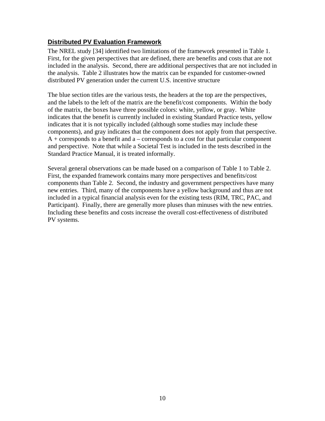### <span id="page-19-0"></span>**Distributed PV Evaluation Framework**

The NREL study [34] identified two limitations of the framework presented in Table 1. First, for the given perspectives that are defined, there are benefits and costs that are not included in the analysis. Second, there are additional perspectives that are not included in the analysis. Table 2 illustrates how the matrix can be expanded for customer-owned distributed PV generation under the current U.S. incentive structure

The blue section titles are the various tests, the headers at the top are the perspectives, and the labels to the left of the matrix are the benefit/cost components. Within the body of the matrix, the boxes have three possible colors: white, yellow, or gray. White indicates that the benefit is currently included in existing Standard Practice tests, yellow indicates that it is not typically included (although some studies may include these components), and gray indicates that the component does not apply from that perspective.  $A +$  corresponds to a benefit and a – corresponds to a cost for that particular component and perspective. Note that while a Societal Test is included in the tests described in the Standard Practice Manual, it is treated informally.

Several general observations can be made based on a comparison of Table 1 to Table 2. First, the expanded framework contains many more perspectives and benefits/cost components than Table 2. Second, the industry and government perspectives have many new entries. Third, many of the components have a yellow background and thus are not included in a typical financial analysis even for the existing tests (RIM, TRC, PAC, and Participant). Finally, there are generally more pluses than minuses with the new entries. Including these benefits and costs increase the overall cost-effectiveness of distributed PV systems.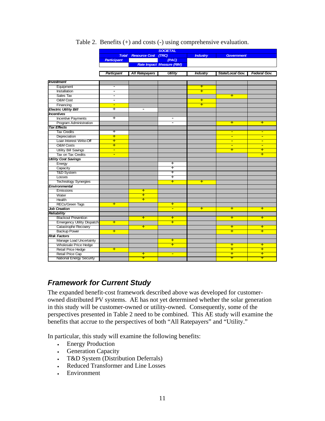<span id="page-20-0"></span>

|                                   | <b>SOCIETAL</b>          |                          |                                  |                      |                          |                          |
|-----------------------------------|--------------------------|--------------------------|----------------------------------|----------------------|--------------------------|--------------------------|
|                                   | <b>Total</b>             | <b>Resource Cost</b>     | (TRC)                            | <b>Industry</b>      | <b>Government</b>        |                          |
|                                   | <b>Participant</b>       |                          | (PAC)                            |                      |                          |                          |
|                                   |                          |                          | <b>Rate Impact Measure (RIM)</b> |                      |                          |                          |
|                                   |                          |                          |                                  |                      |                          |                          |
|                                   | Particpant               | <b>All Ratepayers</b>    | <b>Utility</b>                   | <b>Industry</b>      | State/Local Gov.         | Federal Gov.             |
|                                   |                          |                          |                                  |                      |                          |                          |
| <b>Investment</b>                 |                          |                          |                                  |                      |                          |                          |
| Equipment                         | $\overline{\phantom{a}}$ |                          |                                  | $\textcolor{red}{+}$ |                          |                          |
| Installation                      | $\overline{\phantom{a}}$ |                          |                                  | Ŧ                    |                          |                          |
| Sales Tax                         | $\overline{\phantom{0}}$ |                          |                                  |                      | $\textcolor{red}{\div}$  |                          |
| O&M Cost                          | $\overline{\phantom{a}}$ |                          |                                  | $\textcolor{red}{+}$ |                          |                          |
| Financing                         | $\blacksquare$           |                          |                                  | Ŧ                    |                          |                          |
| <b>Electric Utility Bill</b>      | $\overline{\phantom{0}}$ | $\overline{\phantom{0}}$ |                                  |                      |                          |                          |
| <b>Incentives</b>                 |                          |                          |                                  |                      |                          |                          |
| <b>Incentive Payments</b>         | $\div$                   |                          | $\overline{\phantom{0}}$         |                      |                          |                          |
| <b>Program Administration</b>     |                          |                          | $\overline{\phantom{0}}$         |                      | $\pm$                    | $+$                      |
| <b>Tax Effects</b>                |                          |                          |                                  |                      |                          |                          |
| <b>Tax Credits</b>                | $\ddot{}$                |                          |                                  |                      | $\blacksquare$           | $\overline{\phantom{0}}$ |
| Depreciation                      | $\overline{\textbf{r}}$  |                          |                                  |                      | $\overline{\phantom{0}}$ | $\overline{\phantom{0}}$ |
| Loan Interest Write-Off           | Ŧ                        |                          |                                  |                      |                          |                          |
| <b>O&amp;M Costs</b>              | $\overline{+}$           |                          |                                  |                      | ÷                        | $\overline{\phantom{a}}$ |
| <b>Utility Bill Savings</b>       | $\blacksquare$           |                          |                                  |                      | $\overline{\phantom{a}}$ | $\overline{\phantom{a}}$ |
| Tax on Tax Credits                | Ξ                        |                          |                                  |                      |                          | Ŧ                        |
| <b>Utility Cost Savings</b>       |                          |                          |                                  |                      |                          |                          |
| Energy                            |                          |                          | $\overline{\phantom{a}}$         |                      |                          |                          |
| Capacity                          |                          |                          | Ŧ                                |                      |                          |                          |
| <b>T&amp;D System</b>             |                          |                          | ∓                                |                      |                          |                          |
| Losses                            |                          |                          | $\overline{\phantom{a}}$         |                      |                          |                          |
| <b>Technology Synergies</b>       |                          |                          | Ŧ                                | $\textcolor{red}{+}$ |                          |                          |
| Environmental                     |                          |                          |                                  |                      |                          |                          |
| Emissions                         |                          | $\pm$                    |                                  |                      |                          |                          |
| Water                             |                          | Ŧ                        |                                  |                      |                          |                          |
| Health                            |                          | Ŧ                        |                                  |                      |                          |                          |
| RECs/Green Tags                   | $\overline{\phantom{a}}$ |                          | $\overline{\phantom{a}}$         |                      |                          |                          |
| <b>Job Creation</b>               |                          |                          | $\blacksquare$                   | Ŧ                    | Ŧ                        | Ŧ                        |
| Reliability                       |                          |                          |                                  |                      |                          |                          |
| <b>Blackout Prevention</b>        |                          | $\overline{\textbf{r}}$  | $\overline{\phantom{a}}$         |                      | $\overline{\textbf{r}}$  | $\overline{+}$           |
| <b>Emergency Utility Dispatch</b> | Ŧ                        |                          | Ŧ                                |                      |                          |                          |
| Catastrophe Recovery              |                          | Ŧ                        |                                  |                      | Ŧ                        | Ŧ                        |
| <b>Backup Power</b>               | $\pm$                    |                          |                                  |                      | Ŧ                        | Ŧ                        |
| <b>Risk Factors</b>               |                          |                          |                                  |                      |                          |                          |
| Manage Load Uncertainty           |                          |                          | Ŧ                                |                      |                          |                          |
| <b>Wholesale Price Hedge</b>      |                          |                          | $\overline{\phantom{0}}$         |                      | $\pm$                    | $\pm$                    |
| <b>Retail Price Hedge</b>         | Ŧ                        |                          |                                  |                      | Ŧ                        | Ŧ                        |
| Retail Price Cap                  |                          | ÷                        | $\blacksquare$                   |                      | $\textcolor{red}{+}$     | $\textcolor{red}{+}$     |
| <b>National Energy Security</b>   |                          | Ŧ                        |                                  |                      | Ŧ                        | Ŧ                        |

#### Table 2. Benefits (+) and costs (-) using comprehensive evaluation.

## *Framework for Current Study*

The expanded benefit-cost framework described above was developed for customerowned distributed PV systems. AE has not yet determined whether the solar generation in this study will be customer-owned or utility-owned. Consequently, some of the perspectives presented in Table 2 need to be combined. This AE study will examine the benefits that accrue to the perspectives of both "All Ratepayers" and "Utility."

In particular, this study will examine the following benefits:

- Energy Production
- Generation Capacity
- T&D System (Distribution Deferrals)
- Reduced Transformer and Line Losses
- Environment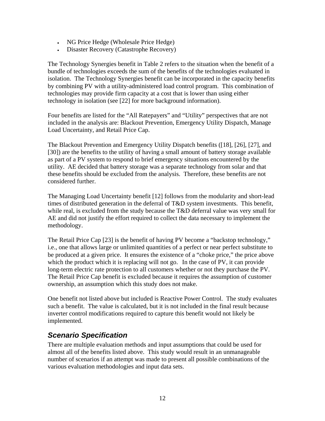- <span id="page-21-0"></span>• NG Price Hedge (Wholesale Price Hedge)
- Disaster Recovery (Catastrophe Recovery)

The Technology Synergies benefit in Table 2 refers to the situation when the benefit of a bundle of technologies exceeds the sum of the benefits of the technologies evaluated in isolation. The Technology Synergies benefit can be incorporated in the capacity benefits by combining PV with a utility-administered load control program. This combination of technologies may provide firm capacity at a cost that is lower than using either technology in isolation (see [22] for more background information).

Four benefits are listed for the "All Ratepayers" and "Utility" perspectives that are not included in the analysis are: Blackout Prevention, Emergency Utility Dispatch, Manage Load Uncertainty, and Retail Price Cap.

The Blackout Prevention and Emergency Utility Dispatch benefits ([18], [26], [27], and [30]) are the benefits to the utility of having a small amount of battery storage available as part of a PV system to respond to brief emergency situations encountered by the utility. AE decided that battery storage was a separate technology from solar and that these benefits should be excluded from the analysis. Therefore, these benefits are not considered further.

The Managing Load Uncertainty benefit [12] follows from the modularity and short-lead times of distributed generation in the deferral of T&D system investments. This benefit, while real, is excluded from the study because the T&D deferral value was very small for AE and did not justify the effort required to collect the data necessary to implement the methodology.

The Retail Price Cap [23] is the benefit of having PV become a "backstop technology," i.e., one that allows large or unlimited quantities of a perfect or near perfect substitute to be produced at a given price. It ensures the existence of a "choke price," the price above which the product which it is replacing will not go. In the case of PV, it can provide long-term electric rate protection to all customers whether or not they purchase the PV. The Retail Price Cap benefit is excluded because it requires the assumption of customer ownership, an assumption which this study does not make.

One benefit not listed above but included is Reactive Power Control. The study evaluates such a benefit. The value is calculated, but it is not included in the final result because inverter control modifications required to capture this benefit would not likely be implemented.

## *Scenario Specification*

There are multiple evaluation methods and input assumptions that could be used for almost all of the benefits listed above. This study would result in an unmanageable number of scenarios if an attempt was made to present all possible combinations of the various evaluation methodologies and input data sets.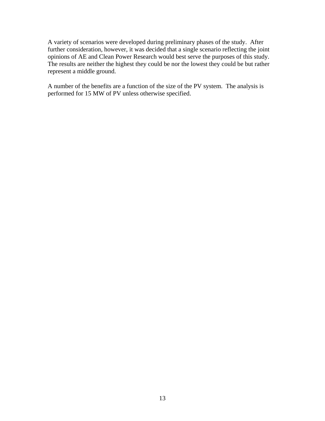A variety of scenarios were developed during preliminary phases of the study. After further consideration, however, it was decided that a single scenario reflecting the joint opinions of AE and Clean Power Research would best serve the purposes of this study. The results are neither the highest they could be nor the lowest they could be but rather represent a middle ground.

A number of the benefits are a function of the size of the PV system. The analysis is performed for 15 MW of PV unless otherwise specified.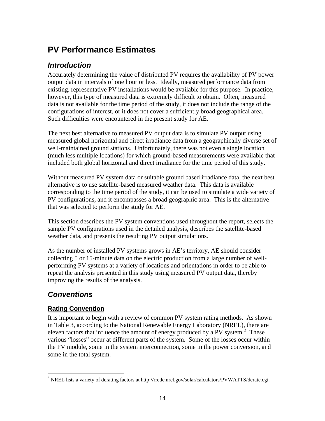# <span id="page-23-0"></span>**PV Performance Estimates**

## *Introduction*

Accurately determining the value of distributed PV requires the availability of PV power output data in intervals of one hour or less. Ideally, measured performance data from existing, representative PV installations would be available for this purpose. In practice, however, this type of measured data is extremely difficult to obtain. Often, measured data is not available for the time period of the study, it does not include the range of the configurations of interest, or it does not cover a sufficiently broad geographical area. Such difficulties were encountered in the present study for AE.

The next best alternative to measured PV output data is to simulate PV output using measured global horizontal and direct irradiance data from a geographically diverse set of well-maintained ground stations. Unfortunately, there was not even a single location (much less multiple locations) for which ground-based measurements were available that included both global horizontal and direct irradiance for the time period of this study.

Without measured PV system data or suitable ground based irradiance data, the next best alternative is to use satellite-based measured weather data. This data is available corresponding to the time period of the study, it can be used to simulate a wide variety of PV configurations, and it encompasses a broad geographic area. This is the alternative that was selected to perform the study for AE.

This section describes the PV system conventions used throughout the report, selects the sample PV configurations used in the detailed analysis, describes the satellite-based weather data, and presents the resulting PV output simulations.

As the number of installed PV systems grows in AE's territory, AE should consider collecting 5 or 15-minute data on the electric production from a large number of wellperforming PV systems at a variety of locations and orientations in order to be able to repeat the analysis presented in this study using measured PV output data, thereby improving the results of the analysis.

## *Conventions*

### **Rating Convention**

It is important to begin with a review of common PV system rating methods. As shown in Table 3, according to the National Renewable Energy Laboratory (NREL), there are eleven factors that influence the amount of energy produced by a PV system. $3$  These various "losses" occur at different parts of the system. Some of the losses occur within the PV module, some in the system interconnection, some in the power conversion, and some in the total system.

 $\overline{a}$ <sup>3</sup> NREL lists a variety of derating factors at http://rredc.nrel.gov/solar/calculators/PVWATTS/derate.cgi.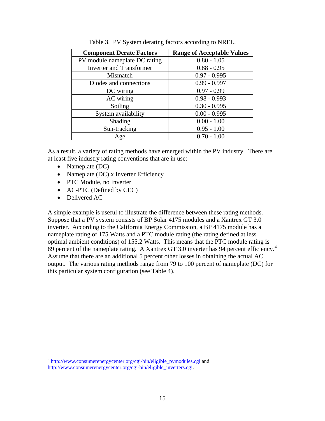<span id="page-24-0"></span>

| <b>Component Derate Factors</b> | <b>Range of Acceptable Values</b> |
|---------------------------------|-----------------------------------|
| PV module nameplate DC rating   | $0.80 - 1.05$                     |
| <b>Inverter and Transformer</b> | $0.88 - 0.95$                     |
| Mismatch                        | $0.97 - 0.995$                    |
| Diodes and connections          | $0.99 - 0.997$                    |
| DC wiring                       | $0.97 - 0.99$                     |
| AC wiring                       | $0.98 - 0.993$                    |
| Soiling                         | $0.30 - 0.995$                    |
| System availability             | $0.00 - 0.995$                    |
| Shading                         | $0.00 - 1.00$                     |
| Sun-tracking                    | $0.95 - 1.00$                     |
| Age                             | $0.70 - 1.00$                     |

Table 3. PV System derating factors according to NREL.

As a result, a variety of rating methods have emerged within the PV industry. There are at least five industry rating conventions that are in use:

- Nameplate (DC)
- Nameplate (DC) x Inverter Efficiency
- PTC Module, no Inverter
- AC-PTC (Defined by CEC)
- Delivered AC

 $\overline{a}$ 

A simple example is useful to illustrate the difference between these rating methods. Suppose that a PV system consists of BP Solar 4175 modules and a Xantrex GT 3.0 inverter. According to the California Energy Commission, a BP 4175 module has a nameplate rating of 175 Watts and a PTC module rating (the rating defined at less optimal ambient conditions) of 155.2 Watts. This means that the PTC module rating is 89 percent of the nameplate rating. A Xantrex GT 3.0 inverter has 94 percent efficiency.<sup>4</sup> Assume that there are an additional 5 percent other losses in obtaining the actual AC output. The various rating methods range from 79 to 100 percent of nameplate (DC) for this particular system configuration (see Table 4).

<sup>&</sup>lt;sup>4</sup> http://www.consumerenergycenter.org/cgi-bin/eligible\_pvmodules.cgi and http://www.consumerenergycenter.org/cgi-bin/eligible\_inverters.cgi.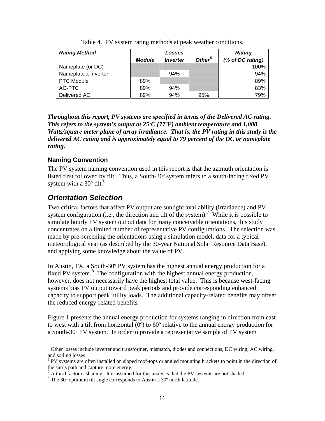<span id="page-25-0"></span>

| <b>Rating Method</b> | Losses        |                        |                    | <b>Rating</b>    |
|----------------------|---------------|------------------------|--------------------|------------------|
|                      | <b>Module</b> | <i><b>Inverter</b></i> | Other <sup>5</sup> | (% of DC rating) |
| Nameplate (or DC)    |               |                        |                    | 100%             |
| Nameplate x Inverter |               | 94%                    |                    | 94%              |
| <b>PTC Module</b>    | 89%           |                        |                    | 89%              |
| AC-PTC               | 89%           | 94%                    |                    | 83%              |
| Delivered AC         | 89%           | 94%                    | 95%                | 79%              |

Table 4. PV system rating methods at peak weather conditions.

*Throughout this report, PV systems are specified in terms of the Delivered AC rating. This refers to the system's output at 25ºC (77ºF) ambient temperature and 1,000 Watts/square meter plane of array irradiance. That is, the PV rating in this study is the delivered AC rating and is approximately equal to 79 percent of the DC or nameplate rating.* 

#### **Naming Convention**

The PV system naming convention used in this report is that the azimuth orientation is listed first followed by tilt. Thus, a South-30º system refers to a south-facing fixed PV system with a  $30^{\circ}$  tilt.<sup>6</sup>

## *Orientation Selection*

Two critical factors that affect PV output are sunlight availability (irradiance) and PV system configuration (i.e., the direction and tilt of the system).<sup>7</sup> While it is possible to simulate hourly PV system output data for many conceivable orientations, this study concentrates on a limited number of representative PV configurations. The selection was made by pre-screening the orientations using a simulation model, data for a typical meteorological year (as described by the 30-year National Solar Resource Data Base), and applying some knowledge about the value of PV.

In Austin, TX, a South-30º PV system has the highest annual energy production for a fixed PV system.<sup>8</sup> The configuration with the highest annual energy production, however, does not necessarily have the highest total value. This is because west-facing systems bias PV output toward peak periods and provide corresponding enhanced capacity to support peak utility loads. The additional capacity-related benefits may offset the reduced energy-related benefits.

Figure 1 presents the annual energy production for systems ranging in direction from east to west with a tilt from horizontal  $(0^{\circ})$  to  $60^{\circ}$  relative to the annual energy production for a South-30º PV system. In order to provide a representative sample of PV system

 $\overline{a}$ <sup>5</sup> Other losses include inverter and transformer, mismatch, diodes and connections, DC wiring, AC wiring, and soiling losses.

<sup>&</sup>lt;sup>6</sup> PV systems are often installed on sloped roof-tops or angled mounting brackets to point in the direction of the sun's path and capture more energy.

 $<sup>7</sup>$  A third factor is shading. It is assumed for this analysis that the PV systems are not shaded.</sup>

<sup>&</sup>lt;sup>8</sup> The 30° optimum tilt angle corresponds to Austin's 30° north latitude.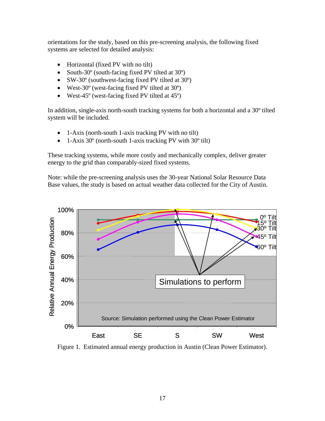<span id="page-26-0"></span>orientations for the study, based on this pre-screening analysis, the following fixed systems are selected for detailed analysis:

- Horizontal (fixed PV with no tilt)
- South-30<sup>°</sup> (south-facing fixed PV tilted at 30<sup>°</sup>)
- SW-30<sup>°</sup> (southwest-facing fixed PV tilted at 30<sup>°</sup>)
- West-30<sup>°</sup> (west-facing fixed PV tilted at 30<sup>°</sup>)
- West-45<sup>°</sup> (west-facing fixed PV tilted at 45<sup>°</sup>)

In addition, single-axis north-south tracking systems for both a horizontal and a 30º tilted system will be included.

- 1-Axis (north-south 1-axis tracking PV with no tilt)
- 1-Axis 30<sup>°</sup> (north-south 1-axis tracking PV with 30<sup>°</sup> tilt)

These tracking systems, while more costly and mechanically complex, deliver greater energy to the grid than comparably-sized fixed systems.

Note: while the pre-screening analysis uses the 30-year National Solar Resource Data Base values, the study is based on actual weather data collected for the City of Austin.



Figure 1. Estimated annual energy production in Austin (Clean Power Estimator).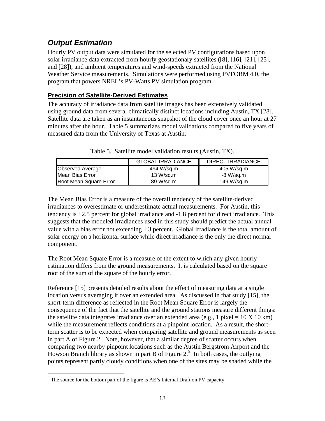## <span id="page-27-0"></span>*Output Estimation*

Hourly PV output data were simulated for the selected PV configurations based upon solar irradiance data extracted from hourly geostationary satellites ([8], [16], [21], [25], and [28]), and ambient temperatures and wind-speeds extracted from the National Weather Service measurements. Simulations were performed using PVFORM 4.0, the program that powers NREL's PV-Watts PV simulation program.

### **Precision of Satellite-Derived Estimates**

The accuracy of irradiance data from satellite images has been extensively validated using ground data from several climatically distinct locations including Austin, TX [28]. Satellite data are taken as an instantaneous snapshot of the cloud cover once an hour at 27 minutes after the hour. Table 5 summarizes model validations compared to five years of measured data from the University of Texas at Austin.

|                         | <b>GLOBAL IRRADIANCE</b> | DIRECT IRRADIANCE |  |
|-------------------------|--------------------------|-------------------|--|
| <b>Observed Average</b> | 494 W/sq.m               | 405 W/sq.m        |  |
| Mean Bias Error         | 13 W/sq.m                | -8 W/sa.m         |  |
| Root Mean Square Error  | 89 W/sq.m                | 149 W/sq.m        |  |

Table 5. Satellite model validation results (Austin, TX).

The Mean Bias Error is a measure of the overall tendency of the satellite-derived irradiances to overestimate or underestimate actual measurements. For Austin, this tendency is +2.5 percent for global irradiance and -1.8 percent for direct irradiance. This suggests that the modeled irradiances used in this study should predict the actual annual value with a bias error not exceeding  $\pm 3$  percent. Global irradiance is the total amount of solar energy on a horizontal surface while direct irradiance is the only the direct normal component.

The Root Mean Square Error is a measure of the extent to which any given hourly estimation differs from the ground measurements. It is calculated based on the square root of the sum of the square of the hourly error.

Reference [15] presents detailed results about the effect of measuring data at a single location versus averaging it over an extended area. As discussed in that study [15], the short-term difference as reflected in the Root Mean Square Error is largely the consequence of the fact that the satellite and the ground stations measure different things: the satellite data integrates irradiance over an extended area (e.g., 1 pixel =  $10 \text{ X } 10 \text{ km}$ ) while the measurement reflects conditions at a pinpoint location. As a result, the shortterm scatter is to be expected when comparing satellite and ground measurements as seen in part A of Figure 2. Note, however, that a similar degree of scatter occurs when comparing two nearby pinpoint locations such as the Austin Bergstrom Airport and the Howson Branch library as shown in part B of Figure  $2.^9$  In both cases, the outlying points represent partly cloudy conditions when one of the sites may be shaded while the

 $\overline{a}$  $9^9$  The source for the bottom part of the figure is AE's Internal Draft on PV capacity.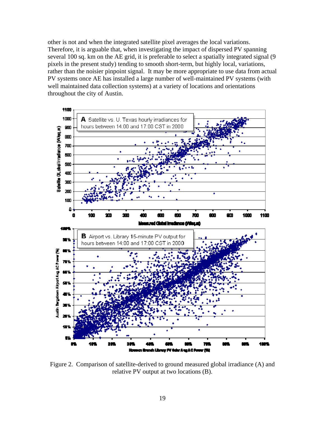<span id="page-28-0"></span>other is not and when the integrated satellite pixel averages the local variations. Therefore, it is arguable that, when investigating the impact of dispersed PV spanning several 100 sq. km on the AE grid, it is preferable to select a spatially integrated signal (9 pixels in the present study) tending to smooth short-term, but highly local, variations, rather than the noisier pinpoint signal. It may be more appropriate to use data from actual PV systems once AE has installed a large number of well-maintained PV systems (with well maintained data collection systems) at a variety of locations and orientations throughout the city of Austin.



Figure 2. Comparison of satellite-derived to ground measured global irradiance (A) and relative PV output at two locations (B).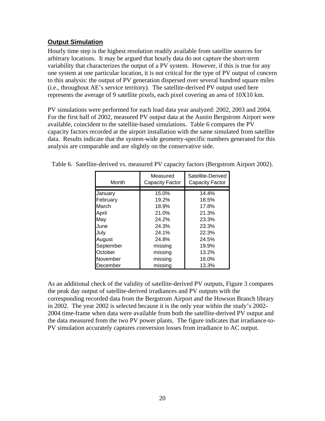#### <span id="page-29-0"></span>**Output Simulation**

Hourly time step is the highest resolution readily available from satellite sources for arbitrary locations. It may be argued that hourly data do not capture the short-term variability that characterizes the output of a PV system. However, if this is true for any one system at one particular location, it is not critical for the type of PV output of concern to this analysis: the output of PV generation dispersed over several hundred square miles (i.e., throughout AE's service territory). The satellite-derived PV output used here represents the average of 9 satellite pixels, each pixel covering an area of 10X10 km.

PV simulations were performed for each load data year analyzed: 2002, 2003 and 2004. For the first half of 2002, measured PV output data at the Austin Bergstrom Airport were available, coincident to the satellite-based simulations. Table 6 compares the PV capacity factors recorded at the airport installation with the same simulated from satellite data. Results indicate that the system-wide geometry-specific numbers generated for this analysis are comparable and are slightly on the conservative side.

| Month     | Measured<br><b>Capacity Factor</b> | Satellite-Derived<br><b>Capacity Factor</b> |  |  |
|-----------|------------------------------------|---------------------------------------------|--|--|
|           |                                    |                                             |  |  |
| January   | 15.0%                              | 14.4%                                       |  |  |
| February  | 19.2%                              | 18.5%                                       |  |  |
| March     | 18.9%                              | 17.8%                                       |  |  |
| April     | 21.0%                              | 21.3%                                       |  |  |
| May       | 24.2%                              | 23.3%                                       |  |  |
| June      | 24.3%                              | 23.3%                                       |  |  |
| July      | 24.1%                              | 22.3%                                       |  |  |
| August    | 24.8%                              | 24.5%                                       |  |  |
| September | missing                            | 19.9%                                       |  |  |
| October   | missing                            | 13.2%                                       |  |  |
| November  | missing                            | 16.0%                                       |  |  |
| December  | missing                            | 13.3%                                       |  |  |

Table 6. Satellite-derived vs. measured PV capacity factors (Bergstrom Airport 2002).

As an additional check of the validity of satellite-derived PV outputs, Figure 3 compares the peak day output of satellite-derived irradiances and PV outputs with the corresponding recorded data from the Bergstrom Airport and the Howson Branch library in 2002. The year 2002 is selected because it is the only year within the study's 2002- 2004 time-frame when data were available from both the satellite-derived PV output and the data measured from the two PV power plants. The figure indicates that irradiance-to-PV simulation accurately captures conversion losses from irradiance to AC output.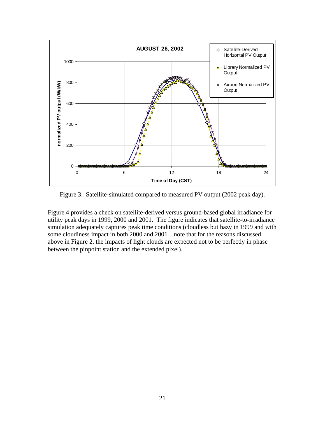<span id="page-30-0"></span>

Figure 3. Satellite-simulated compared to measured PV output (2002 peak day).

Figure 4 provides a check on satellite-derived versus ground-based global irradiance for utility peak days in 1999, 2000 and 2001. The figure indicates that satellite-to-irradiance simulation adequately captures peak time conditions (cloudless but hazy in 1999 and with some cloudiness impact in both 2000 and 2001 – note that for the reasons discussed above in Figure 2, the impacts of light clouds are expected not to be perfectly in phase between the pinpoint station and the extended pixel).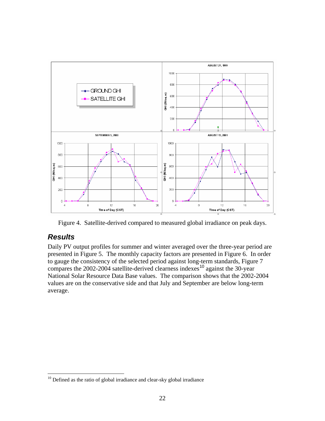<span id="page-31-0"></span>

Figure 4. Satellite-derived compared to measured global irradiance on peak days.

## *Results*

 $\overline{a}$ 

Daily PV output profiles for summer and winter averaged over the three-year period are presented in Figure 5. The monthly capacity factors are presented in Figure 6. In order to gauge the consistency of the selected period against long-term standards, Figure 7 compares the 2002-2004 satellite-derived clearness indexes<sup>10</sup> against the 30-year National Solar Resource Data Base values. The comparison shows that the 2002-2004 values are on the conservative side and that July and September are below long-term average.

 $10$  Defined as the ratio of global irradiance and clear-sky global irradiance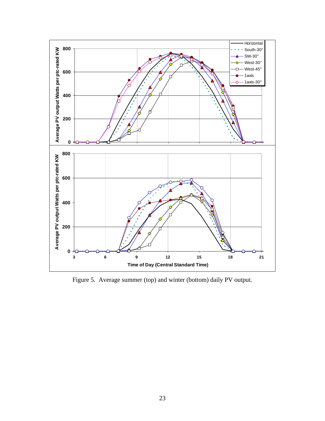<span id="page-32-0"></span>

Figure 5. Average summer (top) and winter (bottom) daily PV output.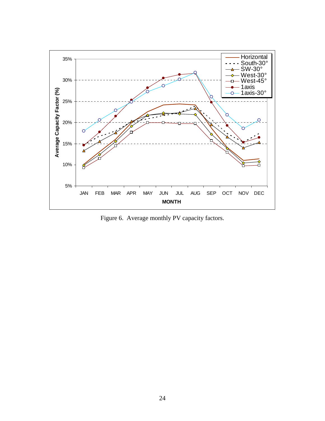<span id="page-33-0"></span>

Figure 6. Average monthly PV capacity factors.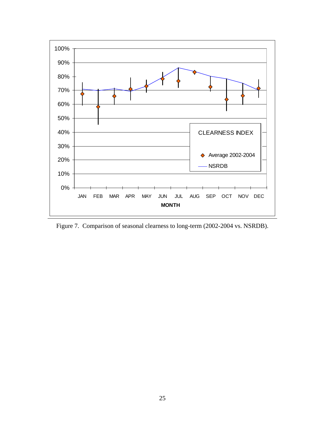<span id="page-34-0"></span>

Figure 7. Comparison of seasonal clearness to long-term (2002-2004 vs. NSRDB).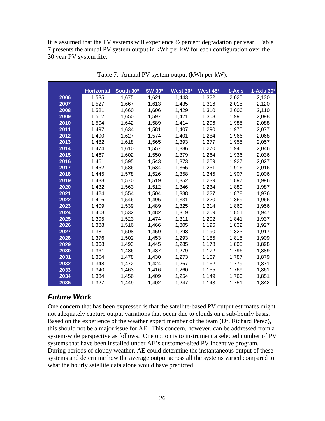<span id="page-35-0"></span>It is assumed that the PV systems will experience ½ percent degradation per year. Table 7 presents the annual PV system output in kWh per kW for each configuration over the 30 year PV system life.

|      | <b>Horizontal</b> | South 30° | <b>SW 30°</b> | West 30 <sup>o</sup> | West 45 <sup>o</sup> | 1-Axis | $1-Axis 30o$ |
|------|-------------------|-----------|---------------|----------------------|----------------------|--------|--------------|
| 2006 | 1,535             | 1,675     | 1,621         | 1,443                | 1,322                | 2,025  | 2,130        |
| 2007 | 1,527             | 1,667     | 1,613         | 1,435                | 1,316                | 2,015  | 2,120        |
| 2008 | 1,521             | 1,660     | 1,606         | 1,429                | 1,310                | 2,006  | 2,110        |
| 2009 | 1,512             | 1,650     | 1,597         | 1,421                | 1,303                | 1,995  | 2,098        |
| 2010 | 1,504             | 1,642     | 1,589         | 1,414                | 1,296                | 1,985  | 2,088        |
| 2011 | 1,497             | 1,634     | 1,581         | 1,407                | 1,290                | 1,975  | 2,077        |
| 2012 | 1,490             | 1,627     | 1,574         | 1,401                | 1,284                | 1,966  | 2,068        |
| 2013 | 1,482             | 1,618     | 1,565         | 1,393                | 1,277                | 1,955  | 2,057        |
| 2014 | 1,474             | 1,610     | 1,557         | 1,386                | 1,270                | 1,945  | 2,046        |
| 2015 | 1,467             | 1,602     | 1,550         | 1,379                | 1,264                | 1,936  | 2,036        |
| 2016 | 1,461             | 1,595     | 1,543         | 1,373                | 1,259                | 1,927  | 2,027        |
| 2017 | 1,452             | 1,586     | 1,534         | 1,365                | 1,251                | 1,916  | 2,016        |
| 2018 | 1,445             | 1,578     | 1,526         | 1,358                | 1,245                | 1,907  | 2,006        |
| 2019 | 1,438             | 1,570     | 1,519         | 1,352                | 1,239                | 1,897  | 1,996        |
| 2020 | 1,432             | 1,563     | 1,512         | 1,346                | 1,234                | 1,889  | 1,987        |
| 2021 | 1,424             | 1,554     | 1,504         | 1,338                | 1,227                | 1,878  | 1,976        |
| 2022 | 1,416             | 1,546     | 1,496         | 1,331                | 1,220                | 1,869  | 1,966        |
| 2023 | 1,409             | 1,539     | 1,489         | 1,325                | 1,214                | 1,860  | 1,956        |
| 2024 | 1,403             | 1,532     | 1,482         | 1,319                | 1,209                | 1,851  | 1,947        |
| 2025 | 1,395             | 1,523     | 1,474         | 1,311                | 1,202                | 1,841  | 1,937        |
| 2026 | 1,388             | 1,516     | 1,466         | 1,305                | 1,196                | 1,832  | 1,927        |
| 2027 | 1,381             | 1,508     | 1,459         | 1,298                | 1,190                | 1,823  | 1,917        |
| 2028 | 1,376             | 1,502     | 1,453         | 1,293                | 1,185                | 1,815  | 1,909        |
| 2029 | 1,368             | 1,493     | 1,445         | 1,285                | 1,178                | 1,805  | 1,898        |
| 2030 | 1,361             | 1,486     | 1,437         | 1,279                | 1,172                | 1,796  | 1,889        |
| 2031 | 1,354             | 1,478     | 1,430         | 1,273                | 1,167                | 1,787  | 1,879        |
| 2032 | 1,348             | 1,472     | 1,424         | 1,267                | 1,162                | 1,779  | 1,871        |
| 2033 | 1,340             | 1,463     | 1,416         | 1,260                | 1,155                | 1,769  | 1,861        |
| 2034 | 1,334             | 1,456     | 1,409         | 1,254                | 1,149                | 1,760  | 1,851        |
| 2035 | 1,327             | 1,449     | 1,402         | 1,247                | 1,143                | 1,751  | 1,842        |

Table 7. Annual PV system output (kWh per kW).

## *Future Work*

One concern that has been expressed is that the satellite-based PV output estimates might not adequately capture output variations that occur due to clouds on a sub-hourly basis. Based on the experience of the weather expert member of the team (Dr. Richard Perez), this should not be a major issue for AE. This concern, however, can be addressed from a system-wide perspective as follows. One option is to instrument a selected number of PV systems that have been installed under AE's customer-sited PV incentive program. During periods of cloudy weather, AE could determine the instantaneous output of these systems and determine how the average output across all the systems varied compared to what the hourly satellite data alone would have predicted.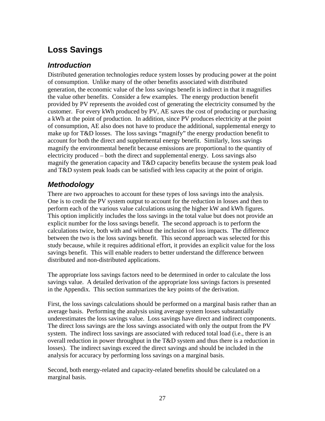# **Loss Savings**

### *Introduction*

Distributed generation technologies reduce system losses by producing power at the point of consumption. Unlike many of the other benefits associated with distributed generation, the economic value of the loss savings benefit is indirect in that it magnifies the value other benefits. Consider a few examples. The energy production benefit provided by PV represents the avoided cost of generating the electricity consumed by the customer. For every kWh produced by PV, AE saves the cost of producing or purchasing a kWh at the point of production. In addition, since PV produces electricity at the point of consumption, AE also does not have to produce the additional, supplemental energy to make up for T&D losses. The loss savings "magnify" the energy production benefit to account for both the direct and supplemental energy benefit. Similarly, loss savings magnify the environmental benefit because emissions are proportional to the quantity of electricity produced – both the direct and supplemental energy. Loss savings also magnify the generation capacity and T&D capacity benefits because the system peak load and T&D system peak loads can be satisfied with less capacity at the point of origin.

## *Methodology*

There are two approaches to account for these types of loss savings into the analysis. One is to credit the PV system output to account for the reduction in losses and then to perform each of the various value calculations using the higher kW and kWh figures. This option implicitly includes the loss savings in the total value but does not provide an explicit number for the loss savings benefit. The second approach is to perform the calculations twice, both with and without the inclusion of loss impacts. The difference between the two is the loss savings benefit. This second approach was selected for this study because, while it requires additional effort, it provides an explicit value for the loss savings benefit. This will enable readers to better understand the difference between distributed and non-distributed applications.

The appropriate loss savings factors need to be determined in order to calculate the loss savings value. A detailed derivation of the appropriate loss savings factors is presented in the Appendix. This section summarizes the key points of the derivation.

First, the loss savings calculations should be performed on a marginal basis rather than an average basis. Performing the analysis using average system losses substantially underestimates the loss savings value. Loss savings have direct and indirect components. The direct loss savings are the loss savings associated with only the output from the PV system. The indirect loss savings are associated with reduced total load (i.e., there is an overall reduction in power throughput in the T&D system and thus there is a reduction in losses). The indirect savings exceed the direct savings and should be included in the analysis for accuracy by performing loss savings on a marginal basis.

Second, both energy-related and capacity-related benefits should be calculated on a marginal basis.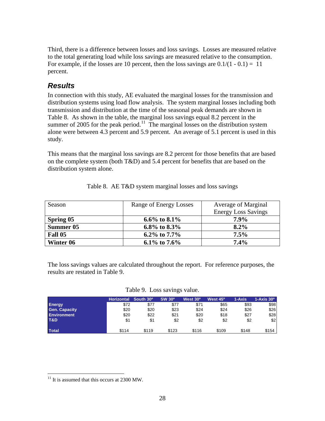Third, there is a difference between losses and loss savings. Losses are measured relative to the total generating load while loss savings are measured relative to the consumption. For example, if the losses are 10 percent, then the loss savings are  $0.1/(1 - 0.1) = 11$ percent.

# *Results*

In connection with this study, AE evaluated the marginal losses for the transmission and distribution systems using load flow analysis. The system marginal losses including both transmission and distribution at the time of the seasonal peak demands are shown in Table 8. As shown in the table, the marginal loss savings equal 8.2 percent in the summer of 2005 for the peak period.<sup>11</sup> The marginal losses on the distribution system alone were between 4.3 percent and 5.9 percent. An average of 5.1 percent is used in this study.

This means that the marginal loss savings are 8.2 percent for those benefits that are based on the complete system (both T&D) and 5.4 percent for benefits that are based on the distribution system alone.

| Season    | Range of Energy Losses | Average of Marginal        |
|-----------|------------------------|----------------------------|
|           |                        | <b>Energy Loss Savings</b> |
| Spring 05 | 6.6\% to 8.1\%         | 7.9%                       |
| Summer 05 | 6.8% to 8.3%           | $8.2\%$                    |
| Fall 05   | 6.2\% to 7.7\%         | 7.5%                       |
| Winter 06 | 6.1\% to 7.6\%         | 7.4%                       |

|  |  | Table 8. AE T&D system marginal losses and loss savings |
|--|--|---------------------------------------------------------|
|  |  |                                                         |

The loss savings values are calculated throughout the report. For reference purposes, the results are restated in Table 9.

Table 9. Loss savings value.

|                      | <b>Horizontal</b> | South 30° | <b>SW 30°</b> | West 30 <sup>°</sup> | West 45 <sup>°</sup> | 1-Axis | $1 - Axi$ s $30^\circ$ |
|----------------------|-------------------|-----------|---------------|----------------------|----------------------|--------|------------------------|
| <b>Energy</b>        | \$72              | \$77      | \$77          | \$71                 | \$65                 | \$93   | \$98                   |
| <b>Gen. Capacity</b> | \$20              | \$20      | \$23          | \$24                 | \$24                 | \$26   | \$26                   |
| <b>Environment</b>   | \$20              | \$22      | \$21          | \$20                 | \$18                 | \$27   | \$28                   |
| T&D                  | \$1               | \$1       | \$2           | \$2                  | \$2                  | \$2    | \$2                    |
| <b>Total</b>         | \$114             | \$119     | \$123         | \$116                | \$109                | \$148  | \$154                  |

<u>.</u>

 $11$  It is assumed that this occurs at 2300 MW.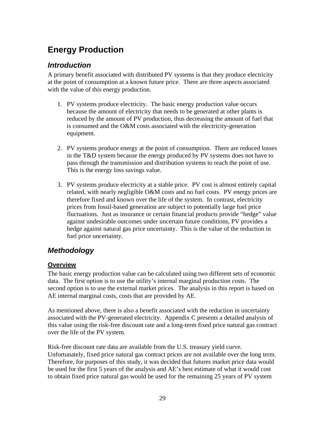# **Energy Production**

## *Introduction*

A primary benefit associated with distributed PV systems is that they produce electricity at the point of consumption at a known future price. There are three aspects associated with the value of this energy production.

- 1. PV systems produce electricity. The basic energy production value occurs because the amount of electricity that needs to be generated at other plants is reduced by the amount of PV production, thus decreasing the amount of fuel that is consumed and the O&M costs associated with the electricity-generation equipment.
- 2. PV systems produce energy at the point of consumption. There are reduced losses in the T&D system because the energy produced by PV systems does not have to pass through the transmission and distribution systems to reach the point of use. This is the energy loss savings value.
- 3. PV systems produce electricity at a stable price. PV cost is almost entirely capital related, with nearly negligible O&M costs and no fuel costs. PV energy prices are therefore fixed and known over the life of the system. In contrast, electricity prices from fossil-based generation are subject to potentially large fuel price fluctuations. Just as insurance or certain financial products provide "hedge" value against undesirable outcomes under uncertain future conditions, PV provides a hedge against natural gas price uncertainty. This is the value of the reduction in fuel price uncertainty.

# *Methodology*

#### **Overview**

The basic energy production value can be calculated using two different sets of economic data. The first option is to use the utility's internal marginal production costs. The second option is to use the external market prices. The analysis in this report is based on AE internal marginal costs, costs that are provided by AE.

As mentioned above, there is also a benefit associated with the reduction in uncertainty associated with the PV-generated electricity. Appendix C presents a detailed analysis of this value using the risk-free discount rate and a long-term fixed price natural gas contract over the life of the PV system.

Risk-free discount rate data are available from the U.S. treasury yield curve. Unfortunately, fixed price natural gas contract prices are not available over the long term. Therefore, for purposes of this study, it was decided that futures market price data would be used for the first 5 years of the analysis and AE's best estimate of what it would cost to obtain fixed price natural gas would be used for the remaining 25 years of PV system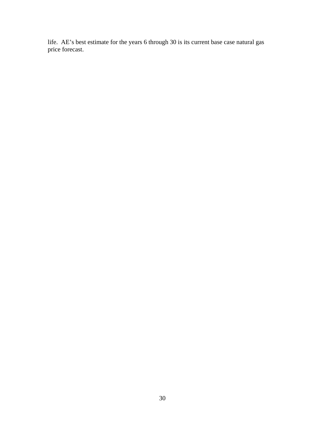life.AE's best estimate for the years 6 through 30 is its current base case natural gas price forecast.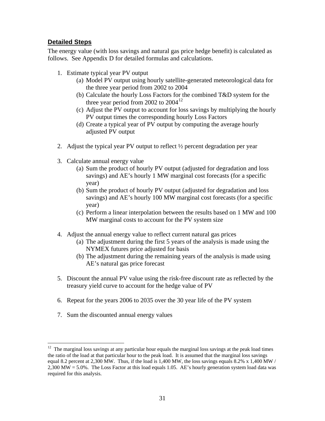#### **Detailed Steps**

The energy value (with loss savings and natural gas price hedge benefit) is calculated as follows. See Appendix D for detailed formulas and calculations.

- 1. Estimate typical year PV output
	- (a) Model PV output using hourly satellite-generated meteorological data for the three year period from 2002 to 2004
	- (b) Calculate the hourly Loss Factors for the combined T&D system for the three year period from 2002 to  $2004^{12}$
	- (c) Adjust the PV output to account for loss savings by multiplying the hourly PV output times the corresponding hourly Loss Factors
	- (d) Create a typical year of PV output by computing the average hourly adjusted PV output
- 2. Adjust the typical year PV output to reflect ½ percent degradation per year
- 3. Calculate annual energy value
	- (a) Sum the product of hourly PV output (adjusted for degradation and loss savings) and AE's hourly 1 MW marginal cost forecasts (for a specific year)
	- (b) Sum the product of hourly PV output (adjusted for degradation and loss savings) and AE's hourly 100 MW marginal cost forecasts (for a specific year)
	- (c) Perform a linear interpolation between the results based on 1 MW and 100 MW marginal costs to account for the PV system size
- 4. Adjust the annual energy value to reflect current natural gas prices
	- (a) The adjustment during the first 5 years of the analysis is made using the NYMEX futures price adjusted for basis
	- (b) The adjustment during the remaining years of the analysis is made using AE's natural gas price forecast
- 5. Discount the annual PV value using the risk-free discount rate as reflected by the treasury yield curve to account for the hedge value of PV
- 6. Repeat for the years 2006 to 2035 over the 30 year life of the PV system
- 7. Sum the discounted annual energy values

 $\overline{a}$ 

 $12$  The marginal loss savings at any particular hour equals the marginal loss savings at the peak load times the ratio of the load at that particular hour to the peak load. It is assumed that the marginal loss savings equal 8.2 percent at 2,300 MW. Thus, if the load is 1,400 MW, the loss savings equals 8.2%  $x$  1,400 MW / 2,300 MW = 5.0%. The Loss Factor at this load equals 1.05. AE's hourly generation system load data was required for this analysis.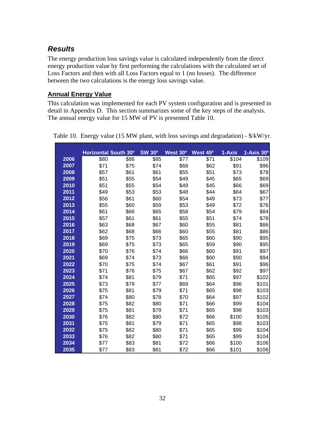# *Results*

The energy production loss savings value is calculated independently from the direct energy production value by first performing the calculations with the calculated set of Loss Factors and then with all Loss Factors equal to 1 (no losses). The difference between the two calculations is the energy loss savings value.

#### **Annual Energy Value**

This calculation was implemented for each PV system configuration and is presented in detail in Appendix D. This section summarizes some of the key steps of the analysis. The annual energy value for 15 MW of PV is presented Table 10.

|      | <b>Horizontal South 30°</b> |      | <b>SW 30°</b> | West 30° | West 45 <sup>o</sup> | 1-Axis | 1-Axis 30 <sup>o</sup> |
|------|-----------------------------|------|---------------|----------|----------------------|--------|------------------------|
| 2006 | \$80                        | \$86 | \$85          | \$77     | \$71                 | \$104  | \$109                  |
| 2007 | \$71                        | \$75 | \$74          | \$68     | \$62                 | \$91   | \$96                   |
| 2008 | \$57                        | \$61 | \$61          | \$55     | \$51                 | \$73   | \$78                   |
| 2009 | \$51                        | \$55 | \$54          | \$49     | \$45                 | \$65   | \$69                   |
| 2010 | \$51                        | \$55 | \$54          | \$49     | \$45                 | \$66   | \$69                   |
| 2011 | \$49                        | \$53 | \$53          | \$48     | \$44                 | \$64   | \$67                   |
| 2012 | \$56                        | \$61 | \$60          | \$54     | \$49                 | \$73   | \$77                   |
| 2013 | \$55                        | \$60 | \$59          | \$53     | \$49                 | \$72   | \$76                   |
| 2014 | \$61                        | \$66 | \$65          | \$58     | \$54                 | \$79   | \$84                   |
| 2015 | \$57                        | \$61 | \$61          | \$55     | \$51                 | \$74   | \$78                   |
| 2016 | \$63                        | \$68 | \$67          | \$60     | \$55                 | \$81   | \$86                   |
| 2017 | \$62                        | \$68 | \$66          | \$60     | \$55                 | \$81   | \$86                   |
| 2018 | \$69                        | \$75 | \$73          | \$65     | \$60                 | \$90   | \$95                   |
| 2019 | \$69                        | \$75 | \$73          | \$65     | \$59                 | \$90   | \$95                   |
| 2020 | \$70                        | \$76 | \$74          | \$66     | \$60                 | \$91   | \$97                   |
| 2021 | \$69                        | \$74 | \$73          | \$66     | \$60                 | \$90   | \$94                   |
| 2022 | \$70                        | \$75 | \$74          | \$67     | \$61                 | \$91   | \$96                   |
| 2023 | \$71                        | \$76 | \$75          | \$67     | \$62                 | \$92   | \$97                   |
| 2024 | \$74                        | \$81 | \$79          | \$71     | \$65                 | \$97   | \$102                  |
| 2025 | \$73                        | \$79 | \$77          | \$69     | \$64                 | \$96   | \$101                  |
| 2026 | \$75                        | \$81 | \$79          | \$71     | \$65                 | \$98   | \$103                  |
| 2027 | \$74                        | \$80 | \$78          | \$70     | \$64                 | \$97   | \$102                  |
| 2028 | \$75                        | \$82 | \$80          | \$71     | \$66                 | \$99   | \$104                  |
| 2029 | \$75                        | \$81 | \$79          | \$71     | \$65                 | \$98   | \$103                  |
| 2030 | \$76                        | \$82 | \$80          | \$72     | \$66                 | \$100  | \$105                  |
| 2031 | \$75                        | \$81 | \$79          | \$71     | \$65                 | \$98   | \$103                  |
| 2032 | \$75                        | \$82 | \$80          | \$71     | \$65                 | \$99   | \$104                  |
| 2033 | \$76                        | \$82 | \$80          | \$71     | \$65                 | \$99   | \$104                  |
| 2034 | \$77                        | \$83 | \$81          | \$72     | \$66                 | \$100  | \$106                  |
| 2035 | \$77                        | \$83 | \$81          | \$72     | \$66                 | \$101  | \$106                  |

Table 10. Energy value (15 MW plant, with loss savings and degradation) - \$/kW/yr.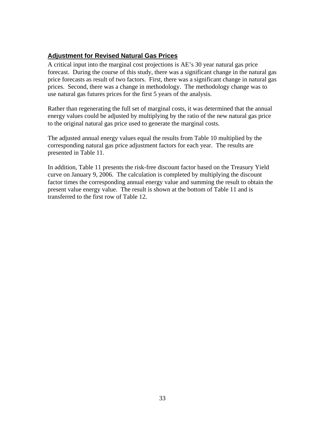#### **Adjustment for Revised Natural Gas Prices**

A critical input into the marginal cost projections is AE's 30 year natural gas price forecast. During the course of this study, there was a significant change in the natural gas price forecasts as result of two factors. First, there was a significant change in natural gas prices. Second, there was a change in methodology. The methodology change was to use natural gas futures prices for the first 5 years of the analysis.

Rather than regenerating the full set of marginal costs, it was determined that the annual energy values could be adjusted by multiplying by the ratio of the new natural gas price to the original natural gas price used to generate the marginal costs.

The adjusted annual energy values equal the results from Table 10 multiplied by the corresponding natural gas price adjustment factors for each year. The results are presented in Table 11.

In addition, Table 11 presents the risk-free discount factor based on the Treasury Yield curve on January 9, 2006. The calculation is completed by multiplying the discount factor times the corresponding annual energy value and summing the result to obtain the present value energy value. The result is shown at the bottom of Table 11 and is transferred to the first row of Table 12.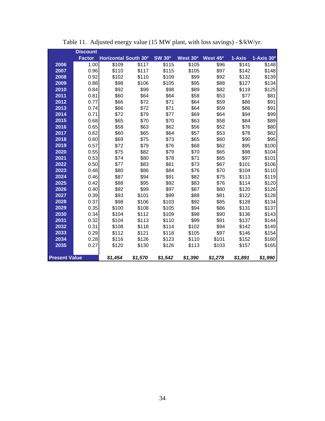|                      | <b>Discount</b> |                             |         |               |          |                      |         |                        |
|----------------------|-----------------|-----------------------------|---------|---------------|----------|----------------------|---------|------------------------|
|                      | <b>Factor</b>   | <b>Horizontal South 30°</b> |         | <b>SW 30°</b> | West 30° | West 45 <sup>o</sup> | 1-Axis  | $1-Ax$ is $30^{\circ}$ |
| 2006                 | 1.00            | \$109                       | \$117   | \$115         | \$105    | \$96                 | \$141   | \$148                  |
| 2007                 | 0.96            | \$110                       | \$117   | \$115         | \$105    | \$97                 | \$142   | \$148                  |
| 2008                 | 0.92            | \$102                       | \$110   | \$109         | \$99     | \$92                 | \$132   | \$139                  |
| 2009                 | 0.88            | \$98                        | \$106   | \$105         | \$95     | \$88                 | \$127   | \$134                  |
| 2010                 | 0.84            | \$92                        | \$99    | \$98          | \$89     | \$82                 | \$119   | \$125                  |
| 2011                 | 0.81            | \$60                        | \$64    | \$64          | \$58     | \$53                 | \$77    | \$81                   |
| 2012                 | 0.77            | \$66                        | \$72    | \$71          | \$64     | \$59                 | \$86    | \$91                   |
| 2013                 | 0.74            | \$66                        | \$72    | \$71          | \$64     | \$59                 | \$86    | \$91                   |
| 2014                 | 0.71            | \$72                        | \$79    | \$77          | \$69     | \$64                 | \$94    | \$99                   |
| 2015                 | 0.68            | \$65                        | \$70    | \$70          | \$63     | \$58                 | \$84    | \$89                   |
| 2016                 | 0.65            | \$58                        | \$63    | \$62          | \$56     | \$52                 | \$76    | \$80                   |
| 2017                 | 0.62            | \$60                        | \$65    | \$64          | \$57     | \$53                 | \$78    | \$82                   |
| 2018                 | 0.60            | \$69                        | \$75    | \$73          | \$65     | \$60                 | \$90    | \$95                   |
| 2019                 | 0.57            | \$72                        | \$79    | \$76          | \$68     | \$62                 | \$95    | \$100                  |
| 2020                 | 0.55            | \$75                        | \$82    | \$79          | \$70     | \$65                 | \$98    | \$104                  |
| 2021                 | 0.53            | \$74                        | \$80    | \$78          | \$71     | \$65                 | \$97    | \$101                  |
| 2022                 | 0.50            | \$77                        | \$83    | \$81          | \$73     | \$67                 | \$101   | \$106                  |
| 2023                 | 0.48            | \$80                        | \$86    | \$84          | \$76     | \$70                 | \$104   | \$110                  |
| 2024                 | 0.46            | \$87                        | \$94    | \$91          | \$82     | \$75                 | \$113   | \$119                  |
| 2025                 | 0.42            | \$88                        | \$95    | \$92          | \$83     | \$76                 | \$114   | \$120                  |
| 2026                 | 0.40            | \$92                        | \$99    | \$97          | \$87     | \$80                 | \$120   | \$126                  |
| 2027                 | 0.39            | \$93                        | \$101   | \$99          | \$88     | \$81                 | \$122   | \$128                  |
| 2028                 | 0.37            | \$98                        | \$106   | \$103         | \$92     | \$85                 | \$128   | \$134                  |
| 2029                 | 0.35            | \$100                       | \$108   | \$105         | \$94     | \$86                 | \$131   | \$137                  |
| 2030                 | 0.34            | \$104                       | \$112   | \$109         | \$98     | \$90                 | \$136   | \$143                  |
| 2031                 | 0.32            | \$104                       | \$113   | \$110         | \$99     | \$91                 | \$137   | \$144                  |
| 2032                 | 0.31            | \$108                       | \$118   | \$114         | \$102    | \$94                 | \$142   | \$149                  |
| 2033                 | 0.29            | \$112                       | \$121   | \$118         | \$105    | \$97                 | \$146   | \$154                  |
| 2034                 | 0.28            | \$116                       | \$126   | \$123         | \$110    | \$101                | \$152   | \$160                  |
| 2035                 | 0.27            | \$120                       | \$130   | \$126         | \$113    | \$103                | \$157   | \$165                  |
| <b>Present Value</b> |                 | \$1.454                     | \$1,570 | \$1,542       | \$1,390  | \$1,278              | \$1,891 | \$1,990                |

Table 11. Adjusted energy value (15 MW plant, with loss savings) - \$/kW/yr.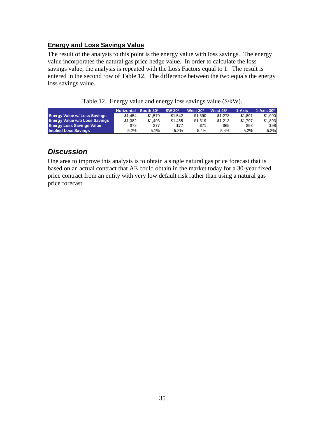#### **Energy and Loss Savings Value**

The result of the analysis to this point is the energy value with loss savings. The energy value incorporates the natural gas price hedge value. In order to calculate the loss savings value, the analysis is repeated with the Loss Factors equal to 1. The result is entered in the second row of Table 12. The difference between the two equals the energy loss savings value.

|  |  | Table 12. Energy value and energy loss savings value (\$/kW). |  |  |
|--|--|---------------------------------------------------------------|--|--|
|--|--|---------------------------------------------------------------|--|--|

|                                      | Horizontal South 30 <sup>o</sup> |         | SW 30 <sup>°</sup> | West 30 <sup>°</sup> | West 45º | $1 - A$ xis | $1-Ax$ is $30^\circ$ |
|--------------------------------------|----------------------------------|---------|--------------------|----------------------|----------|-------------|----------------------|
| <b>Energy Value w/ Loss Savings</b>  | \$1.454                          | \$1.570 | \$1.542            | \$1,390              | \$1,278  | \$1.891     | \$1,990              |
| <b>Energy Value w/o Loss Savings</b> | \$1.382                          | \$1.493 | \$1.465            | \$1.319              | \$1.213  | \$1.797     | \$1,893              |
| <b>Energy Loss Savings Value</b>     | \$72                             | \$77    | \$77               | \$71                 | \$65     | \$93        | \$98                 |
| <b>Implied Loss Savings</b>          | 5.2%                             | 5.1%    | $5.2\%$            | 5.4%                 | 5.4%     | 5.2%        | 5.2%                 |

### *Discussion*

One area to improve this analysis is to obtain a single natural gas price forecast that is based on an actual contract that AE could obtain in the market today for a 30-year fixed price contract from an entity with very low default risk rather than using a natural gas price forecast.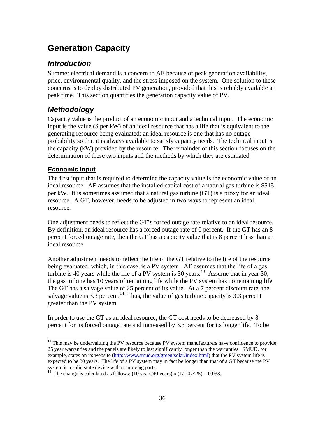# **Generation Capacity**

## *Introduction*

Summer electrical demand is a concern to AE because of peak generation availability, price, environmental quality, and the stress imposed on the system. One solution to these concerns is to deploy distributed PV generation, provided that this is reliably available at peak time. This section quantifies the generation capacity value of PV.

# *Methodology*

Capacity value is the product of an economic input and a technical input. The economic input is the value (\$ per kW) of an ideal resource that has a life that is equivalent to the generating resource being evaluated; an ideal resource is one that has no outage probability so that it is always available to satisfy capacity needs. The technical input is the capacity (kW) provided by the resource. The remainder of this section focuses on the determination of these two inputs and the methods by which they are estimated.

#### **Economic Input**

The first input that is required to determine the capacity value is the economic value of an ideal resource. AE assumes that the installed capital cost of a natural gas turbine is \$515 per kW. It is sometimes assumed that a natural gas turbine (GT) is a proxy for an ideal resource. A GT, however, needs to be adjusted in two ways to represent an ideal resource.

One adjustment needs to reflect the GT's forced outage rate relative to an ideal resource. By definition, an ideal resource has a forced outage rate of 0 percent. If the GT has an 8 percent forced outage rate, then the GT has a capacity value that is 8 percent less than an ideal resource.

Another adjustment needs to reflect the life of the GT relative to the life of the resource being evaluated, which, in this case, is a PV system. AE assumes that the life of a gas turbine is 40 years while the life of a PV system is 30 years.<sup>13</sup> Assume that in year 30, the gas turbine has 10 years of remaining life while the PV system has no remaining life. The GT has a salvage value of 25 percent of its value. At a 7 percent discount rate, the salvage value is  $3.3$  percent.<sup>14</sup> Thus, the value of gas turbine capacity is  $3.3$  percent greater than the PV system.

In order to use the GT as an ideal resource, the GT cost needs to be decreased by 8 percent for its forced outage rate and increased by 3.3 percent for its longer life. To be

 $\overline{a}$  $13$  This may be undervaluing the PV resource because PV system manufacturers have confidence to provide 25 year warranties and the panels are likely to last significantly longer than the warranties. SMUD, for example, states on its website (http://www.smud.org/green/solar/index.html) that the PV system life is expected to be 30 years. The life of a PV system may in fact be longer than that of a GT because the PV system is a solid state device with no moving parts.

<sup>&</sup>lt;sup>14</sup> The change is calculated as follows: (10 years/40 years) x (1/1.07^25) = 0.033.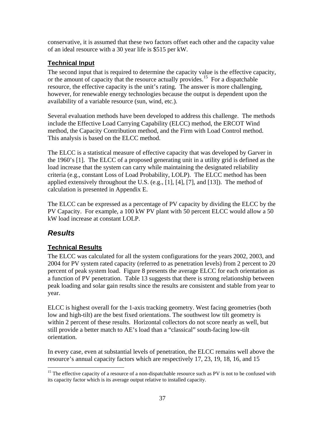conservative, it is assumed that these two factors offset each other and the capacity value of an ideal resource with a 30 year life is \$515 per kW.

#### **Technical Input**

The second input that is required to determine the capacity value is the effective capacity, or the amount of capacity that the resource actually provides.<sup>15</sup> For a dispatchable resource, the effective capacity is the unit's rating. The answer is more challenging, however, for renewable energy technologies because the output is dependent upon the availability of a variable resource (sun, wind, etc.).

Several evaluation methods have been developed to address this challenge. The methods include the Effective Load Carrying Capability (ELCC) method, the ERCOT Wind method, the Capacity Contribution method, and the Firm with Load Control method. This analysis is based on the ELCC method.

The ELCC is a statistical measure of effective capacity that was developed by Garver in the 1960's [1]. The ELCC of a proposed generating unit in a utility grid is defined as the load increase that the system can carry while maintaining the designated reliability criteria (e.g., constant Loss of Load Probability, LOLP). The ELCC method has been applied extensively throughout the U.S. (e.g., [1], [4], [7], and [13]). The method of calculation is presented in Appendix E.

The ELCC can be expressed as a percentage of PV capacity by dividing the ELCC by the PV Capacity. For example, a 100 kW PV plant with 50 percent ELCC would allow a 50 kW load increase at constant LOLP.

# *Results*

 $\overline{a}$ 

#### **Technical Results**

The ELCC was calculated for all the system configurations for the years 2002, 2003, and 2004 for PV system rated capacity (referred to as penetration levels) from 2 percent to 20 percent of peak system load. Figure 8 presents the average ELCC for each orientation as a function of PV penetration. Table 13 suggests that there is strong relationship between peak loading and solar gain results since the results are consistent and stable from year to year.

ELCC is highest overall for the 1-axis tracking geometry. West facing geometries (both low and high-tilt) are the best fixed orientations. The southwest low tilt geometry is within 2 percent of these results. Horizontal collectors do not score nearly as well, but still provide a better match to AE's load than a "classical" south-facing low-tilt orientation.

In every case, even at substantial levels of penetration, the ELCC remains well above the resource's annual capacity factors which are respectively 17, 23, 19, 18, 16, and 15

<sup>&</sup>lt;sup>15</sup> The effective capacity of a resource of a non-dispatchable resource such as PV is not to be confused with its capacity factor which is its average output relative to installed capacity.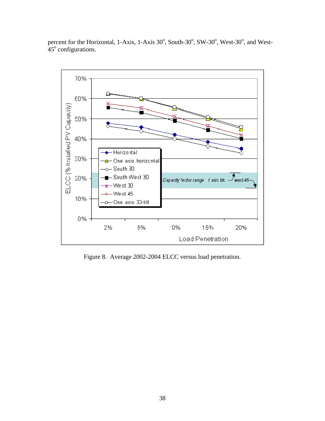

percent for the Horizontal, 1-Axis, 1-Axis 30°, South-30°, SW-30°, West-30°, and West- $45^\circ$  configurations.

Figure 8. Average 2002-2004 ELCC versus load penetration.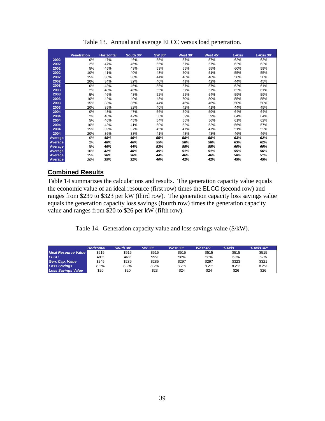|                | <b>Penetration</b> | <b>Horizontal</b> | South 30° | <b>SW 30°</b> | West 30° | West 45 <sup>o</sup> | 1-Axis | $1-Axis 30o$ |
|----------------|--------------------|-------------------|-----------|---------------|----------|----------------------|--------|--------------|
| 2002           | 0%                 | 47%               | 46%       | 55%           | 57%      | 57%                  | 62%    | 62%          |
| 2002           | 2%                 | 47%               | 46%       | 55%           | 57%      | 57%                  | 62%    | 62%          |
| 2002           | 5%                 | 45%               | 43%       | 53%           | 55%      | 55%                  | 60%    | 59%          |
| 2002           | 10%                | 41%               | 40%       | 48%           | 50%      | 51%                  | 55%    | 55%          |
| 2002           | 15%                | 38%               | 36%       | 44%           | 46%      | 46%                  | 50%    | 50%          |
| 2002           | 20%                | 34%               | 32%       | 40%           | 41%      | 42%                  | 44%    | 45%          |
| 2003           | 0%                 | 48%               | 46%       | 55%           | 57%      | 57%                  | 62%    | 61%          |
| 2003           | 2%                 | 48%               | 46%       | 55%           | 57%      | 57%                  | 62%    | 61%          |
| 2003           | 5%                 | 46%               | 43%       | 52%           | 55%      | 54%                  | 59%    | 59%          |
| 2003           | 10%                | 42%               | 40%       | 48%           | 50%      | 50%                  | 55%    | 55%          |
| 2003           | 15%                | 38%               | 36%       | 44%           | 46%      | 46%                  | 50%    | 50%          |
| 2003           | 20%                | 35%               | 32%       | 40%           | 42%      | 41%                  | 44%    | 45%          |
| 2004           | 0%                 | 48%               | 47%       | 56%           | 59%      | 59%                  | 64%    | 64%          |
| 2004           | 2%                 | 48%               | 47%       | 56%           | 59%      | 59%                  | 64%    | 64%          |
| 2004           | 5%                 | 46%               | 45%       | 54%           | 56%      | 56%                  | 61%    | 62%          |
| 2004           | 10%                | 43%               | 41%       | 50%           | 52%      | 52%                  | 56%    | 57%          |
| 2004           | 15%                | 39%               | 37%       | 45%           | 47%      | 47%                  | 51%    | 52%          |
| 2004           | 20%                | 36%               | 33%       | 41%           | 43%      | 43%                  | 46%    | 46%          |
| Average        | 0%                 | 48%               | 46%       | 55%           | 58%      | 58%                  | 63%    | 62%          |
| Average        | 2%                 | 48%               | 46%       | 55%           | 58%      | 58%                  | 63%    | 62%          |
| <b>Average</b> | 5%                 | 46%               | 44%       | 53%           | 55%      | 55%                  | 60%    | 60%          |
| Average        | 10%                | 42%               | 40%       | 49%           | 51%      | 51%                  | 55%    | 56%          |
| <b>Average</b> | 15%                | 38%               | 36%       | 44%           | 46%      | 46%                  | 50%    | 51%          |
| Average        | 20%                | 35%               | 32%       | 40%           | 42%      | 42%                  | 45%    | 45%          |

Table 13. Annual and average ELCC versus load penetration.

#### **Combined Results**

Table 14 summarizes the calculations and results. The generation capacity value equals the economic value of an ideal resource (first row) times the ELCC (second row) and ranges from \$239 to \$323 per kW (third row). The generation capacity loss savings value equals the generation capacity loss savings (fourth row) times the generation capacity value and ranges from \$20 to \$26 per kW (fifth row).

Table 14. Generation capacity value and loss savings value (\$/kW).

|                             | <b>Horizontal</b> | South 30 <sup>°</sup> | SW 30 <sup>°</sup> | West $30o$ | West 45 <sup>o</sup> | $1-Axis$ | $1-Ax$ is 30 $^{\circ}$ |
|-----------------------------|-------------------|-----------------------|--------------------|------------|----------------------|----------|-------------------------|
| <b>Ideal Resource Value</b> | \$515             | \$515                 | \$515              | \$515      | \$515                | \$515    | \$515                   |
| <b>ELCC</b>                 | 48%               | 46%                   | 55%                | 58%        | 58%                  | 63%      | 62%                     |
| Gen. Cap. Value             | \$245             | \$239                 | \$285              | \$297      | \$297                | \$323    | \$321                   |
| <b>Loss Savings</b>         | 8.2%              | 8.2%                  | 8.2%               | 8.2%       | 8.2%                 | 8.2%     | 8.2%                    |
| <b>Loss Savings Value</b>   | \$20              | \$20                  | \$23               | \$24       | \$24                 | \$26     | \$26                    |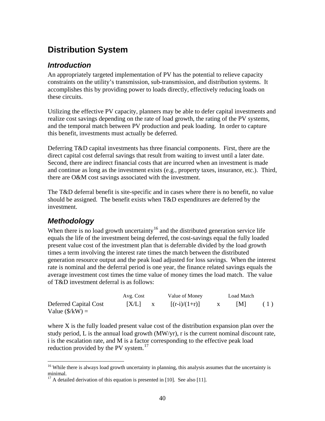# **Distribution System**

## *Introduction*

An appropriately targeted implementation of PV has the potential to relieve capacity constraints on the utility's transmission, sub-transmission, and distribution systems. It accomplishes this by providing power to loads directly, effectively reducing loads on these circuits.

Utilizing the effective PV capacity, planners may be able to defer capital investments and realize cost savings depending on the rate of load growth, the rating of the PV systems, and the temporal match between PV production and peak loading. In order to capture this benefit, investments must actually be deferred.

Deferring T&D capital investments has three financial components. First, there are the direct capital cost deferral savings that result from waiting to invest until a later date. Second, there are indirect financial costs that are incurred when an investment is made and continue as long as the investment exists (e.g., property taxes, insurance, etc.). Third, there are O&M cost savings associated with the investment.

The T&D deferral benefit is site-specific and in cases where there is no benefit, no value should be assigned. The benefit exists when T&D expenditures are deferred by the investment.

# *Methodology*

When there is no load growth uncertainty<sup>16</sup> and the distributed generation service life equals the life of the investment being deferred, the cost-savings equal the fully loaded present value cost of the investment plan that is deferrable divided by the load growth times a term involving the interest rate times the match between the distributed generation resource output and the peak load adjusted for loss savings. When the interest rate is nominal and the deferral period is one year, the finance related savings equals the average investment cost times the time value of money times the load match. The value of T&D investment deferral is as follows:

|                                                   | Avg. Cost | Value of Money  | Load Match |     |
|---------------------------------------------------|-----------|-----------------|------------|-----|
| Deferred Capital Cost<br>Value $(\frac{S}{K}W)$ = | $ X/L $ x | $[(r-i)/(1+r)]$ | IMI        | (1) |

where X is the fully loaded present value cost of the distribution expansion plan over the study period, L is the annual load growth (MW/yr), r is the current nominal discount rate, i is the escalation rate, and M is a factor corresponding to the effective peak load reduction provided by the PV system. $^{17}$ 

<sup>1</sup> <sup>16</sup> While there is always load growth uncertainty in planning, this analysis assumes that the uncertainty is minimal.

<sup>&</sup>lt;sup>17</sup> A detailed derivation of this equation is presented in [10]. See also [11].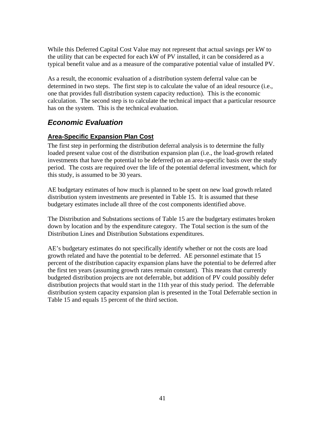While this Deferred Capital Cost Value may not represent that actual savings per kW to the utility that can be expected for each kW of PV installed, it can be considered as a typical benefit value and as a measure of the comparative potential value of installed PV.

As a result, the economic evaluation of a distribution system deferral value can be determined in two steps. The first step is to calculate the value of an ideal resource (i.e., one that provides full distribution system capacity reduction). This is the economic calculation. The second step is to calculate the technical impact that a particular resource has on the system. This is the technical evaluation.

# *Economic Evaluation*

#### **Area-Specific Expansion Plan Cost**

The first step in performing the distribution deferral analysis is to determine the fully loaded present value cost of the distribution expansion plan (i.e., the load-growth related investments that have the potential to be deferred) on an area-specific basis over the study period. The costs are required over the life of the potential deferral investment, which for this study, is assumed to be 30 years.

AE budgetary estimates of how much is planned to be spent on new load growth related distribution system investments are presented in Table 15. It is assumed that these budgetary estimates include all three of the cost components identified above.

The Distribution and Substations sections of Table 15 are the budgetary estimates broken down by location and by the expenditure category. The Total section is the sum of the Distribution Lines and Distribution Substations expenditures.

AE's budgetary estimates do not specifically identify whether or not the costs are load growth related and have the potential to be deferred. AE personnel estimate that 15 percent of the distribution capacity expansion plans have the potential to be deferred after the first ten years (assuming growth rates remain constant). This means that currently budgeted distribution projects are not deferrable, but addition of PV could possibly defer distribution projects that would start in the 11th year of this study period. The deferrable distribution system capacity expansion plan is presented in the Total Deferrable section in Table 15 and equals 15 percent of the third section.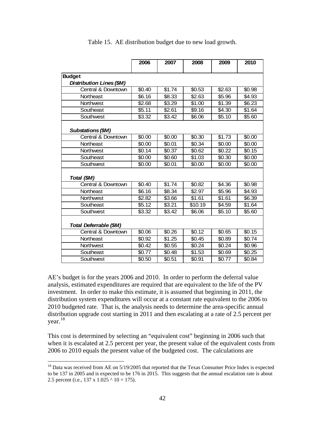|                                 | 2006   | 2007   | 2008    | 2009               | 2010   |
|---------------------------------|--------|--------|---------|--------------------|--------|
| <b>Budget</b>                   |        |        |         |                    |        |
| <b>Distribution Lines (\$M)</b> |        |        |         |                    |        |
| Central & Downtown              | \$0.40 | \$1.74 | \$0.53  | \$2.63             | \$0.98 |
| Northeast                       | \$6.16 | \$8.33 | \$2.63  | $\overline{$}5.96$ | \$4.93 |
| Northwest                       | \$2.68 | \$3.29 | \$1.00  | \$1.39             | \$6.23 |
| Southeast                       | \$5.11 | \$2.61 | \$9.16  | $$4.\overline{30}$ | \$1.64 |
| Southwest                       | \$3.32 | \$3.42 | \$6.06  | \$5.10             | \$5.60 |
| Substations (\$M)               |        |        |         |                    |        |
| Central & Downtown              | \$0.00 | \$0.00 | \$0.30  | \$1.73             | \$0.00 |
| Northeast                       | \$0.00 | \$0.01 | \$0.34  | \$0.00             | \$0.00 |
| Northwest                       | \$0.14 | \$0.37 | \$0.62  | \$0.22             | \$0.15 |
| Southeast                       | \$0.00 | \$0.60 | \$1.03  | \$0.30             | \$0.00 |
| Southwest                       | \$0.00 | \$0.01 | \$0.00  | \$0.00             | \$0.00 |
| Total (\$M)                     |        |        |         |                    |        |
| Central & Downtown              | \$0.40 | \$1.74 | \$0.82  | \$4.36             | \$0.98 |
| Northeast                       | \$6.16 | \$8.34 | \$2.97  | \$5.96             | \$4.93 |
| Northwest                       | \$2.82 | \$3.66 | \$1.61  | \$1.61             | \$6.39 |
| Southeast                       | \$5.12 | \$3.21 | \$10.19 | \$4.59             | \$1.64 |
| Southwest                       | \$3.32 | \$3.42 | \$6.06  | \$5.10             | \$5.60 |
| Total Deferrable (\$M)          |        |        |         |                    |        |
| Central & Downtown              | \$0.06 | \$0.26 | \$0.12  | \$0.65             | \$0.15 |
| Northeast                       | \$0.92 | \$1.25 | \$0.45  | \$0.89             | \$0.74 |
| Northwest                       | \$0.42 | \$0.55 | \$0.24  | \$0.24             | \$0.96 |
| Southeast                       | \$0.77 | \$0.48 | \$1.53  | \$0.69             | \$0.25 |
| Southwest                       | \$0.50 | \$0.51 | \$0.91  | \$0.77             | \$0.84 |

Table 15. AE distribution budget due to new load growth.

AE's budget is for the years 2006 and 2010. In order to perform the deferral value analysis, estimated expenditures are required that are equivalent to the life of the PV investment. In order to make this estimate, it is assumed that beginning in 2011, the distribution system expenditures will occur at a constant rate equivalent to the 2006 to 2010 budgeted rate. That is, the analysis needs to determine the area-specific annual distribution upgrade cost starting in 2011 and then escalating at a rate of 2.5 percent per year.<sup>18</sup>

This cost is determined by selecting an "equivalent cost" beginning in 2006 such that when it is escalated at 2.5 percent per year, the present value of the equivalent costs from 2006 to 2010 equals the present value of the budgeted cost. The calculations are

 $\overline{a}$ <sup>18</sup> Data was received from AE on 5/19/2005 that reported that the Texas Consumer Price Index is expected to be 137 in 2005 and is expected to be 176 in 2015. This suggests that the annual escalation rate is about 2.5 percent (i.e., 137 x 1.025  $\land$  10 = 175).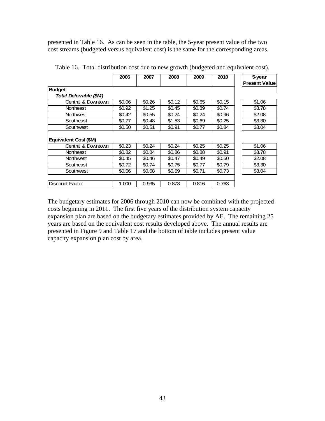presented in Table 16. As can be seen in the table, the 5-year present value of the two cost streams (budgeted versus equivalent cost) is the same for the corresponding areas.

|                        | 2006   | 2007   | 2008   | 2009   | 2010   | 5-year               |
|------------------------|--------|--------|--------|--------|--------|----------------------|
|                        |        |        |        |        |        | <b>Present Value</b> |
| <b>Budget</b>          |        |        |        |        |        |                      |
| Total Deferrable (\$M) |        |        |        |        |        |                      |
| Central & Downtown     | \$0.06 | \$0.26 | \$0.12 | \$0.65 | \$0.15 | \$1.06               |
| Northeast              | \$0.92 | \$1.25 | \$0.45 | \$0.89 | \$0.74 | \$3.78               |
| <b>Northwest</b>       | \$0.42 | \$0.55 | \$0.24 | \$0.24 | \$0.96 | \$2.08               |
| Southeast              | \$0.77 | \$0.48 | \$1.53 | \$0.69 | \$0.25 | \$3.30               |
| Southwest              | \$0.50 | \$0.51 | \$0.91 | \$0.77 | \$0.84 | \$3.04               |
|                        |        |        |        |        |        |                      |
| Equivalent Cost (\$M)  |        |        |        |        |        |                      |
| Central & Downtown     | \$0.23 | \$0.24 | \$0.24 | \$0.25 | \$0.25 | \$1.06               |
| Northeast              | \$0.82 | \$0.84 | \$0.86 | \$0.88 | \$0.91 | \$3.78               |
| <b>Northwest</b>       | \$0.45 | \$0.46 | \$0.47 | \$0.49 | \$0.50 | \$2.08               |
| Southeast              | \$0.72 | \$0.74 | \$0.75 | \$0.77 | \$0.79 | \$3.30               |
| Southwest              | \$0.66 | \$0.68 | \$0.69 | \$0.71 | \$0.73 | \$3.04               |
|                        |        |        |        |        |        |                      |
| <b>Discount Factor</b> | 1.000  | 0.935  | 0.873  | 0.816  | 0.763  |                      |

Table 16. Total distribution cost due to new growth (budgeted and equivalent cost).

The budgetary estimates for 2006 through 2010 can now be combined with the projected costs beginning in 2011. The first five years of the distribution system capacity expansion plan are based on the budgetary estimates provided by AE. The remaining 25 years are based on the equivalent cost results developed above. The annual results are presented in Figure 9 and Table 17 and the bottom of table includes present value capacity expansion plan cost by area.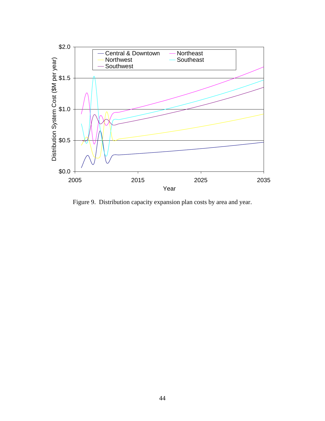

Figure 9. Distribution capacity expansion plan costs by area and year.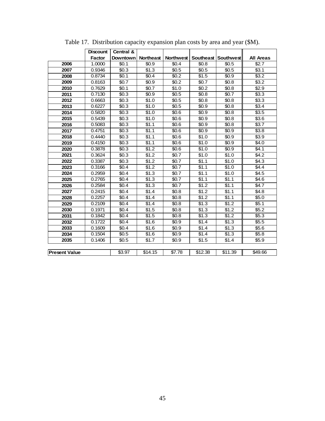|                      | <b>Discount</b> | Central & |                   |           |                    |                     |                  |
|----------------------|-----------------|-----------|-------------------|-----------|--------------------|---------------------|------------------|
|                      | <b>Factor</b>   | Downtown  | <b>Northeast</b>  | Northwest |                    | Southeast Southwest | <b>All Areas</b> |
| 2006                 | 1.0000          | \$0.1     | \$0.9             | \$0.4     | \$0.8              | \$0.5               | \$2.7            |
| 2007                 | 0.9346          | \$0.3\$   | \$1.3             | \$0.5     | \$0.5              | \$0.5               | \$3.1            |
| 2008                 | 0.8734          | \$0.1     | \$0.4             | \$0.2\$   | \$1.5              | \$0.9               | $\sqrt{$3.2}$    |
| 2009                 | 0.8163          | \$0.7     | \$0.9             | \$0.2\$   | \$0.7              | \$0.8               | \$3.2            |
| 2010                 | 0.7629          | \$0.1     | \$0.7             | \$1.0     | \$0.2\$            | \$0.8               | \$2.9            |
| 2011                 | 0.7130          | \$0.3\$   | \$0.9             | \$0.5     | \$0.8              | \$0.7               | \$3.3            |
| 2012                 | 0.6663          | \$0.3\$   | \$1.0             | \$0.5     | \$0.8              | \$0.8               | 33.3             |
| 2013                 | 0.6227          | \$0.3     | \$1.0             | \$0.5     | \$0.9              | \$0.8               | \$3.4            |
| 2014                 | 0.5820          | \$0.3\$   | \$1.0             | \$0.6     | \$0.9              | \$0.8               | \$3.5            |
| 2015                 | 0.5439          | \$0.3\$   | \$1.0             | \$0.6     | \$0.9              | \$0.8               | \$3.6            |
| 2016                 | 0.5083          | \$0.3\$   | \$1.1             | \$0.6     | \$0.9              | \$0.8               | \$3.7            |
| 2017                 | 0.4751          | \$0.3\$   | $\overline{$}1.1$ | \$0.6     | \$0.9              | \$0.9               | \$3.8            |
| 2018                 | 0.4440          | \$0.3     | \$1.1             | \$0.6     | \$1.0              | \$0.9               | \$3.9            |
| 2019                 | 0.4150          | \$0.3\$   | \$1.1             | \$0.6     | \$1.0              | \$0.9               | \$4.0            |
| 2020                 | 0.3878          | \$0.3\$   | \$1.2             | \$0.6     | \$1.0              | \$0.9               | \$4.1            |
| 2021                 | 0.3624          | \$0.3\$   | \$1.2             | \$0.7     | \$1.0              | \$1.0               | \$4.2            |
| 2022                 | 0.3387          | \$0.3\$   | $\overline{$}1.2$ | \$0.7     | \$1.1              | \$1.0               | \$4.3            |
| 2023                 | 0.3166          | \$0.4\$   | \$1.2             | \$0.7     | \$1.1              | \$1.0               | \$4.4            |
| 2024                 | 0.2959          | \$0.4     | \$1.3             | \$0.7     | \$1.1              | \$1.0               | \$4.5            |
| 2025                 | 0.2765          | \$0.4\$   | \$1.3             | \$0.7     | \$1.1              | \$1.1               | \$4.6            |
| 2026                 | 0.2584          | \$0.4\$   | \$1.3             | \$0.7     | $\overline{\$}1.2$ | \$1.1               | \$4.7            |
| 2027                 | 0.2415          | \$0.4     | \$1.4             | \$0.8\$   | \$1.2              | \$1.1               | \$4.8            |
| 2028                 | 0.2257          | \$0.4\$   | \$1.4             | \$0.8     | \$1.2              | \$1.1               | \$5.0            |
| 2029                 | 0.2109          | \$0.4     | \$1.4             | \$0.8     | \$1.3              | \$1.2               | \$5.1            |
| 2030                 | 0.1971          | \$0.4\$   | \$1.5             | \$0.8     | \$1.3              | \$1.2               | \$5.2            |
| 2031                 | 0.1842          | \$0.4     | \$1.5             | \$0.8\$   | \$1.3              | \$1.2               | \$5.3            |
| 2032                 | 0.1722          | \$0.4\$   | \$1.6             | \$0.9     | \$1.4              | \$1.3               | \$5.5            |
| 2033                 | 0.1609          | \$0.4\$   | \$1.6             | \$0.9     | \$1.4              | \$1.3               | \$5.6            |
| 2034                 | 0.1504          | \$0.5     | \$1.6             | \$0.9     | \$1.4              | \$1.3               | \$5.8            |
| 2035                 | 0.1406          | \$0.5     | \$1.7             | \$0.9     | \$1.5              | \$1.4               | \$5.9            |
|                      |                 |           |                   |           |                    |                     |                  |
| <b>Present Value</b> |                 | \$3.97    | \$14.15           | \$7.78    | \$12.38            | \$11.39             | \$49.66          |

Table 17. Distribution capacity expansion plan costs by area and year (\$M).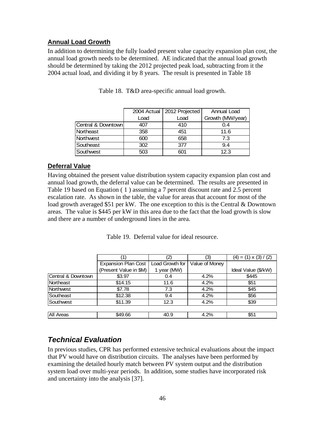#### **Annual Load Growth**

In addition to determining the fully loaded present value capacity expansion plan cost, the annual load growth needs to be determined. AE indicated that the annual load growth should be determined by taking the 2012 projected peak load, subtracting from it the 2004 actual load, and dividing it by 8 years. The result is presented in Table 18

|                    |      | 2004 Actual   2012 Projected | Annual Load      |
|--------------------|------|------------------------------|------------------|
|                    | Load | Load                         | Growth (MW/year) |
| Central & Downtown | 407  | 410                          | 0.4              |
| Northeast          | 358  | 451                          | 11.6             |
| Northwest          | 600  | 658                          | 7.3              |
| Southeast          | 302  | 377                          | 9.4              |
| Southwest          | 503  | 601                          | 12.3             |

Table 18. T&D area-specific annual load growth.

#### **Deferral Value**

Having obtained the present value distribution system capacity expansion plan cost and annual load growth, the deferral value can be determined. The results are presented in Table 19 based on Equation ( 1 ) assuming a 7 percent discount rate and 2.5 percent escalation rate. As shown in the table, the value for areas that account for most of the load growth averaged \$51 per kW. The one exception to this is the Central & Downtown areas. The value is \$445 per kW in this area due to the fact that the load growth is slow and there are a number of underground lines in the area.

Table 19. Deferral value for ideal resource.

|                    | (1)                        | $\left( 2\right)$ | (3)            | $(4) = (1) \times (3) / (2)$ |
|--------------------|----------------------------|-------------------|----------------|------------------------------|
|                    | <b>Expansion Plan Cost</b> | Load Growth for   | Value of Money |                              |
|                    | (Present Value in \$M)     | 1 year (MW)       |                | Ideal Value (\$/kW)          |
| Central & Downtown | \$3.97                     | 0.4               | 4.2%           | \$445                        |
| Northeast          | \$14.15                    | 11.6              | 4.2%           | \$51                         |
| Northwest          | \$7.78                     | 7.3               | 4.2%           | \$45                         |
| Southeast          | \$12.38                    | 9.4               | 4.2%           | \$56                         |
| Southwest          | \$11.39                    | 12.3              | 4.2%           | \$39                         |
|                    |                            |                   |                |                              |
| <b>All Areas</b>   | \$49.66                    | 40.9              | 4.2%           | \$51                         |

# *Technical Evaluation*

In previous studies, CPR has performed extensive technical evaluations about the impact that PV would have on distribution circuits. The analyses have been performed by examining the detailed hourly match between PV system output and the distribution system load over multi-year periods. In addition, some studies have incorporated risk and uncertainty into the analysis [37].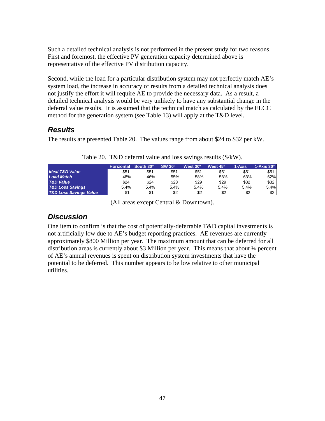Such a detailed technical analysis is not performed in the present study for two reasons. First and foremost, the effective PV generation capacity determined above is representative of the effective PV distribution capacity.

Second, while the load for a particular distribution system may not perfectly match AE's system load, the increase in accuracy of results from a detailed technical analysis does not justify the effort it will require AE to provide the necessary data. As a result, a detailed technical analysis would be very unlikely to have any substantial change in the deferral value results. It is assumed that the technical match as calculated by the ELCC method for the generation system (see Table 13) will apply at the T&D level.

### *Results*

The results are presented Table 20. The values range from about \$24 to \$32 per kW.

|                                   | <b>Horizontal</b> | South 30° | <b>SW 30°</b> | West 30 <sup>o</sup> | West 45 <sup>o</sup> | 1-Axis | $1-Axis$ $30^{\circ}$ |
|-----------------------------------|-------------------|-----------|---------------|----------------------|----------------------|--------|-----------------------|
| <b>Ideal T&amp;D Value</b>        | \$51              | \$51      | \$51          | \$51                 | \$51                 | \$51   | \$51                  |
| <b>Load Match</b>                 | 48%               | 46%       | 55%           | 58%                  | 58%                  | 63%    | 62%                   |
| <b>T&amp;D Value</b>              | \$24              | \$24      | \$28          | \$29                 | \$29                 | \$32   | \$32                  |
| <b>T&amp;D Loss Savings</b>       | 5.4%              | 5.4%      | 5.4%          | 5.4%                 | 5.4%                 | 5.4%   | 5.4%                  |
| <b>T&amp;D Loss Savings Value</b> |                   | \$1       | \$2           | \$2                  | \$2                  | \$2    | \$2                   |

Table 20. T&D deferral value and loss savings results (\$/kW).

(All areas except Central & Downtown).

# *Discussion*

One item to confirm is that the cost of potentially-deferrable T&D capital investments is not artificially low due to AE's budget reporting practices. AE revenues are currently approximately \$800 Million per year. The maximum amount that can be deferred for all distribution areas is currently about \$3 Million per year. This means that about ¼ percent of AE's annual revenues is spent on distribution system investments that have the potential to be deferred. This number appears to be low relative to other municipal utilities.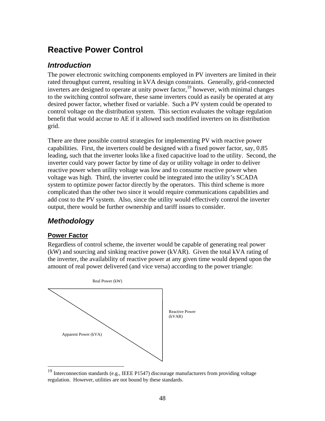# **Reactive Power Control**

## *Introduction*

The power electronic switching components employed in PV inverters are limited in their rated throughput current, resulting in kVA design constraints. Generally, grid-connected inverters are designed to operate at unity power factor,  $\frac{19}{2}$  however, with minimal changes to the switching control software, these same inverters could as easily be operated at any desired power factor, whether fixed or variable. Such a PV system could be operated to control voltage on the distribution system. This section evaluates the voltage regulation benefit that would accrue to AE if it allowed such modified inverters on its distribution grid.

There are three possible control strategies for implementing PV with reactive power capabilities. First, the inverters could be designed with a fixed power factor, say, 0.85 leading, such that the inverter looks like a fixed capacitive load to the utility. Second, the inverter could vary power factor by time of day or utility voltage in order to deliver reactive power when utility voltage was low and to consume reactive power when voltage was high. Third, the inverter could be integrated into the utility's SCADA system to optimize power factor directly by the operators. This third scheme is more complicated than the other two since it would require communications capabilities and add cost to the PV system. Also, since the utility would effectively control the inverter output, there would be further ownership and tariff issues to consider.

# *Methodology*

#### **Power Factor**

Regardless of control scheme, the inverter would be capable of generating real power (kW) and sourcing and sinking reactive power (kVAR). Given the total kVA rating of the inverter, the availability of reactive power at any given time would depend upon the amount of real power delivered (and vice versa) according to the power triangle:



<sup>&</sup>lt;sup>19</sup> Interconnection standards (e.g., IEEE P1547) discourage manufacturers from providing voltage regulation. However, utilities are not bound by these standards.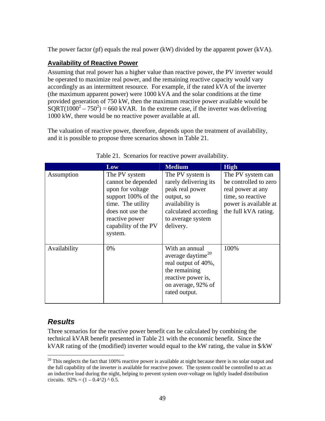The power factor (pf) equals the real power (kW) divided by the apparent power (kVA).

#### **Availability of Reactive Power**

Assuming that real power has a higher value than reactive power, the PV inverter would be operated to maximize real power, and the remaining reactive capacity would vary accordingly as an intermittent resource. For example, if the rated kVA of the inverter (the maximum apparent power) were 1000 kVA and the solar conditions at the time provided generation of 750 kW, then the maximum reactive power available would be  $SQRT(1000^2 - 750^2) = 660 \text{ kVAR}$ . In the extreme case, if the inverter was delivering 1000 kW, there would be no reactive power available at all.

The valuation of reactive power, therefore, depends upon the treatment of availability, and it is possible to propose three scenarios shown in Table 21.

|              | Low                                                                                                                                                                          | <b>Medium</b>                                                                                                                                           | <b>High</b>                                                                                                                           |
|--------------|------------------------------------------------------------------------------------------------------------------------------------------------------------------------------|---------------------------------------------------------------------------------------------------------------------------------------------------------|---------------------------------------------------------------------------------------------------------------------------------------|
| Assumption   | The PV system<br>cannot be depended<br>upon for voltage<br>support 100% of the<br>time. The utility<br>does not use the<br>reactive power<br>capability of the PV<br>system. | The PV system is<br>rarely delivering its<br>peak real power<br>output, so<br>availability is<br>calculated according<br>to average system<br>delivery. | The PV system can<br>be controlled to zero<br>real power at any<br>time, so reactive<br>power is available at<br>the full kVA rating. |
| Availability | 0%                                                                                                                                                                           | With an annual<br>average daytime <sup>20</sup><br>real output of 40%,<br>the remaining<br>reactive power is,<br>on average, 92% of<br>rated output.    | 100%                                                                                                                                  |

|  |  | Table 21. Scenarios for reactive power availability. |
|--|--|------------------------------------------------------|

### *Results*

 $\overline{a}$ 

Three scenarios for the reactive power benefit can be calculated by combining the technical kVAR benefit presented in Table 21 with the economic benefit. Since the kVAR rating of the (modified) inverter would equal to the kW rating, the value in  $\frac{K}{W}$ 

 $20$  This neglects the fact that 100% reactive power is available at night because there is no solar output and the full capability of the inverter is available for reactive power. The system could be controlled to act as an inductive load during the night, helping to prevent system over-voltage on lightly loaded distribution circuits.  $92\% = (1 - 0.4^2) \land 0.5$ .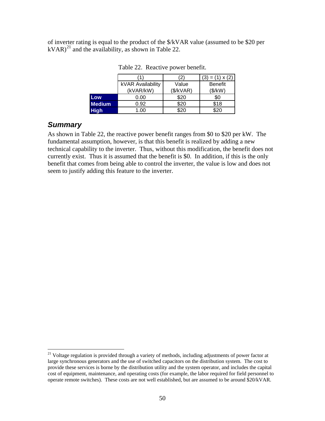of inverter rating is equal to the product of the \$/kVAR value (assumed to be \$20 per  $kVAR$ <sup>21</sup> and the availability, as shown in Table 22.

|               |                   | '2        | $= (1) \times (2)$ |  |  |
|---------------|-------------------|-----------|--------------------|--|--|
|               | kVAR Availability | Value     | <b>Benefit</b>     |  |  |
|               | (kVAR/kW)         | (\$/kVAR) | (\$/kW)            |  |  |
| Low           | 0.00              | \$20      | \$0                |  |  |
| <b>Medium</b> | 0.92              | \$20      | \$18               |  |  |
| <b>High</b>   | 1.00              | \$20      | ß2ር                |  |  |

Table 22. Reactive power benefit.

#### *Summary*

1

As shown in Table 22, the reactive power benefit ranges from \$0 to \$20 per kW. The fundamental assumption, however, is that this benefit is realized by adding a new technical capability to the inverter. Thus, without this modification, the benefit does not currently exist. Thus it is assumed that the benefit is \$0. In addition, if this is the only benefit that comes from being able to control the inverter, the value is low and does not seem to justify adding this feature to the inverter.

<sup>&</sup>lt;sup>21</sup> Voltage regulation is provided through a variety of methods, including adjustments of power factor at large synchronous generators and the use of switched capacitors on the distribution system. The cost to provide these services is borne by the distribution utility and the system operator, and includes the capital cost of equipment, maintenance, and operating costs (for example, the labor required for field personnel to operate remote switches). These costs are not well established, but are assumed to be around \$20/kVAR.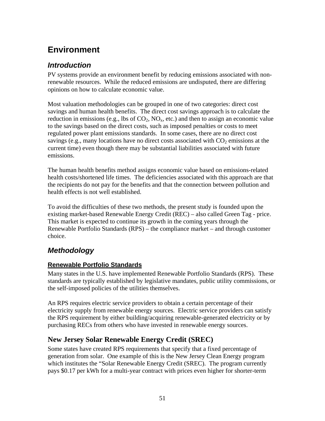# **Environment**

## *Introduction*

PV systems provide an environment benefit by reducing emissions associated with nonrenewable resources. While the reduced emissions are undisputed, there are differing opinions on how to calculate economic value.

Most valuation methodologies can be grouped in one of two categories: direct cost savings and human health benefits. The direct cost savings approach is to calculate the reduction in emissions (e.g., lbs of  $CO_2$ ,  $NO_x$ , etc.) and then to assign an economic value to the savings based on the direct costs, such as imposed penalties or costs to meet regulated power plant emissions standards. In some cases, there are no direct cost sayings (e.g., many locations have no direct costs associated with  $CO<sub>2</sub>$  emissions at the current time) even though there may be substantial liabilities associated with future emissions.

The human health benefits method assigns economic value based on emissions-related health costs/shortened life times. The deficiencies associated with this approach are that the recipients do not pay for the benefits and that the connection between pollution and health effects is not well established.

To avoid the difficulties of these two methods, the present study is founded upon the existing market-based Renewable Energy Credit (REC) – also called Green Tag - price. This market is expected to continue its growth in the coming years through the Renewable Portfolio Standards (RPS) – the compliance market – and through customer choice.

# *Methodology*

### **Renewable Portfolio Standards**

Many states in the U.S. have implemented Renewable Portfolio Standards (RPS). These standards are typically established by legislative mandates, public utility commissions, or the self-imposed policies of the utilities themselves.

An RPS requires electric service providers to obtain a certain percentage of their electricity supply from renewable energy sources. Electric service providers can satisfy the RPS requirement by either building/acquiring renewable-generated electricity or by purchasing RECs from others who have invested in renewable energy sources.

# **New Jersey Solar Renewable Energy Credit (SREC)**

Some states have created RPS requirements that specify that a fixed percentage of generation from solar. One example of this is the New Jersey Clean Energy program which institutes the "Solar Renewable Energy Credit (SREC). The program currently pays \$0.17 per kWh for a multi-year contract with prices even higher for shorter-term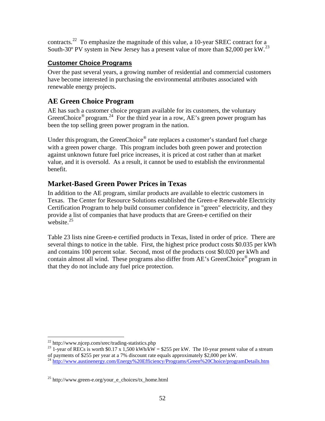contracts.22 To emphasize the magnitude of this value, a 10-year SREC contract for a South-30<sup>°</sup> PV system in New Jersey has a present value of more than \$2,000 per kW.<sup>23</sup>

#### **Customer Choice Programs**

Over the past several years, a growing number of residential and commercial customers have become interested in purchasing the environmental attributes associated with renewable energy projects.

# **AE Green Choice Program**

AE has such a customer choice program available for its customers, the voluntary GreenChoice<sup>®</sup> program.<sup>24</sup> For the third year in a row, AE's green power program has been the top selling green power program in the nation.

Under this program, the GreenChoice® rate replaces a customer's standard fuel charge with a green power charge. This program includes both green power and protection against unknown future fuel price increases, it is priced at cost rather than at market value, and it is oversold. As a result, it cannot be used to establish the environmental benefit.

# **Market-Based Green Power Prices in Texas**

In addition to the AE program, similar products are available to electric customers in Texas. The Center for Resource Solutions established the Green-e Renewable Electricity Certification Program to help build consumer confidence in "green" electricity, and they provide a list of companies that have products that are Green-e certified on their website. $25$ 

Table 23 lists nine Green-e certified products in Texas, listed in order of price. There are several things to notice in the table. First, the highest price product costs \$0.035 per kWh and contains 100 percent solar. Second, most of the products cost \$0.020 per kWh and contain almost all wind. These programs also differ from AE's GreenChoice® program in that they do not include any fuel price protection.

 $\overline{a}$  $^{22}$  http://www.njcep.com/srec/trading-statistics.php

<sup>&</sup>lt;sup>23</sup> 1-year of RECs is worth \$0.17 x 1,500 kWh/kW = \$255 per kW. The 10-year present value of a stream of payments of \$255 per year at a 7% discount rate equals approximately \$2,000 per kW.

<sup>&</sup>lt;sup>24</sup> http://www.austinenergy.com/Energy%20Efficiency/Programs/Green%20Choice/programDetails.htm

<sup>&</sup>lt;sup>25</sup> http://www.green-e.org/your\_e\_choices/tx\_home.html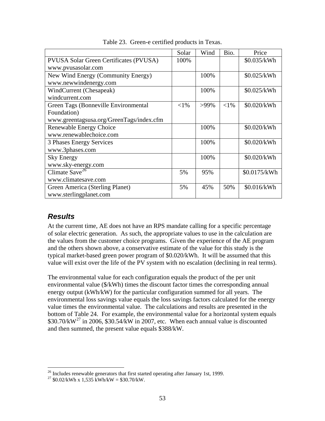|                                          | Solar    | Wind    | Bio.     | Price        |
|------------------------------------------|----------|---------|----------|--------------|
| PVUSA Solar Green Certificates (PVUSA)   | 100%     |         |          | \$0.035/kWh  |
| www.pvusasolar.com                       |          |         |          |              |
| New Wind Energy (Community Energy)       |          | 100%    |          | \$0.025/kWh  |
| www.newwindenergy.com                    |          |         |          |              |
| WindCurrent (Chesapeak)                  |          | 100%    |          | \$0.025/kWh  |
| windcurrent.com                          |          |         |          |              |
| Green Tags (Bonneville Environmental     | ${<}1\%$ | $>99\%$ | ${<}1\%$ | \$0.020/kWh  |
| Foundation)                              |          |         |          |              |
| www.greentagsusa.org/GreenTags/index.cfm |          |         |          |              |
| Renewable Energy Choice                  |          | 100%    |          | \$0.020/kWh  |
| www.renewablechoice.com                  |          |         |          |              |
| 3 Phases Energy Services                 |          | 100%    |          | \$0.020/kWh  |
| www.3phases.com                          |          |         |          |              |
| <b>Sky Energy</b>                        |          | 100%    |          | \$0.020/kWh  |
| www.sky-energy.com                       |          |         |          |              |
| Climate Save <sup>26</sup>               | 5%       | 95%     |          | \$0.0175/kWh |
| www.climatesave.com                      |          |         |          |              |
| Green America (Sterling Planet)          | 5%       | 45%     | 50%      | \$0.016/kWh  |
| www.sterlingplanet.com                   |          |         |          |              |

Table 23. Green-e certified products in Texas.

### *Results*

 $\overline{a}$ 

At the current time, AE does not have an RPS mandate calling for a specific percentage of solar electric generation. As such, the appropriate values to use in the calculation are the values from the customer choice programs. Given the experience of the AE program and the others shown above, a conservative estimate of the value for this study is the typical market-based green power program of \$0.020/kWh. It will be assumed that this value will exist over the life of the PV system with no escalation (declining in real terms).

The environmental value for each configuration equals the product of the per unit environmental value (\$/kWh) times the discount factor times the corresponding annual energy output (kWh/kW) for the particular configuration summed for all years. The environmental loss savings value equals the loss savings factors calculated for the energy value times the environmental value. The calculations and results are presented in the bottom of Table 24. For example, the environmental value for a horizontal system equals  $$30.70/kW<sup>27</sup>$  in 2006, \$30.54/kW in 2007, etc. When each annual value is discounted and then summed, the present value equals \$388/kW.

 $26$  Includes renewable generators that first started operating after January 1st, 1999.

 $27 \text{ $60.02/\text{kWh} \text{ x} 1,535 \text{ kWh/\text{kW}} = $30.70/\text{kW}}.$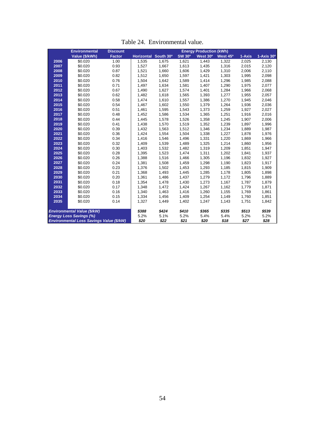|      |                                    |                 | Table 24. Environmental value. |           |               |                                |                      |        |              |
|------|------------------------------------|-----------------|--------------------------------|-----------|---------------|--------------------------------|----------------------|--------|--------------|
|      | <b>Environmental</b>               | <b>Discount</b> |                                |           |               | <b>Energy Production (kWh)</b> |                      |        |              |
|      | Value (\$/kWh)                     | <b>Factor</b>   | <b>Horizontal</b>              | South 30° | <b>SW 30°</b> | West 30°                       | West 45 <sup>o</sup> | 1-Axis | $1-Axis 30o$ |
| 2006 | \$0.020                            | 1.00            | 1,535                          | 1,675     | 1,621         | 1,443                          | 1,322                | 2,025  | 2,130        |
| 2007 | \$0.020                            | 0.93            | 1,527                          | 1,667     | 1,613         | 1,435                          | 1,316                | 2,015  | 2,120        |
| 2008 | \$0.020                            | 0.87            | 1,521                          | 1,660     | 1,606         | 1,429                          | 1,310                | 2,006  | 2,110        |
| 2009 | \$0.020                            | 0.82            | 1,512                          | 1,650     | 1,597         | 1,421                          | 1,303                | 1,995  | 2,098        |
| 2010 | \$0.020                            | 0.76            | 1,504                          | 1,642     | 1,589         | 1,414                          | 1,296                | 1,985  | 2,088        |
| 2011 | \$0.020                            | 0.71            | 1,497                          | 1,634     | 1,581         | 1,407                          | 1,290                | 1,975  | 2,077        |
| 2012 | \$0.020                            | 0.67            | 1,490                          | 1,627     | 1,574         | 1,401                          | 1,284                | 1,966  | 2,068        |
| 2013 | \$0.020                            | 0.62            | 1,482                          | 1,618     | 1,565         | 1,393                          | 1,277                | 1,955  | 2,057        |
| 2014 | \$0.020                            | 0.58            | 1,474                          | 1,610     | 1,557         | 1,386                          | 1,270                | 1,945  | 2,046        |
| 2015 | \$0.020                            | 0.54            | 1,467                          | 1,602     | 1,550         | 1,379                          | 1,264                | 1,936  | 2,036        |
| 2016 | \$0.020                            | 0.51            | 1,461                          | 1,595     | 1,543         | 1,373                          | 1,259                | 1,927  | 2,027        |
| 2017 | \$0.020                            | 0.48            | 1,452                          | 1,586     | 1,534         | 1,365                          | 1,251                | 1,916  | 2,016        |
| 2018 | \$0.020                            | 0.44            | 1,445                          | 1,578     | 1,526         | 1,358                          | 1,245                | 1,907  | 2,006        |
| 2019 | \$0.020                            | 0.41            | 1,438                          | 1,570     | 1,519         | 1,352                          | 1,239                | 1,897  | 1,996        |
| 2020 | \$0.020                            | 0.39            | 1,432                          | 1,563     | 1,512         | 1,346                          | 1,234                | 1,889  | 1,987        |
| 2021 | \$0.020                            | 0.36            | 1,424                          | 1,554     | 1,504         | 1,338                          | 1,227                | 1,878  | 1,976        |
| 2022 | \$0.020                            | 0.34            | 1,416                          | 1,546     | 1,496         | 1,331                          | 1,220                | 1,869  | 1,966        |
| 2023 | \$0.020                            | 0.32            | 1,409                          | 1,539     | 1,489         | 1,325                          | 1,214                | 1,860  | 1,956        |
| 2024 | \$0.020                            | 0.30            | 1,403                          | 1,532     | 1,482         | 1,319                          | 1,209                | 1,851  | 1,947        |
| 2025 | \$0.020                            | 0.28            | 1,395                          | 1,523     | 1,474         | 1,311                          | 1,202                | 1,841  | 1,937        |
| 2026 | \$0.020                            | 0.26            | 1,388                          | 1,516     | 1,466         | 1,305                          | 1,196                | 1,832  | 1,927        |
| 2027 | \$0.020                            | 0.24            | 1,381                          | 1,508     | 1,459         | 1,298                          | 1,190                | 1,823  | 1,917        |
| 2028 | \$0.020                            | 0.23            | 1,376                          | 1,502     | 1,453         | 1,293                          | 1,185                | 1,815  | 1,909        |
| 2029 | \$0.020                            | 0.21            | 1,368                          | 1,493     | 1,445         | 1,285                          | 1,178                | 1,805  | 1,898        |
| 2030 | \$0.020                            | 0.20            | 1,361                          | 1,486     | 1,437         | 1,279                          | 1,172                | 1,796  | 1,889        |
| 2031 | \$0.020                            | 0.18            | 1,354                          | 1,478     | 1,430         | 1,273                          | 1,167                | 1,787  | 1,879        |
| 2032 | \$0.020                            | 0.17            | 1,348                          | 1,472     | 1,424         | 1,267                          | 1,162                | 1,779  | 1,871        |
| 2033 | \$0.020                            | 0.16            | 1,340                          | 1,463     | 1,416         | 1,260                          | 1,155                | 1,769  | 1,861        |
| 2034 | \$0.020                            | 0.15            | 1,334                          | 1,456     | 1,409         | 1,254                          | 1,149                | 1,760  | 1,851        |
| 2035 | \$0.020                            | 0.14            | 1,327                          | 1,449     | 1,402         | 1,247                          | 1,143                | 1,751  | 1,842        |
|      | <b>Environmental Value (\$/kW)</b> |                 | \$388                          | \$424     | \$410         | \$365                          | \$335                | \$513  | \$539        |

*Energy Loss Savings (%)* 5.2% 5.1% 5.2% 5.4% 5.4% 5.2% 5.2% *Environmental Loss Savings Value (\$/kW) \$20 \$22 \$21 \$20 \$18 \$27 \$28*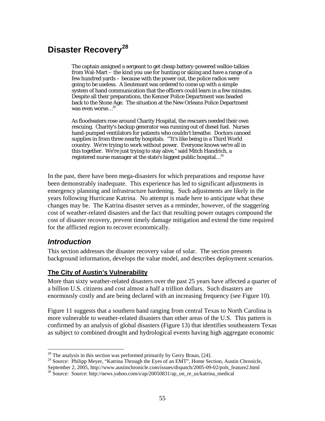# **Disaster Recovery<sup>28</sup>**

The captain assigned a sergeant to get cheap battery-powered walkie-talkies from Wal-Mart – the kind you use for hunting or skiing and have a range of a few hundred yards – because with the power out, the police radios were going to be useless. A lieutenant was ordered to come up with a simple system of hand communication that the officers could learn in a few minutes. Despite all their preparations, the Kenner Police Department was headed back to the Stone Age. The situation at the New Orleans Police Department was even worse...<sup>29</sup>

As floodwaters rose around Charity Hospital, the rescuers needed their own rescuing. Charity's backup generator was running out of diesel fuel. Nurses hand-pumped ventilators for patients who couldn't breathe. Doctors canoed supplies in from three nearby hospitals. '"It's like being in a Third World country. We're trying to work without power. Everyone knows we're all in this together. We're just trying to stay alive," said Mitch Handrich, a registered nurse manager at the state's biggest public hospital…<sup>30</sup>

In the past, there have been mega-disasters for which preparations and response have been demonstrably inadequate. This experience has led to significant adjustments in emergency planning and infrastructure hardening. Such adjustments are likely in the years following Hurricane Katrina. No attempt is made here to anticipate what these changes may be. The Katrina disaster serves as a reminder, however, of the staggering cost of weather-related disasters and the fact that resulting power outages compound the cost of disaster recovery, prevent timely damage mitigation and extend the time required for the afflicted region to recover economically.

### *Introduction*

1

This section addresses the disaster recovery value of solar. The section presents background information, develops the value model, and describes deployment scenarios.

#### **The City of Austin's Vulnerability**

More than sixty weather-related disasters over the past 25 years have affected a quarter of a billion U.S. citizens and cost almost a half a trillion dollars. Such disasters are enormously costly and are being declared with an increasing frequency (see Figure 10).

Figure 11 suggests that a southern band ranging from central Texas to North Carolina is more vulnerable to weather-related disasters than other areas of the U.S. This pattern is confirmed by an analysis of global disasters (Figure 13) that identifies southeastern Texas as subject to combined drought and hydrological events having high aggregate economic

 $2<sup>28</sup>$  The analysis in this section was performed primarily by Gerry Braun, [24].

<sup>&</sup>lt;sup>29</sup> Source: Philipp Meyer, "Katrina Through the Eyes of an EMT", Home Section, Austin Chronicle,

September 2, 2005, http://www.austinchronicle.com/issues/dispatch/2005-09-02/pols\_feature2.html

<sup>30</sup> Source: Source: http://news.yahoo.com/s/ap/20050831/ap\_on\_re\_us/katrina\_medical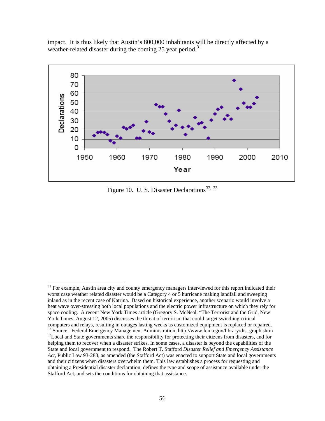impact. It is thus likely that Austin's 800,000 inhabitants will be directly affected by a weather-related disaster during the coming 25 year period.<sup>31</sup>



Figure 10. U. S. Disaster Declarations<sup>32, 33</sup>

 $\overline{a}$ 

<sup>&</sup>lt;sup>31</sup> For example, Austin area city and county emergency managers interviewed for this report indicated their worst case weather related disaster would be a Category 4 or 5 hurricane making landfall and sweeping inland as in the recent case of Katrina. Based on historical experience, another scenario would involve a heat wave over-stressing both local populations and the electric power infrastructure on which they rely for space cooling. A recent New York Times article (Gregory S. McNeal, "The Terrorist and the Grid, New York Times, August 12, 2005) discusses the threat of terrorism that could target switching critical computers and relays, resulting in outages lasting weeks as customized equipment is replaced or repaired.  $32$  Source: Federal Emergency Management Administration, http://www.fema.gov/library/dis\_graph.shtm<br> $33$ Local and State governments share the responsibility for protecting their citizens from disasters, and for helping them to recover when a disaster strikes. In some cases, a disaster is beyond the capabilities of the State and local government to respond. The Robert T. Stafford *Disaster Relief and Emergency Assistance Act*, Public Law 93-288, as amended (the Stafford Act) was enacted to support State and local governments and their citizens when disasters overwhelm them. This law establishes a process for requesting and obtaining a Presidential disaster declaration, defines the type and scope of assistance available under the Stafford Act, and sets the conditions for obtaining that assistance.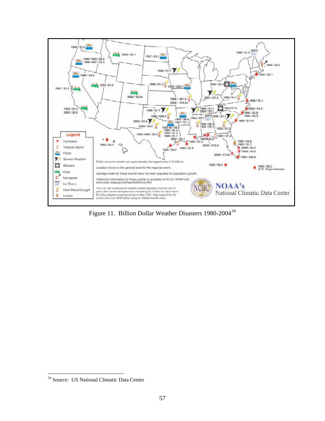

Figure 11. Billion Dollar Weather Disasters 1980-2004<sup>34</sup>

 $\overline{a}$ 

<sup>&</sup>lt;sup>34</sup> Source: US National Climatic Data Center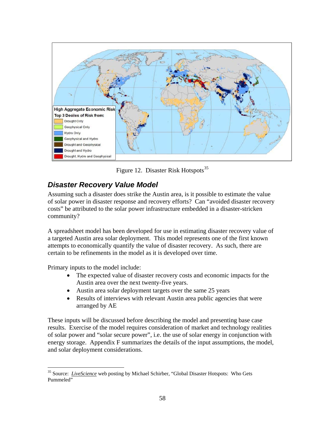

Figure 12. Disaster Risk Hotspots<sup>35</sup>

# *Disaster Recovery Value Model*

Assuming such a disaster does strike the Austin area, is it possible to estimate the value of solar power in disaster response and recovery efforts? Can "avoided disaster recovery costs" be attributed to the solar power infrastructure embedded in a disaster-stricken community?

A spreadsheet model has been developed for use in estimating disaster recovery value of a targeted Austin area solar deployment. This model represents one of the first known attempts to economically quantify the value of disaster recovery. As such, there are certain to be refinements in the model as it is developed over time.

Primary inputs to the model include:

 $\overline{a}$ 

- The expected value of disaster recovery costs and economic impacts for the Austin area over the next twenty-five years.
- Austin area solar deployment targets over the same 25 years
- Results of interviews with relevant Austin area public agencies that were arranged by AE

These inputs will be discussed before describing the model and presenting base case results. Exercise of the model requires consideration of market and technology realities of solar power and "solar secure power", i.e. the use of solar energy in conjunction with energy storage. Appendix F summarizes the details of the input assumptions, the model, and solar deployment considerations.

<sup>&</sup>lt;sup>35</sup> Source: *LiveScience* web posting by Michael Schirber, "Global Disaster Hotspots: Who Gets Pummeled"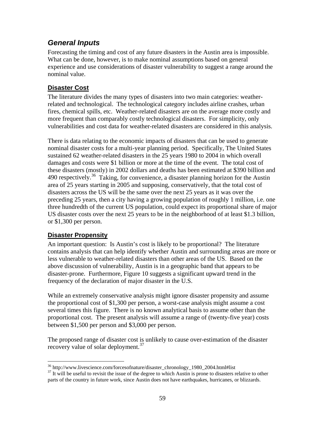## *General Inputs*

Forecasting the timing and cost of any future disasters in the Austin area is impossible. What can be done, however, is to make nominal assumptions based on general experience and use considerations of disaster vulnerability to suggest a range around the nominal value.

#### **Disaster Cost**

The literature divides the many types of disasters into two main categories: weatherrelated and technological. The technological category includes airline crashes, urban fires, chemical spills, etc. Weather-related disasters are on the average more costly and more frequent than comparably costly technological disasters. For simplicity, only vulnerabilities and cost data for weather-related disasters are considered in this analysis.

There is data relating to the economic impacts of disasters that can be used to generate nominal disaster costs for a multi-year planning period. Specifically, The United States sustained 62 weather-related disasters in the 25 years 1980 to 2004 in which overall damages and costs were \$1 billion or more at the time of the event. The total cost of these disasters (mostly) in 2002 dollars and deaths has been estimated at \$390 billion and 490 respectively.<sup>36</sup> Taking, for convenience, a disaster planning horizon for the Austin area of 25 years starting in 2005 and supposing, conservatively, that the total cost of disasters across the US will be the same over the next 25 years as it was over the preceding 25 years, then a city having a growing population of roughly 1 million, i.e. one three hundredth of the current US population, could expect its proportional share of major US disaster costs over the next 25 years to be in the neighborhood of at least \$1.3 billion, or \$1,300 per person.

#### **Disaster Propensity**

An important question: Is Austin's cost is likely to be proportional? The literature contains analysis that can help identify whether Austin and surrounding areas are more or less vulnerable to weather-related disasters than other areas of the US. Based on the above discussion of vulnerability, Austin is in a geographic band that appears to be disaster-prone. Furthermore, Figure 10 suggests a significant upward trend in the frequency of the declaration of major disaster in the U.S.

While an extremely conservative analysis might ignore disaster propensity and assume the proportional cost of \$1,300 per person, a worst-case analysis might assume a cost several times this figure. There is no known analytical basis to assume other than the proportional cost. The present analysis will assume a range of (twenty-five year) costs between \$1,500 per person and \$3,000 per person.

The proposed range of disaster cost is unlikely to cause over-estimation of the disaster recovery value of solar deployment.<sup>37</sup>

<sup>1</sup> 

<sup>&</sup>lt;sup>36</sup> http://www.livescience.com/forcesofnature/disaster\_chronology\_1980\_2004.html#list  $37$  It will be useful to revisit the issue of the degree to which Austin is prone to disasters relative to other parts of the country in future work, since Austin does not have earthquakes, hurricanes, or blizzards.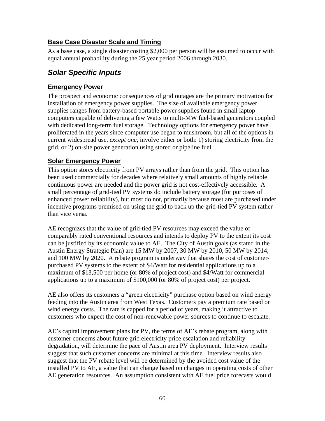#### **Base Case Disaster Scale and Timing**

As a base case, a single disaster costing \$2,000 per person will be assumed to occur with equal annual probability during the 25 year period 2006 through 2030.

# *Solar Specific Inputs*

#### **Emergency Power**

The prospect and economic consequences of grid outages are the primary motivation for installation of emergency power supplies. The size of available emergency power supplies ranges from battery-based portable power supplies found in small laptop computers capable of delivering a few Watts to multi-MW fuel-based generators coupled with dedicated long-term fuel storage. Technology options for emergency power have proliferated in the years since computer use began to mushroom, but all of the options in current widespread use, *except one*, involve either or both: 1) storing electricity from the grid, or 2) on-site power generation using stored or pipeline fuel.

#### **Solar Emergency Power**

This option stores electricity from PV arrays rather than from the grid. This option has been used commercially for decades where relatively small amounts of highly reliable continuous power are needed and the power grid is not cost-effectively accessible. A small percentage of grid-tied PV systems do include battery storage (for purposes of enhanced power reliability), but most do not, primarily because most are purchased under incentive programs premised on using the grid to back up the grid-tied PV system rather than vice versa.

AE recognizes that the value of grid-tied PV resources may exceed the value of comparably rated conventional resources and intends to deploy PV to the extent its cost can be justified by its economic value to AE. The City of Austin goals (as stated in the Austin Energy Strategic Plan) are 15 MW by 2007, 30 MW by 2010, 50 MW by 2014, and 100 MW by 2020. A rebate program is underway that shares the cost of customerpurchased PV systems to the extent of \$4/Watt for residential applications up to a maximum of \$13,500 per home (or 80% of project cost) and \$4/Watt for commercial applications up to a maximum of \$100,000 (or 80% of project cost) per project.

AE also offers its customers a "green electricity" purchase option based on wind energy feeding into the Austin area from West Texas. Customers pay a premium rate based on wind energy costs. The rate is capped for a period of years, making it attractive to customers who expect the cost of non-renewable power sources to continue to escalate.

AE's capital improvement plans for PV, the terms of AE's rebate program, along with customer concerns about future grid electricity price escalation and reliability degradation, will determine the pace of Austin area PV deployment. Interview results suggest that such customer concerns are minimal at this time. Interview results also suggest that the PV rebate level will be determined by the avoided cost value of the installed PV to AE, a value that can change based on changes in operating costs of other AE generation resources. An assumption consistent with AE fuel price forecasts would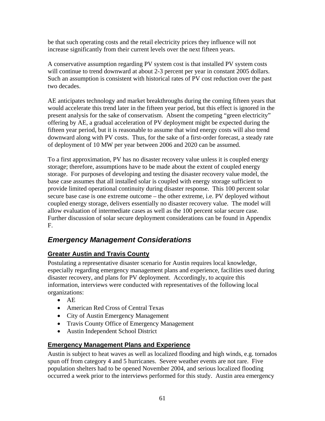be that such operating costs and the retail electricity prices they influence will not increase significantly from their current levels over the next fifteen years.

A conservative assumption regarding PV system cost is that installed PV system costs will continue to trend downward at about 2-3 percent per year in constant 2005 dollars. Such an assumption is consistent with historical rates of PV cost reduction over the past two decades.

AE anticipates technology and market breakthroughs during the coming fifteen years that would accelerate this trend later in the fifteen year period, but this effect is ignored in the present analysis for the sake of conservatism. Absent the competing "green electricity" offering by AE, a gradual acceleration of PV deployment might be expected during the fifteen year period, but it is reasonable to assume that wind energy costs will also trend downward along with PV costs. Thus, for the sake of a first-order forecast, a steady rate of deployment of 10 MW per year between 2006 and 2020 can be assumed.

To a first approximation, PV has no disaster recovery value unless it is coupled energy storage; therefore, assumptions have to be made about the extent of coupled energy storage. For purposes of developing and testing the disaster recovery value model, the base case assumes that all installed solar is coupled with energy storage sufficient to provide limited operational continuity during disaster response. This 100 percent solar secure base case is one extreme outcome – the other extreme, i.e. PV deployed without coupled energy storage, delivers essentially no disaster recovery value. The model will allow evaluation of intermediate cases as well as the 100 percent solar secure case. Further discussion of solar secure deployment considerations can be found in Appendix F.

# *Emergency Management Considerations*

#### **Greater Austin and Travis County**

Postulating a representative disaster scenario for Austin requires local knowledge, especially regarding emergency management plans and experience, facilities used during disaster recovery, and plans for PV deployment. Accordingly, to acquire this information, interviews were conducted with representatives of the following local organizations:

- AE
- American Red Cross of Central Texas
- City of Austin Emergency Management
- Travis County Office of Emergency Management
- Austin Independent School District

#### **Emergency Management Plans and Experience**

Austin is subject to heat waves as well as localized flooding and high winds, e.g. tornados spun off from category 4 and 5 hurricanes. Severe weather events are not rare. Five population shelters had to be opened November 2004, and serious localized flooding occurred a week prior to the interviews performed for this study. Austin area emergency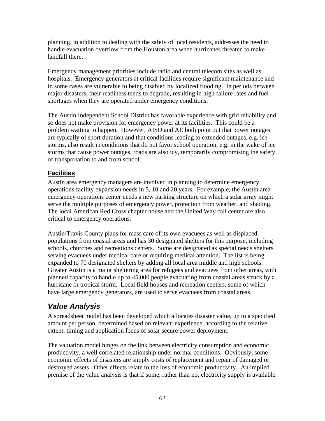planning, in addition to dealing with the safety of local residents, addresses the need to handle evacuation overflow from the Houston area when hurricanes threaten to make landfall there.

Emergency management priorities include radio and central telecom sites as well as hospitals. Emergency generators at critical facilities require significant maintenance and in some cases are vulnerable to being disabled by localized flooding. In periods between major disasters, their readiness tends to degrade, resulting in high failure rates and fuel shortages when they are operated under emergency conditions.

The Austin Independent School District has favorable experience with grid reliability and so does not make provision for emergency power at its facilities. This could be a problem waiting to happen. However, AISD and AE both point out that power outages are typically of short duration and that conditions leading to extended outages, e.g. ice storms, also result in conditions that do not favor school operation, e.g. in the wake of ice storms that cause power outages, roads are also icy, temporarily compromising the safety of transportation to and from school.

#### **Facilities**

Austin area emergency managers are involved in planning to determine emergency operations facility expansion needs in 5, 10 and 20 years. For example, the Austin area emergency operations center needs a new parking structure on which a solar array might serve the multiple purposes of emergency power, protection from weather, and shading. The local American Red Cross chapter house and the United Way call center are also critical to emergency operations.

Austin/Travis County plans for mass care of its own evacuees as well as displaced populations from coastal areas and has 30 designated shelters for this purpose, including schools, churches and recreations centers. Some are designated as special needs shelters serving evacuees under medical care or requiring medical attention. The list is being expanded to 70 designated shelters by adding all local area middle and high schools. Greater Austin is a major sheltering area for refugees and evacuees from other areas, with planned capacity to handle up to 45,000 people evacuating from coastal areas struck by a hurricane or tropical storm. Local field houses and recreation centers, some of which have large emergency generators, are used to serve evacuees from coastal areas.

# *Value Analysis*

A spreadsheet model has been developed which allocates disaster value, up to a specified amount per person, determined based on relevant experience, according to the relative extent, timing and application focus of solar secure power deployment.

The valuation model hinges on the link between electricity consumption and economic productivity, a well correlated relationship under normal conditions. Obviously, some economic effects of disasters are simply costs of replacement and repair of damaged or destroyed assets. Other effects relate to the loss of economic productivity. An implied premise of the value analysis is that if some, rather than no, electricity supply is available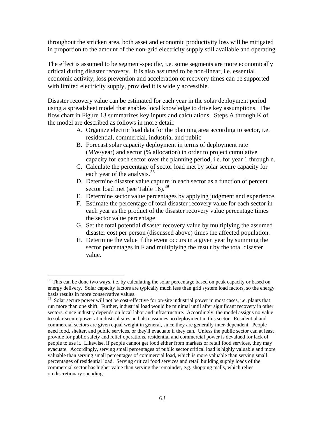throughout the stricken area, both asset and economic productivity loss will be mitigated in proportion to the amount of the non-grid electricity supply still available and operating.

The effect is assumed to be segment-specific, i.e. some segments are more economically critical during disaster recovery. It is also assumed to be non-linear, i.e. essential economic activity, loss prevention and acceleration of recovery times can be supported with limited electricity supply, provided it is widely accessible.

Disaster recovery value can be estimated for each year in the solar deployment period using a spreadsheet model that enables local knowledge to drive key assumptions. The flow chart in Figure 13 summarizes key inputs and calculations. Steps A through K of the model are described as follows in more detail:

- A. Organize electric load data for the planning area according to sector, i.e. residential, commercial, industrial and public
- B. Forecast solar capacity deployment in terms of deployment rate (MW/year) and sector (% allocation) in order to project cumulative capacity for each sector over the planning period, i.e. for year 1 through n.
- C. Calculate the percentage of sector load met by solar secure capacity for each year of the analysis.<sup>38</sup>
- D. Determine disaster value capture in each sector as a function of percent sector load met (see Table 16).<sup>39</sup>
- E. Determine sector value percentages by applying judgment and experience.
- F. Estimate the percentage of total disaster recovery value for each sector in each year as the product of the disaster recovery value percentage times the sector value percentage
- G. Set the total potential disaster recovery value by multiplying the assumed disaster cost per person (discussed above) times the affected population.
- H. Determine the value if the event occurs in a given year by summing the sector percentages in F and multiplying the result by the total disaster value.

 $\overline{a}$ 

<sup>&</sup>lt;sup>38</sup> This can be done two ways, i.e. by calculating the solar percentage based on peak capacity or based on energy delivery. Solar capacity factors are typically much less than grid system load factors, so the energy basis results in more conservative values.

<sup>&</sup>lt;sup>39</sup> Solar secure power will not be cost-effective for on-site industrial power in most cases, i.e. plants that run more than one shift. Further, industrial load would be minimal until after significant recovery in other sectors, since industry depends on local labor and infrastructure. Accordingly, the model assigns no value to solar secure power at industrial sites and also assumes no deployment in this sector. Residential and commercial sectors are given equal weight in general, since they are generally inter-dependent. People need food, shelter, and public services, or they'll evacuate if they can. Unless the public sector can at least provide for public safety and relief operations, residential and commercial power is devalued for lack of people to use it. Likewise, if people cannot get food either from markets or retail food services, they may evacuate. Accordingly, serving small percentages of public sector critical load is highly valuable and more valuable than serving small percentages of commercial load, which is more valuable than serving small percentages of residential load. Serving critical food services and retail building supply loads of the commercial sector has higher value than serving the remainder, e.g. shopping malls, which relies on discretionary spending.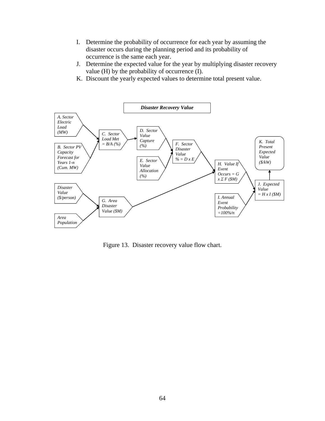- I. Determine the probability of occurrence for each year by assuming the disaster occurs during the planning period and its probability of occurrence is the same each year.
- J. Determine the expected value for the year by multiplying disaster recovery value (H) by the probability of occurrence (I).
- K. Discount the yearly expected values to determine total present value.



Figure 13. Disaster recovery value flow chart.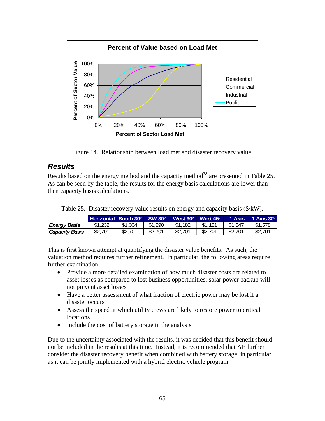

Figure 14. Relationship between load met and disaster recovery value.

## *Results*

Results based on the energy method and the capacity method<sup>38</sup> are presented in Table 25. As can be seen by the table, the results for the energy basis calculations are lower than then capacity basis calculations.

|  |  | Table 25. Disaster recovery value results on energy and capacity basis $(\frac{C}{K}W)$ . |  |  |
|--|--|-------------------------------------------------------------------------------------------|--|--|
|--|--|-------------------------------------------------------------------------------------------|--|--|

|                | Horizontal South 30 <sup>o</sup> SW 30 <sup>o</sup> |         |         |         | West $30^{\circ}$ West $45^{\circ}$ | $1-Ax$ is | $1-Ax$ is $30^{\circ}$ |
|----------------|-----------------------------------------------------|---------|---------|---------|-------------------------------------|-----------|------------------------|
| Energy Basis   | \$1.232                                             | \$1.334 | \$1.290 | \$1.182 | \$1.121                             | \$1.547   | \$1.578                |
| Capacity Basis | \$2.701                                             | \$2.701 | \$2.701 | \$2,701 | \$2.701                             | \$2.701   | \$2,701                |

This is first known attempt at quantifying the disaster value benefits. As such, the valuation method requires further refinement. In particular, the following areas require further examination:

- Provide a more detailed examination of how much disaster costs are related to asset losses as compared to lost business opportunities; solar power backup will not prevent asset losses
- Have a better assessment of what fraction of electric power may be lost if a disaster occurs
- Assess the speed at which utility crews are likely to restore power to critical locations
- Include the cost of battery storage in the analysis

Due to the uncertainty associated with the results, it was decided that this benefit should not be included in the results at this time. Instead, it is recommended that AE further consider the disaster recovery benefit when combined with battery storage, in particular as it can be jointly implemented with a hybrid electric vehicle program.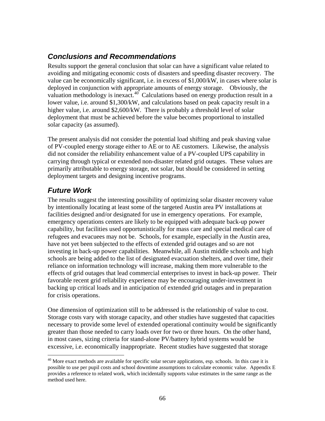# *Conclusions and Recommendations*

Results support the general conclusion that solar can have a significant value related to avoiding and mitigating economic costs of disasters and speeding disaster recovery. The value can be economically significant, i.e. in excess of \$1,000/kW, in cases where solar is deployed in conjunction with appropriate amounts of energy storage. Obviously, the valuation methodology is inexact.<sup>40</sup> Calculations based on energy production result in a lower value, i.e. around \$1,300/kW, and calculations based on peak capacity result in a higher value, i.e. around \$2,600/kW. There is probably a threshold level of solar deployment that must be achieved before the value becomes proportional to installed solar capacity (as assumed).

The present analysis did not consider the potential load shifting and peak shaving value of PV-coupled energy storage either to AE or to AE customers. Likewise, the analysis did not consider the reliability enhancement value of a PV-coupled UPS capability in carrying through typical or extended non-disaster related grid outages. These values are primarily attributable to energy storage, not solar, but should be considered in setting deployment targets and designing incentive programs.

# *Future Work*

 $\overline{a}$ 

The results suggest the interesting possibility of optimizing solar disaster recovery value by intentionally locating at least some of the targeted Austin area PV installations at facilities designed and/or designated for use in emergency operations. For example, emergency operations centers are likely to be equipped with adequate back-up power capability, but facilities used opportunistically for mass care and special medical care of refugees and evacuees may not be. Schools, for example, especially in the Austin area, have not yet been subjected to the effects of extended grid outages and so are not investing in back-up power capabilities. Meanwhile, all Austin middle schools and high schools are being added to the list of designated evacuation shelters, and over time, their reliance on information technology will increase, making them more vulnerable to the effects of grid outages that lead commercial enterprises to invest in back-up power. Their favorable recent grid reliability experience may be encouraging under-investment in backing up critical loads and in anticipation of extended grid outages and in preparation for crisis operations.

One dimension of optimization still to be addressed is the relationship of value to cost. Storage costs vary with storage capacity, and other studies have suggested that capacities necessary to provide some level of extended operational continuity would be significantly greater than those needed to carry loads over for two or three hours. On the other hand, in most cases, sizing criteria for stand-alone PV/battery hybrid systems would be excessive, i.e. economically inappropriate. Recent studies have suggested that storage

 $^{40}$  More exact methods are available for specific solar secure applications, esp. schools. In this case it is possible to use per pupil costs and school downtime assumptions to calculate economic value. Appendix E provides a reference to related work, which incidentally supports value estimates in the same range as the method used here.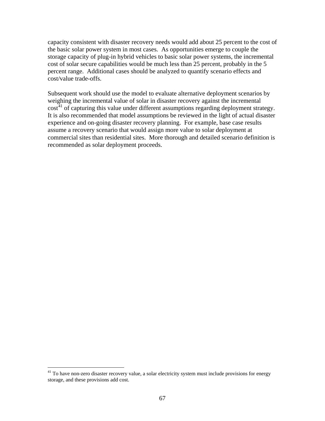capacity consistent with disaster recovery needs would add about 25 percent to the cost of the basic solar power system in most cases. As opportunities emerge to couple the storage capacity of plug-in hybrid vehicles to basic solar power systems, the incremental cost of solar secure capabilities would be much less than 25 percent, probably in the 5 percent range. Additional cases should be analyzed to quantify scenario effects and cost/value trade-offs.

Subsequent work should use the model to evaluate alternative deployment scenarios by weighing the incremental value of solar in disaster recovery against the incremental  $\cot^{41}$  of capturing this value under different assumptions regarding deployment strategy. It is also recommended that model assumptions be reviewed in the light of actual disaster experience and on-going disaster recovery planning. For example, base case results assume a recovery scenario that would assign more value to solar deployment at commercial sites than residential sites. More thorough and detailed scenario definition is recommended as solar deployment proceeds.

1

<sup>&</sup>lt;sup>41</sup> To have non-zero disaster recovery value, a solar electricity system must include provisions for energy storage, and these provisions add cost.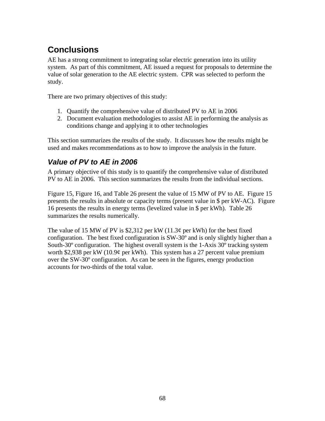# **Conclusions**

AE has a strong commitment to integrating solar electric generation into its utility system. As part of this commitment, AE issued a request for proposals to determine the value of solar generation to the AE electric system. CPR was selected to perform the study.

There are two primary objectives of this study:

- 1. Quantify the comprehensive value of distributed PV to AE in 2006
- 2. Document evaluation methodologies to assist AE in performing the analysis as conditions change and applying it to other technologies

This section summarizes the results of the study. It discusses how the results might be used and makes recommendations as to how to improve the analysis in the future.

# *Value of PV to AE in 2006*

A primary objective of this study is to quantify the comprehensive value of distributed PV to AE in 2006. This section summarizes the results from the individual sections.

Figure 15, Figure 16, and Table 26 present the value of 15 MW of PV to AE. Figure 15 presents the results in absolute or capacity terms (present value in \$ per kW-AC). Figure 16 presents the results in energy terms (levelized value in \$ per kWh). Table 26 summarizes the results numerically.

The value of 15 MW of PV is \$2,312 per kW  $(11.3¢$  per kWh) for the best fixed configuration. The best fixed configuration is SW-30º and is only slightly higher than a South-30º configuration. The highest overall system is the 1-Axis 30º tracking system worth \$2,938 per kW (10.9¢ per kWh). This system has a 27 percent value premium over the SW-30º configuration. As can be seen in the figures, energy production accounts for two-thirds of the total value.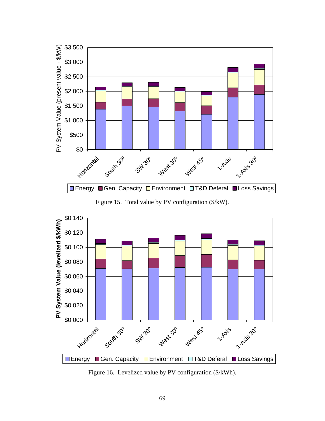

Figure 15. Total value by PV configuration (\$/kW).



Figure 16. Levelized value by PV configuration (\$/kWh).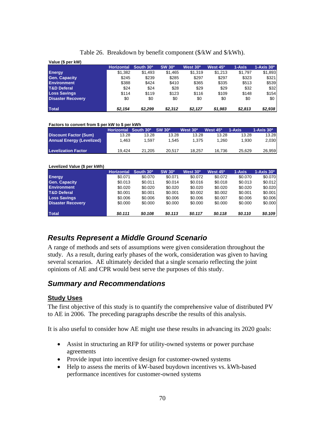| Value (\$ per kW)        |                   |           |               |                      |                      |         |                        |
|--------------------------|-------------------|-----------|---------------|----------------------|----------------------|---------|------------------------|
|                          | <b>Horizontal</b> | South 30° | <b>SW 30°</b> | West 30 <sup>°</sup> | West 45 <sup>o</sup> | 1-Axis  | $1-Axis$ 30 $^{\circ}$ |
| <b>Energy</b>            | \$1,382           | \$1,493   | \$1,465       | \$1,319              | \$1.213              | \$1,797 | \$1,893                |
| <b>Gen. Capacity</b>     | \$245             | \$239     | \$285         | \$297                | \$297                | \$323   | \$321                  |
| <b>Environment</b>       | \$388             | \$424     | \$410         | \$365                | \$335                | \$513   | \$539                  |
| <b>T&amp;D Deferal</b>   | \$24              | \$24      | \$28          | \$29                 | \$29                 | \$32    | \$32                   |
| <b>Loss Savings</b>      | \$114             | \$119     | \$123         | \$116                | \$109                | \$148   | \$154                  |
| <b>Disaster Recovery</b> | \$0               | \$0       | \$0           | \$0                  | \$0                  | \$0     | \$0                    |
| <b>Total</b>             | \$2,154           | \$2.299   | \$2.312       | \$2.127              | \$1,983              | \$2,813 | \$2,938                |

#### Table 26. Breakdown by benefit component (\$/kW and \$/kWh).

#### **Factors to convert from \$ per kW to \$ per kWh**

|                                  | Horizontal South 30º ' |        | SW 30 <sup>°</sup> | West 30 <sup>°</sup> | West 45 <sup>o</sup> | $1 - A$ xis | $1-Ax$ is $30^{\circ}$ |
|----------------------------------|------------------------|--------|--------------------|----------------------|----------------------|-------------|------------------------|
| <b>Discount Factor (Sum)</b>     | 13.28                  | 13.28  | 13.28              | 13.28                | 13.28                | 13.28       | 13.28                  |
| <b>Annual Energy (Levelized)</b> | 1.463                  | .597   | 1.545              | 1.375                | 1.260                | 1.930       | 2.030                  |
|                                  |                        |        |                    |                      |                      |             |                        |
| <b>Levelization Factor</b>       | 19.424                 | 21.205 | 20.517             | 18.257               | 16.736               | 25.629      | 26.959                 |

#### **Levelized Value (\$ per kWh) Horizontal South 30º SW 30º West 30º West 45º 1-Axis 1-Axis 30º Energy** \$0.071 \$0.070 \$0.071 \$0.072 \$0.072 \$0.070 \$0.070 **Gen. Capacity 60.013 \$0.013 \$0.011 \$0.014 \$0.016 \$0.018 \$0.013 \$0.012 Environment** \$0.020 \$0.020 \$0.020 \$0.020 \$0.020 \$0.020 \$0.020 **T&D Deferal** \$0.001 \$0.001 \$0.001 \$0.002 \$0.002 \$0.001 \$0.001 **Loss Savings** \$0.006 \$0.006 \$0.006 \$0.006 \$0.007 \$0.006 \$0.006 **Disaster Recovery 60.000 \$0.000 \$0.000 \$0.000 \$0.000 \$0.000 \$0.000 Total** *\$0.111 \$0.108 \$0.113 \$0.117 \$0.118 \$0.110 \$0.109*

# *Results Represent a Middle Ground Scenario*

A range of methods and sets of assumptions were given consideration throughout the study. As a result, during early phases of the work, consideration was given to having several scenarios. AE ultimately decided that a single scenario reflecting the joint opinions of AE and CPR would best serve the purposes of this study.

### *Summary and Recommendations*

#### **Study Uses**

The first objective of this study is to quantify the comprehensive value of distributed PV to AE in 2006. The preceding paragraphs describe the results of this analysis.

It is also useful to consider how AE might use these results in advancing its 2020 goals:

- Assist in structuring an RFP for utility-owned systems or power purchase agreements
- Provide input into incentive design for customer-owned systems
- Help to assess the merits of kW-based buydown incentives vs. kWh-based performance incentives for customer-owned systems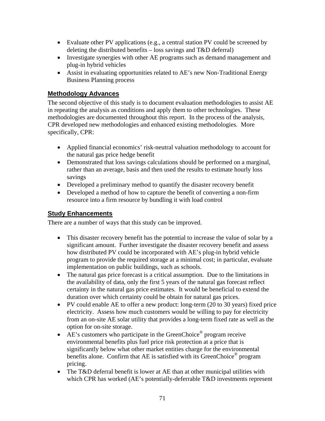- Evaluate other PV applications (e.g., a central station PV could be screened by deleting the distributed benefits – loss savings and T&D deferral)
- Investigate synergies with other AE programs such as demand management and plug-in hybrid vehicles
- Assist in evaluating opportunities related to AE's new Non-Traditional Energy Business Planning process

### **Methodology Advances**

The second objective of this study is to document evaluation methodologies to assist AE in repeating the analysis as conditions and apply them to other technologies. These methodologies are documented throughout this report. In the process of the analysis, CPR developed new methodologies and enhanced existing methodologies. More specifically, CPR:

- Applied financial economics' risk-neutral valuation methodology to account for the natural gas price hedge benefit
- Demonstrated that loss savings calculations should be performed on a marginal, rather than an average, basis and then used the results to estimate hourly loss savings
- Developed a preliminary method to quantify the disaster recovery benefit
- Developed a method of how to capture the benefit of converting a non-firm resource into a firm resource by bundling it with load control

### **Study Enhancements**

There are a number of ways that this study can be improved.

- This disaster recovery benefit has the potential to increase the value of solar by a significant amount. Further investigate the disaster recovery benefit and assess how distributed PV could be incorporated with AE's plug-in hybrid vehicle program to provide the required storage at a minimal cost; in particular, evaluate implementation on public buildings, such as schools.
- The natural gas price forecast is a critical assumption. Due to the limitations in the availability of data, only the first 5 years of the natural gas forecast reflect certainty in the natural gas price estimates. It would be beneficial to extend the duration over which certainty could be obtain for natural gas prices.
- PV could enable AE to offer a new product: long-term (20 to 30 years) fixed price electricity. Assess how much customers would be willing to pay for electricity from an on-site AE solar utility that provides a long-term fixed rate as well as the option for on-site storage.
- AE's customers who participate in the GreenChoice<sup>®</sup> program receive environmental benefits plus fuel price risk protection at a price that is significantly below what other market entities charge for the environmental benefits alone. Confirm that AE is satisfied with its GreenChoice<sup>®</sup> program pricing.
- The T&D deferral benefit is lower at AE than at other municipal utilities with which CPR has worked (AE's potentially-deferrable T&D investments represent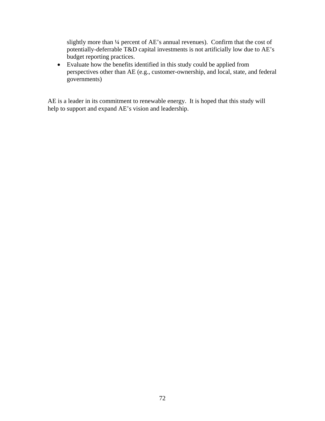slightly more than ¼ percent of AE's annual revenues). Confirm that the cost of potentially-deferrable T&D capital investments is not artificially low due to AE's budget reporting practices.

• Evaluate how the benefits identified in this study could be applied from perspectives other than AE (e.g., customer-ownership, and local, state, and federal governments)

AE is a leader in its commitment to renewable energy. It is hoped that this study will help to support and expand AE's vision and leadership.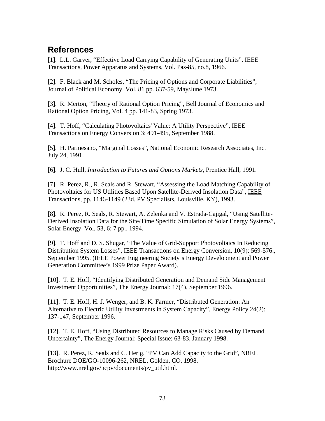# **References**

[1]. L.L. Garver, "Effective Load Carrying Capability of Generating Units", IEEE Transactions, Power Apparatus and Systems, Vol. Pas-85, no.8, 1966.

[2]. F. Black and M. Scholes, "The Pricing of Options and Corporate Liabilities", Journal of Political Economy, Vol. 81 pp. 637-59, May/June 1973.

[3]. R. Merton, "Theory of Rational Option Pricing", Bell Journal of Economics and Rational Option Pricing, Vol. 4 pp. 141-83, Spring 1973.

[4]. T. Hoff, "Calculating Photovoltaics' Value: A Utility Perspective", IEEE Transactions on Energy Conversion 3: 491-495, September 1988.

[5]. H. Parmesano, "Marginal Losses", National Economic Research Associates, Inc. July 24, 1991.

[6]. J. C. Hull, *Introduction to Futures and Options Markets*, Prentice Hall, 1991.

[7]. R. Perez, R., R. Seals and R. Stewart, "Assessing the Load Matching Capability of Photovoltaics for US Utilities Based Upon Satellite-Derived Insolation Data", IEEE Transactions, pp. 1146-1149 (23d. PV Specialists, Louisville, KY), 1993.

[8]. R. Perez, R. Seals, R. Stewart, A. Zelenka and V. Estrada-Cajigal, "Using Satellite-Derived Insolation Data for the Site/Time Specific Simulation of Solar Energy Systems", Solar Energy Vol. 53, 6; 7 pp., 1994.

[9]. T. Hoff and D. S. Shugar, "The Value of Grid-Support Photovoltaics In Reducing Distribution System Losses", IEEE Transactions on Energy Conversion, 10(9): 569-576., September 1995. (IEEE Power Engineering Society's Energy Development and Power Generation Committee's 1999 Prize Paper Award).

[10]. T. E. Hoff, "Identifying Distributed Generation and Demand Side Management Investment Opportunities", The Energy Journal: 17(4), September 1996.

[11]. T. E. Hoff, H. J. Wenger, and B. K. Farmer, "Distributed Generation: An Alternative to Electric Utility Investments in System Capacity", Energy Policy 24(2): 137-147, September 1996.

[12]. T. E. Hoff, "Using Distributed Resources to Manage Risks Caused by Demand Uncertainty", The Energy Journal: Special Issue: 63-83, January 1998.

[13]. R. Perez, R. Seals and C. Herig, "PV Can Add Capacity to the Grid", NREL Brochure DOE/GO-10096-262, NREL, Golden, CO, 1998. http://www.nrel.gov/ncpv/documents/pv\_util.html.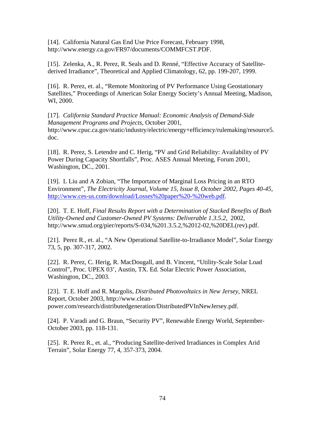[14]. California Natural Gas End Use Price Forecast, February 1998, http://www.energy.ca.gov/FR97/documents/COMMFCST.PDF.

[15]. Zelenka, A., R. Perez, R. Seals and D. Renné, "Effective Accuracy of Satellitederived Irradiance", Theoretical and Applied Climatology, 62, pp. 199-207, 1999.

[16]. R. Perez, et. al., "Remote Monitoring of PV Performance Using Geostationary Satellites," Proceedings of American Solar Energy Society's Annual Meeting, Madison, WI, 2000.

[17]. *California Standard Practice Manual: Economic Analysis of Demand-Side Management Programs and Projects*, October 2001, http://www.cpuc.ca.gov/static/industry/electric/energy+efficiency/rulemaking/resource5. doc.

[18]. R. Perez, S. Letendre and C. Herig, "PV and Grid Reliability: Availability of PV Power During Capacity Shortfalls", Proc. ASES Annual Meeting, Forum 2001, Washington, DC., 2001.

[19]. L Liu and A Zobian, "The Importance of Marginal Loss Pricing in an RTO Environment", *The Electricity Journal, Volume 15, Issue 8, October 2002, Pages 40-45,*  http://www.ces-us.com/download/Losses%20paper%20-%20web.pdf.

[20]. T. E. Hoff, *Final Results Report with a Determination of Stacked Benefits of Both Utility-Owned and Customer-Owned PV Systems: Deliverable 1.3.5.2*, 2002, http://www.smud.org/pier/reports/S-034,%201.3.5.2,%2012-02,%20DEL(rev).pdf.

[21]. Perez R., et. al., "A New Operational Satellite-to-Irradiance Model", Solar Energy 73, 5, pp. 307-317, 2002.

[22]. R. Perez, C. Herig, R. MacDougall, and B. Vincent, "Utility-Scale Solar Load Control", Proc. UPEX 03', Austin, TX. Ed. Solar Electric Power Association, Washington, DC., 2003.

[23]. T. E. Hoff and R. Margolis, *Distributed Photovoltaics in New Jersey*, NREL Report, October 2003, http://www.cleanpower.com/research/distributedgeneration/DistributedPVInNewJersey.pdf.

[24]. P. Varadi and G. Braun, "Security PV", Renewable Energy World, September-October 2003, pp. 118-131.

[25]. R. Perez R., et. al., "Producing Satellite-derived Irradiances in Complex Arid Terrain", Solar Energy 77, 4, 357-373, 2004.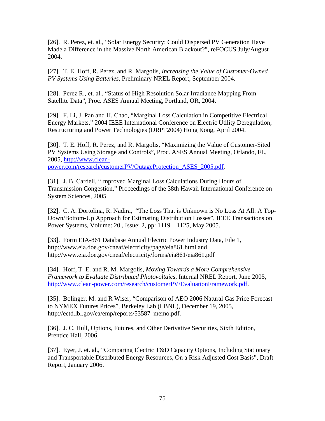[26]. R. Perez, et. al., "Solar Energy Security: Could Dispersed PV Generation Have Made a Difference in the Massive North American Blackout?", reFOCUS July/August 2004.

[27]. T. E. Hoff, R. Perez, and R. Margolis, *Increasing the Value of Customer-Owned PV Systems Using Batteries*, Preliminary NREL Report, September 2004.

[28]. Perez R., et. al., "Status of High Resolution Solar Irradiance Mapping From Satellite Data", Proc. ASES Annual Meeting, Portland, OR, 2004.

[29]. F. Li, J. Pan and H. Chao, "Marginal Loss Calculation in Competitive Electrical Energy Markets," 2004 IEEE International Conference on Electric Utility Deregulation, Restructuring and Power Technologies (DRPT2004) Hong Kong, April 2004.

[30]. T. E. Hoff, R. Perez, and R. Margolis, "Maximizing the Value of Customer-Sited PV Systems Using Storage and Controls", Proc. ASES Annual Meeting, Orlando, FL, 2005, http://www.cleanpower.com/research/customerPV/OutageProtection\_ASES\_2005.pdf.

[31]. J. B. Cardell, "Improved Marginal Loss Calculations During Hours of Transmission Congestion," Proceedings of the 38th Hawaii International Conference on System Sciences, 2005.

[32]. C. A. Dortolina, R. Nadira, "The Loss That is Unknown is No Loss At All: A Top-Down/Bottom-Up Approach for Estimating Distribution Losses", IEEE Transactions on Power Systems, Volume: 20 , Issue: 2, pp: 1119 – 1125, May 2005.

[33]. Form EIA-861 Database Annual Electric Power Industry Data, File 1, http://www.eia.doe.gov/cneaf/electricity/page/eia861.html and http://www.eia.doe.gov/cneaf/electricity/forms/eia861/eia861.pdf

[34]. Hoff, T. E. and R. M. Margolis, *Moving Towards a More Comprehensive Framework to Evaluate Distributed Photovoltaics*, Internal NREL Report, June 2005, http://www.clean-power.com/research/customerPV/EvaluationFramework.pdf.

[35]. Bolinger, M. and R Wiser, "Comparison of AEO 2006 Natural Gas Price Forecast to NYMEX Futures Prices", Berkeley Lab (LBNL), December 19, 2005, http://eetd.lbl.gov/ea/emp/reports/53587\_memo.pdf.

[36]. J. C. Hull, Options, Futures, and Other Derivative Securities, Sixth Edition, Prentice Hall, 2006.

[37]. Eyer, J. et. al., "Comparing Electric T&D Capacity Options, Including Stationary and Transportable Distributed Energy Resources, On a Risk Adjusted Cost Basis", Draft Report, January 2006.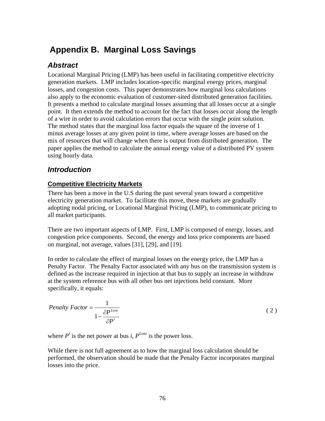# **Appendix B. Marginal Loss Savings**

# *Abstract*

Locational Marginal Pricing (LMP) has been useful in facilitating competitive electricity generation markets. LMP includes location-specific marginal energy prices, marginal losses, and congestion costs. This paper demonstrates how marginal loss calculations also apply to the economic evaluation of customer-sited distributed generation facilities. It presents a method to calculate marginal losses assuming that all losses occur at a single point. It then extends the method to account for the fact that losses occur along the length of a wire in order to avoid calculation errors that occur with the single point solution. The method states that the marginal loss factor equals the square of the inverse of 1 minus average losses at any given point in time, where average losses are based on the mix of resources that will change when there is output from distributed generation. The paper applies the method to calculate the annual energy value of a distributed PV system using hourly data.

### *Introduction*

### **Competitive Electricity Markets**

There has been a move in the U.S during the past several years toward a competitive electricity generation market. To facilitate this move, these markets are gradually adopting nodal pricing, or Locational Marginal Pricing (LMP), to communicate pricing to all market participants.

There are two important aspects of LMP. First, LMP is composed of energy, losses, and congestion price components. Second, the energy and loss price components are based on marginal, not average, values [31], [29], and [19].

In order to calculate the effect of marginal losses on the energy price, the LMP has a Penalty Factor. The Penalty Factor associated with any bus on the transmission system is defined as the increase required in injection at that bus to supply an increase in withdraw at the system reference bus with all other bus net injections held constant. More specifically, it equals:

$$
Penalty Factor = \frac{1}{1 - \frac{\partial P^{Loss}}{\partial P^{i}}}
$$
\n(2)

where  $P^i$  is the net power at bus *i*,  $P^{Loss}$  is the power loss.

While there is not full agreement as to how the marginal loss calculation should be performed, the observation should be made that the Penalty Factor incorporates marginal losses into the price.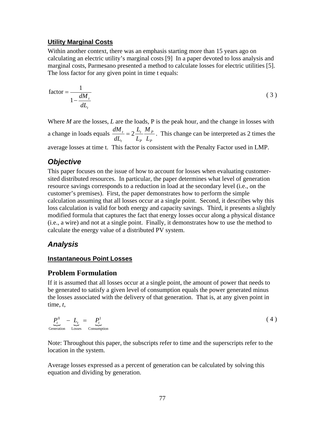#### **Utility Marginal Costs**

Within another context, there was an emphasis starting more than 15 years ago on calculating an electric utility's marginal costs [9] In a paper devoted to loss analysis and marginal costs, Parmesano presented a method to calculate losses for electric utilities [5]. The loss factor for any given point in time t equals:

$$
\text{factor} = \frac{1}{1 - \frac{dM_t}{dL_t}}
$$
 (3)

Where *M* are the losses, *L* are the loads, P is the peak hour, and the change in losses with a change in loads equals *P P P t t t L M L L dL*  $\frac{dM_t}{dt} = 2 \frac{L_t}{t} \frac{M_p}{t}$ . This change can be interpreted as 2 times the

average losses at time t. This factor is consistent with the Penalty Factor used in LMP.

# *Objective*

This paper focuses on the issue of how to account for losses when evaluating customersited distributed resources. In particular, the paper determines what level of generation resource savings corresponds to a reduction in load at the secondary level (i.e., on the customer's premises). First, the paper demonstrates how to perform the simple calculation assuming that all losses occur at a single point. Second, it describes why this loss calculation is valid for both energy and capacity savings. Third, it presents a slightly modified formula that captures the fact that energy losses occur along a physical distance (i.e., a wire) and not at a single point. Finally, it demonstrates how to use the method to calculate the energy value of a distributed PV system.

## *Analysis*

### **Instantaneous Point Losses**

### **Problem Formulation**

If it is assumed that all losses occur at a single point, the amount of power that needs to be generated to satisfy a given level of consumption equals the power generated minus the losses associated with the delivery of that generation. That is, at any given point in time, *t*,

$$
\underbrace{P_t^0}_{\text{Generation}} - \underbrace{L_t}_{\text{Losses}} = \underbrace{P_t^1}_{\text{Consumption}} \tag{4}
$$

Note: Throughout this paper, the subscripts refer to time and the superscripts refer to the location in the system.

Average losses expressed as a percent of generation can be calculated by solving this equation and dividing by generation.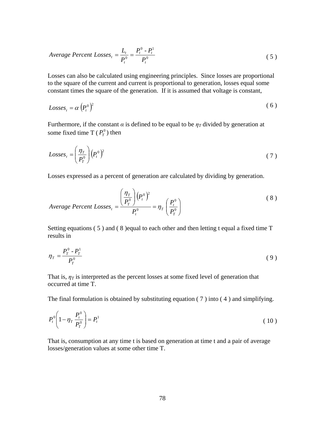$$
Average Percent Losses_t = \frac{L_t}{P_t^0} = \frac{P_t^0 - P_t^1}{P_t^0}
$$
\n
$$
\tag{5}
$$

Losses can also be calculated using engineering principles. Since losses are proportional to the square of the current and current is proportional to generation, losses equal some constant times the square of the generation. If it is assumed that voltage is constant,

$$
Losses_t = \alpha \left( P_t^0 \right)^2 \tag{6}
$$

Furthermore, if the constant  $\alpha$  is defined to be equal to be  $\eta_T$  divided by generation at some fixed time T  $(P_r^0)$  then

$$
Losses_t = \left(\frac{\eta_T}{P_T^0}\right) (P_t^0)^2 \tag{7}
$$

Losses expressed as a percent of generation are calculated by dividing by generation.

$$
Average Percent Losses_t = \frac{\left(\frac{\eta_T}{P_r^0}\right)(P_t^0)^2}{P_t^0} = \eta_T \left(\frac{P_t^0}{P_T^0}\right)
$$
\n(8)

Setting equations ( 5 ) and ( 8 )equal to each other and then letting t equal a fixed time T results in

$$
\eta_T = \frac{P_T^0 - P_T^1}{P_T^0} \tag{9}
$$

That is,  $\eta_T$  is interpreted as the percent losses at some fixed level of generation that occurred at time T.

The final formulation is obtained by substituting equation ( 7 ) into ( 4 ) and simplifying.

$$
P_t^0 \left( 1 - \eta_T \frac{P_t^0}{P_T^0} \right) = P_t^1 \tag{10}
$$

That is, consumption at any time t is based on generation at time t and a pair of average losses/generation values at some other time T.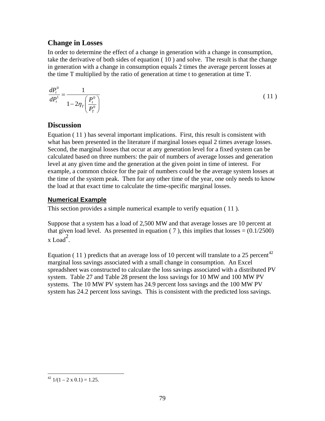### **Change in Losses**

In order to determine the effect of a change in generation with a change in consumption, take the derivative of both sides of equation ( 10 ) and solve. The result is that the change in generation with a change in consumption equals 2 times the average percent losses at the time T multiplied by the ratio of generation at time t to generation at time T.

$$
\frac{dP_t^0}{dP_t^1} = \frac{1}{1 - 2\eta_T \left(\frac{P_t^0}{P_T^0}\right)}\tag{11}
$$

### **Discussion**

Equation ( 11 ) has several important implications. First, this result is consistent with what has been presented in the literature if marginal losses equal 2 times average losses. Second, the marginal losses that occur at any generation level for a fixed system can be calculated based on three numbers: the pair of numbers of average losses and generation level at any given time and the generation at the given point in time of interest. For example, a common choice for the pair of numbers could be the average system losses at the time of the system peak. Then for any other time of the year, one only needs to know the load at that exact time to calculate the time-specific marginal losses.

### **Numerical Example**

This section provides a simple numerical example to verify equation ( 11 ).

Suppose that a system has a load of 2,500 MW and that average losses are 10 percent at that given load level. As presented in equation ( 7 ), this implies that losses  $= (0.1/2500)$  $x$  Load<sup>2</sup>.

Equation (11) predicts that an average loss of 10 percent will translate to a 25 percent<sup>42</sup> marginal loss savings associated with a small change in consumption. An Excel spreadsheet was constructed to calculate the loss savings associated with a distributed PV system. Table 27 and Table 28 present the loss savings for 10 MW and 100 MW PV systems. The 10 MW PV system has 24.9 percent loss savings and the 100 MW PV system has 24.2 percent loss savings. This is consistent with the predicted loss savings.

<sup>&</sup>lt;u>.</u> <sup>42</sup>  $1/(1 - 2 \times 0.1) = 1.25$ .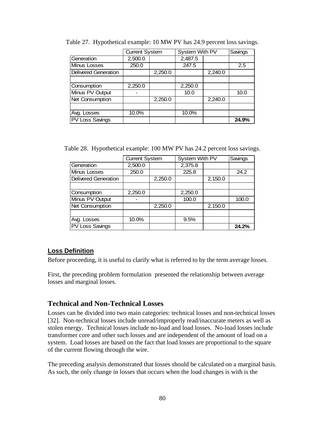|                             | <b>Current System</b> |         | System With PV | Savings |       |
|-----------------------------|-----------------------|---------|----------------|---------|-------|
| Generation                  | 2,500.0               |         | 2,487.5        |         |       |
| Minus Losses                | 250.0                 |         | 247.5          |         | 2.5   |
| <b>Delivered Generation</b> |                       | 2,250.0 |                | 2,240.0 |       |
|                             |                       |         |                |         |       |
| Consumption                 | 2,250.0               |         | 2,250.0        |         |       |
| Minus PV Output             |                       |         | 10.0           |         | 10.0  |
| Net Consumption             |                       | 2,250.0 |                | 2,240.0 |       |
|                             |                       |         |                |         |       |
| Avg. Losses                 | 10.0%                 |         | 10.0%          |         |       |
| <b>PV Loss Savings</b>      |                       |         |                |         | 24.9% |

Table 27. Hypothetical example: 10 MW PV has 24.9 percent loss savings.

Table 28. Hypothetical example: 100 MW PV has 24.2 percent loss savings.

|                             | <b>Current System</b> |         | System With PV |         | Savings |
|-----------------------------|-----------------------|---------|----------------|---------|---------|
| Generation                  | 2,500.0               |         | 2,375.8        |         |         |
| Minus Losses                | 250.0                 |         | 225.8          |         | 24.2    |
| <b>Delivered Generation</b> |                       | 2,250.0 |                | 2,150.0 |         |
|                             |                       |         |                |         |         |
| Consumption                 | 2,250.0               |         | 2,250.0        |         |         |
| Minus PV Output             |                       |         | 100.0          |         | 100.0   |
| <b>Net Consumption</b>      |                       | 2,250.0 |                | 2,150.0 |         |
|                             |                       |         |                |         |         |
| Avg. Losses                 | 10.0%                 |         | 9.5%           |         |         |
| <b>PV Loss Savings</b>      |                       |         |                |         | 24.2%   |

### **Loss Definition**

Before proceeding, it is useful to clarify what is referred to by the term average losses.

First, the preceding problem formulation presented the relationship between average losses and marginal losses.

### **Technical and Non-Technical Losses**

Losses can be divided into two main categories: technical losses and non-technical losses [32]. Non-technical losses include unread/improperly read/inaccurate meters as well as stolen energy. Technical losses include no-load and load losses. No-load losses include transformer core and other such losses and are independent of the amount of load on a system. Load losses are based on the fact that load losses are proportional to the square of the current flowing through the wire.

The preceding analysis demonstrated that losses should be calculated on a marginal basis. As such, the only change in losses that occurs when the load changes is with is the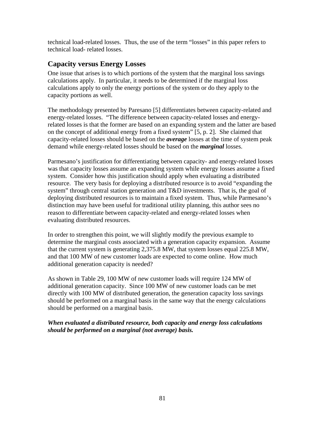technical load-related losses. Thus, the use of the term "losses" in this paper refers to technical load- related losses.

### **Capacity versus Energy Losses**

One issue that arises is to which portions of the system that the marginal loss savings calculations apply. In particular, it needs to be determined if the marginal loss calculations apply to only the energy portions of the system or do they apply to the capacity portions as well.

The methodology presented by Paresano [5] differentiates between capacity-related and energy-related losses. "The difference between capacity-related losses and energyrelated losses is that the former are based on an expanding system and the latter are based on the concept of additional energy from a fixed system" [5, p. 2]. She claimed that capacity-related losses should be based on the *average* losses at the time of system peak demand while energy-related losses should be based on the *marginal* losses.

Parmesano's justification for differentiating between capacity- and energy-related losses was that capacity losses assume an expanding system while energy losses assume a fixed system. Consider how this justification should apply when evaluating a distributed resource. The very basis for deploying a distributed resource is to avoid "expanding the system" through central station generation and T&D investments. That is, the goal of deploying distributed resources is to maintain a fixed system. Thus, while Parmesano's distinction may have been useful for traditional utility planning, this author sees no reason to differentiate between capacity-related and energy-related losses when evaluating distributed resources.

In order to strengthen this point, we will slightly modify the previous example to determine the marginal costs associated with a generation capacity expansion. Assume that the current system is generating 2,375.8 MW, that system losses equal 225.8 MW, and that 100 MW of new customer loads are expected to come online. How much additional generation capacity is needed?

As shown in Table 29, 100 MW of new customer loads will require 124 MW of additional generation capacity. Since 100 MW of new customer loads can be met directly with 100 MW of distributed generation, the generation capacity loss savings should be performed on a marginal basis in the same way that the energy calculations should be performed on a marginal basis.

*When evaluated a distributed resource, both capacity and energy loss calculations should be performed on a marginal (not average) basis.*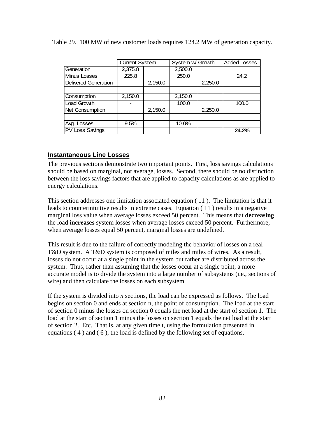Table 29. 100 MW of new customer loads requires 124.2 MW of generation capacity.

|                             | <b>Current System</b> |         | System w/ Growth |         | <b>Added Losses</b> |
|-----------------------------|-----------------------|---------|------------------|---------|---------------------|
| Generation                  | 2,375.8               |         | 2,500.0          |         |                     |
| <b>Minus Losses</b>         | 225.8                 |         | 250.0            |         | 24.2                |
| <b>Delivered Generation</b> |                       | 2,150.0 |                  | 2,250.0 |                     |
|                             |                       |         |                  |         |                     |
| Consumption                 | 2,150.0               |         | 2,150.0          |         |                     |
| <b>Load Growth</b>          |                       |         | 100.0            |         | 100.0               |
| Net Consumption             |                       | 2,150.0 |                  | 2,250.0 |                     |
|                             |                       |         |                  |         |                     |
| Avg. Losses                 | 9.5%                  |         | 10.0%            |         |                     |
| <b>PV Loss Savings</b>      |                       |         |                  |         | 24.2%               |

#### **Instantaneous Line Losses**

The previous sections demonstrate two important points. First, loss savings calculations should be based on marginal, not average, losses. Second, there should be no distinction between the loss savings factors that are applied to capacity calculations as are applied to energy calculations.

This section addresses one limitation associated equation ( 11 ). The limitation is that it leads to counterintuitive results in extreme cases. Equation ( 11 ) results in a negative marginal loss value when average losses exceed 50 percent. This means that **decreasing** the load **increases** system losses when average losses exceed 50 percent. Furthermore, when average losses equal 50 percent, marginal losses are undefined.

This result is due to the failure of correctly modeling the behavior of losses on a real T&D system. A T&D system is composed of miles and miles of wires. As a result, losses do not occur at a single point in the system but rather are distributed across the system. Thus, rather than assuming that the losses occur at a single point, a more accurate model is to divide the system into a large number of subsystems (i.e., sections of wire) and then calculate the losses on each subsystem.

If the system is divided into *n* sections, the load can be expressed as follows. The load begins on section 0 and ends at section n, the point of consumption. The load at the start of section 0 minus the losses on section 0 equals the net load at the start of section 1. The load at the start of section 1 minus the losses on section 1 equals the net load at the start of section 2. Etc. That is, at any given time t, using the formulation presented in equations ( 4 ) and ( 6 ), the load is defined by the following set of equations.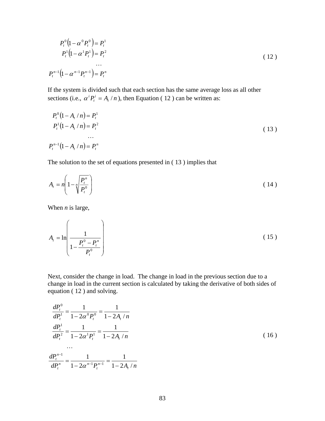$$
P_t^0 \left( 1 - \alpha^0 P_t^0 \right) = P_t^1
$$
  
\n
$$
P_t^1 \left( 1 - \alpha^1 P_t^1 \right) = P_t^2
$$
  
\n...  
\n
$$
P_t^{n-1} \left( 1 - \alpha^{n-1} P_t^{n-1} \right) = P_t^n
$$
 (12)

If the system is divided such that each section has the same average loss as all other sections (i.e.,  $\alpha^i P_t^i = A_t / n$  $\alpha^i P_t^i = A_t / n$ , then Equation (12) can be written as:

$$
P_t^0(1 - A_t/n) = P_t^1
$$
  
\n
$$
P_t^1(1 - A_t/n) = P_t^2
$$
  
\n...  
\n
$$
P_t^{n-1}(1 - A_t/n) = P_t^n
$$
 (13)

The solution to the set of equations presented in ( 13 ) implies that

$$
A_t = n \left( 1 - n \sqrt{\frac{P_t^n}{P_t^n}} \right) \tag{14}
$$

When *n* is large,

$$
A_{t} = \ln \left( \frac{1}{1 - \frac{P_{t}^{0} - P_{t}^{n}}{P_{t}^{0}}}\right)
$$
 (15)

Next, consider the change in load. The change in load in the previous section due to a change in load in the current section is calculated by taking the derivative of both sides of equation ( 12 ) and solving.

$$
\frac{dP_t^0}{dP_t^1} = \frac{1}{1 - 2\alpha^0 P_t^0} = \frac{1}{1 - 2A_t/n}
$$
\n
$$
\frac{dP_t^1}{dP_t^2} = \frac{1}{1 - 2\alpha^1 P_t^1} = \frac{1}{1 - 2A_t/n}
$$
\n...\n
$$
\frac{dP_t^{n-1}}{dP_t^n} = \frac{1}{1 - 2\alpha^{n-1} P_t^{n-1}} = \frac{1}{1 - 2A_t/n}
$$
\n(16)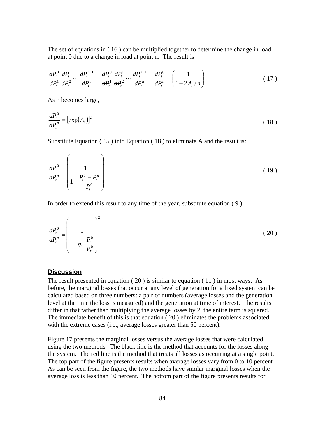The set of equations in ( 16 ) can be multiplied together to determine the change in load at point 0 due to a change in load at point n. The result is

$$
\frac{dP_t^0}{dP_t^1}\frac{dP_t^1}{dP_t^2}\cdots\frac{dP_t^{n-1}}{dP_t^n} = \frac{dP_t^0}{dP_t^1}\frac{dP_t^1}{dP_t^2}\cdots\frac{dP_t^{n-1}}{dP_t^n} = \frac{dP_t^0}{dP_t^n} = \left(\frac{1}{1-2A_t/n}\right)^n\tag{17}
$$

As n becomes large,

$$
\frac{dP_t^0}{dP_t^n} = \left[\exp(A_t)\right]^2\tag{18}
$$

Substitute Equation ( 15 ) into Equation ( 18 ) to eliminate A and the result is:

$$
\frac{dP_t^0}{dP_t^n} = \left(\frac{1}{1 - \frac{P_t^0 - P_t^n}{P_t^0}}\right)^2
$$
\n(19)

In order to extend this result to any time of the year, substitute equation ( 9 ).

$$
\frac{dP_t^0}{dP_t^n} = \left(\frac{1}{1 - \eta_T \frac{P_t^0}{P_T^0}}\right)^2
$$
\n(20)

#### **Discussion**

The result presented in equation ( 20 ) is similar to equation ( 11 ) in most ways. As before, the marginal losses that occur at any level of generation for a fixed system can be calculated based on three numbers: a pair of numbers (average losses and the generation level at the time the loss is measured) and the generation at time of interest. The results differ in that rather than multiplying the average losses by 2, the entire term is squared. The immediate benefit of this is that equation ( 20 ) eliminates the problems associated with the extreme cases (i.e., average losses greater than 50 percent).

Figure 17 presents the marginal losses versus the average losses that were calculated using the two methods. The black line is the method that accounts for the losses along the system. The red line is the method that treats all losses as occurring at a single point. The top part of the figure presents results when average losses vary from 0 to 10 percent As can be seen from the figure, the two methods have similar marginal losses when the average loss is less than 10 percent. The bottom part of the figure presents results for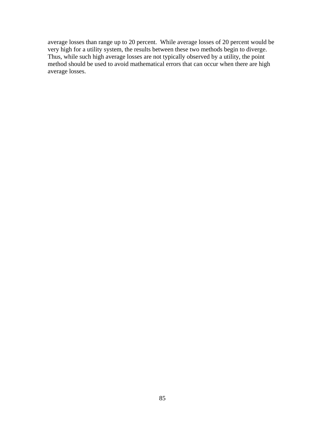average losses than range up to 20 percent. While average losses of 20 percent would be very high for a utility system, the results between these two methods begin to diverge. Thus, while such high average losses are not typically observed by a utility, the point method should be used to avoid mathematical errors that can occur when there are high average losses.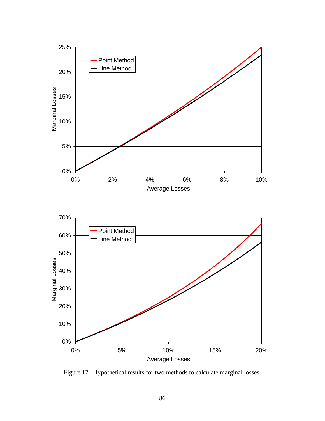

Figure 17. Hypothetical results for two methods to calculate marginal losses.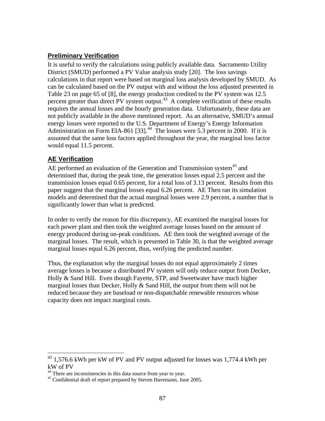#### **Preliminary Verification**

It is useful to verify the calculations using publicly available data. Sacramento Utility District (SMUD) performed a PV Value analysis study [20]. The loss savings calculations in that report were based on marginal loss analysis developed by SMUD. As can be calculated based on the PV output with and without the loss adjusted presented in Table 23 on page 65 of [8], the energy production credited to the PV system was 12.5 percent greater than direct PV system output.<sup>43</sup> A complete verification of these results requires the annual losses and the hourly generation data. Unfortunately, these data are not publicly available in the above mentioned report. As an alternative, SMUD's annual energy losses were reported to the U.S. Department of Energy's Energy Information Administration on Form EIA-861 [33].<sup>44</sup> The losses were 5.3 percent in 2000. If it is assumed that the same loss factors applied throughout the year, the marginal loss factor would equal 11.5 percent.

### **AE Verification**

 $\overline{a}$ 

AE performed an evaluation of the Generation and Transmission system<sup>45</sup> and determined that, during the peak time, the generation losses equal 2.5 percent and the transmission losses equal 0.65 percent, for a total loss of 3.13 percent. Results from this paper suggest that the marginal losses equal 6.26 percent. AE Then ran its simulation models and determined that the actual marginal losses were 2.9 percent, a number that is significantly lower than what is predicted.

In order to verify the reason for this discrepancy, AE examined the marginal losses for each power plant and then took the weighted average losses based on the amount of energy produced during on-peak conditions. AE then took the weighted average of the marginal losses. The result, which is presented in Table 30, is that the weighted average marginal losses equal 6.26 percent, thus, verifying the predicted number.

Thus, the explanation why the marginal losses do not equal approximately 2 times average losses is because a distributed PV system will only reduce output from Decker, Holly & Sand Hill. Even though Fayette, STP, and Sweetwater have much higher marginal losses than Decker, Holly  $&$  Sand Hill, the output from them will not be reduced because they are baseload or non-dispatchable renewable resources whose capacity does not impact marginal costs.

 $43$  1,576.6 kWh per kW of PV and PV output adjusted for losses was 1,774.4 kWh per kW of PV

<sup>&</sup>lt;sup>44</sup> There are inconsistencies in this data source from year to year.

<sup>&</sup>lt;sup>45</sup> Confidential draft of report prepared by Steven Havemann, June 2005.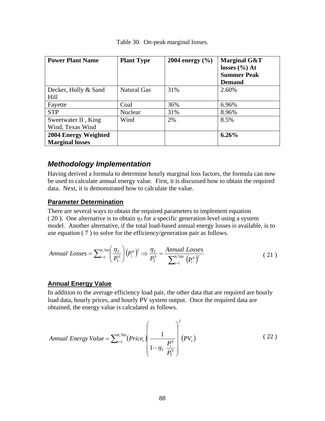| <b>Power Plant Name</b>                        | <b>Plant Type</b>  | 2004 energy $(\% )$ | Marginal G&T<br>losses $(\% )$ At<br><b>Summer Peak</b><br><b>Demand</b> |
|------------------------------------------------|--------------------|---------------------|--------------------------------------------------------------------------|
| Decker, Holly & Sand<br>Hill                   | <b>Natural Gas</b> | 31%                 | 2.60%                                                                    |
| Fayette                                        | Coal               | 36%                 | 6.96%                                                                    |
| <b>STP</b>                                     | Nuclear            | 31%                 | 8.96%                                                                    |
| Sweetwater II, King<br>Wind, Texas Wind        | Wind               | 2%                  | 8.5%                                                                     |
| 2004 Energy Weighted<br><b>Marginal losses</b> |                    |                     | 6.26%                                                                    |

Table 30. On-peak marginal losses.

### *Methodology Implementation*

Having derived a formula to determine hourly marginal loss factors, the formula can now be used to calculate annual energy value. First, it is discussed how to obtain the required data. Next, it is demonstrated how to calculate the value.

#### **Parameter Determination**

There are several ways to obtain the required parameters to implement equation ( 20 ). One alternative is to obtain  $\eta$ <sup>T</sup> for a specific generation level using a system model. Another alternative, if the total load-based annual energy losses is available, is to use equation ( 7 ) to solve for the efficiency/generation pair as follows.

*Annual Losses* = 
$$
\sum_{t=1}^{8,760} \left( \frac{\eta_r}{P_T^0} \right) (P_t^0)^2 \Rightarrow \frac{\eta_r}{P_T^0} = \frac{Annual Losses}{\sum_{t=1}^{8,760} (P_t^0)^2}
$$
 (21)

#### **Annual Energy Value**

In addition to the average efficiency load pair, the other data that are required are hourly load data, hourly prices, and hourly PV system output. Once the required data are obtained, the energy value is calculated as follows.

$$
Annual Energy Value = \sum_{t=1}^{8,760} (Price_t) \left( \frac{1}{1 - \eta_T \frac{P_t^0}{P_T^0}} \right)^2 (PV_t)
$$
\n(22)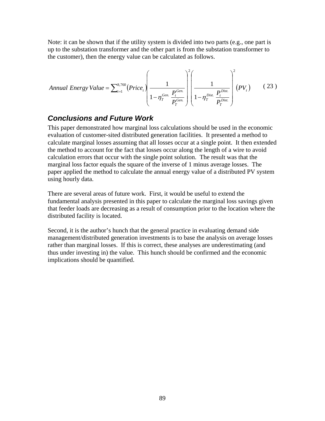Note: it can be shown that if the utility system is divided into two parts (e.g., one part is up to the substation transformer and the other part is from the substation transformer to the customer), then the energy value can be calculated as follows.

Annual Energy Value = 
$$
\sum_{t=1}^{8,760} (Price_t) \left( \frac{1}{1 - \eta_T^{Gen.}} \frac{P_t^{Gen.}}{P_T^{Gen.}} \right) \left( \frac{1}{1 - \eta_T^{Dist.}} \frac{P_t^{Dist.}}{P_T^{Dist.}} \right)^2 (PV_t)
$$
 (23)

### *Conclusions and Future Work*

This paper demonstrated how marginal loss calculations should be used in the economic evaluation of customer-sited distributed generation facilities. It presented a method to calculate marginal losses assuming that all losses occur at a single point. It then extended the method to account for the fact that losses occur along the length of a wire to avoid calculation errors that occur with the single point solution. The result was that the marginal loss factor equals the square of the inverse of 1 minus average losses. The paper applied the method to calculate the annual energy value of a distributed PV system using hourly data.

There are several areas of future work. First, it would be useful to extend the fundamental analysis presented in this paper to calculate the marginal loss savings given that feeder loads are decreasing as a result of consumption prior to the location where the distributed facility is located.

Second, it is the author's hunch that the general practice in evaluating demand side management/distributed generation investments is to base the analysis on average losses rather than marginal losses. If this is correct, these analyses are underestimating (and thus under investing in) the value. This hunch should be confirmed and the economic implications should be quantified.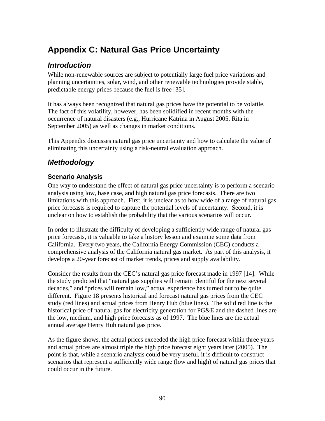# **Appendix C: Natural Gas Price Uncertainty**

# *Introduction*

While non-renewable sources are subject to potentially large fuel price variations and planning uncertainties, solar, wind, and other renewable technologies provide stable, predictable energy prices because the fuel is free [35].

It has always been recognized that natural gas prices have the potential to be volatile. The fact of this volatility, however, has been solidified in recent months with the occurrence of natural disasters (e.g., Hurricane Katrina in August 2005, Rita in September 2005) as well as changes in market conditions.

This Appendix discusses natural gas price uncertainty and how to calculate the value of eliminating this uncertainty using a risk-neutral evaluation approach.

# *Methodology*

### **Scenario Analysis**

One way to understand the effect of natural gas price uncertainty is to perform a scenario analysis using low, base case, and high natural gas price forecasts. There are two limitations with this approach. First, it is unclear as to how wide of a range of natural gas price forecasts is required to capture the potential levels of uncertainty. Second, it is unclear on how to establish the probability that the various scenarios will occur.

In order to illustrate the difficulty of developing a sufficiently wide range of natural gas price forecasts, it is valuable to take a history lesson and examine some data from California. Every two years, the California Energy Commission (CEC) conducts a comprehensive analysis of the California natural gas market. As part of this analysis, it develops a 20-year forecast of market trends, prices and supply availability.

Consider the results from the CEC's natural gas price forecast made in 1997 [14]. While the study predicted that "natural gas supplies will remain plentiful for the next several decades," and "prices will remain low," actual experience has turned out to be quite different. Figure 18 presents historical and forecast natural gas prices from the CEC study (red lines) and actual prices from Henry Hub (blue lines). The solid red line is the historical price of natural gas for electricity generation for PG&E and the dashed lines are the low, medium, and high price forecasts as of 1997. The blue lines are the actual annual average Henry Hub natural gas price.

As the figure shows, the actual prices exceeded the high price forecast within three years and actual prices are almost triple the high price forecast eight years later (2005). The point is that, while a scenario analysis could be very useful, it is difficult to construct scenarios that represent a sufficiently wide range (low and high) of natural gas prices that could occur in the future.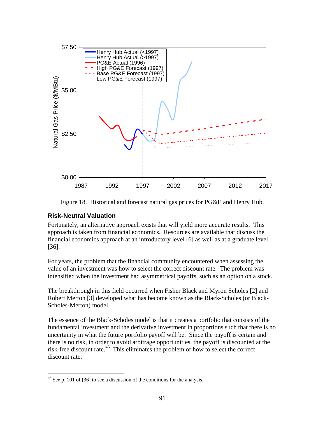

Figure 18. Historical and forecast natural gas prices for PG&E and Henry Hub.

#### **Risk-Neutral Valuation**

<u>.</u>

Fortunately, an alternative approach exists that will yield more accurate results. This approach is taken from financial economics. Resources are available that discuss the financial economics approach at an introductory level [6] as well as at a graduate level [36].

For years, the problem that the financial community encountered when assessing the value of an investment was how to select the correct discount rate. The problem was intensified when the investment had asymmetrical payoffs, such as an option on a stock.

The breakthrough in this field occurred when Fisher Black and Myron Scholes [2] and Robert Merton [3] developed what has become known as the Black-Scholes (or Black-Scholes-Merton) model.

The essence of the Black-Scholes model is that it creates a portfolio that consists of the fundamental investment and the derivative investment in proportions such that there is no uncertainty in what the future portfolio payoff will be. Since the payoff is certain and there is no risk, in order to avoid arbitrage opportunities, the payoff is discounted at the risk-free discount rate.46 This eliminates the problem of how to select the correct discount rate.

 $46$  See p. 101 of [36] to see a discussion of the conditions for the analysis.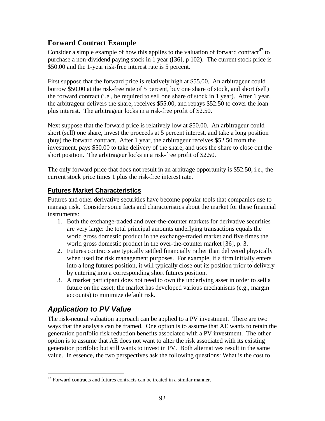## **Forward Contract Example**

Consider a simple example of how this applies to the valuation of forward contract<sup>47</sup> to purchase a non-dividend paying stock in 1 year ([36], p 102). The current stock price is \$50.00 and the 1-year risk-free interest rate is 5 percent.

First suppose that the forward price is relatively high at \$55.00. An arbitrageur could borrow \$50.00 at the risk-free rate of 5 percent, buy one share of stock, and short (sell) the forward contract (i.e., be required to sell one share of stock in 1 year). After 1 year, the arbitrageur delivers the share, receives \$55.00, and repays \$52.50 to cover the loan plus interest. The arbitrageur locks in a risk-free profit of \$2.50.

Next suppose that the forward price is relatively low at \$50.00. An arbitrageur could short (sell) one share, invest the proceeds at 5 percent interest, and take a long position (buy) the forward contract. After 1 year, the arbitrageur receives \$52.50 from the investment, pays \$50.00 to take delivery of the share, and uses the share to close out the short position. The arbitrageur locks in a risk-free profit of \$2.50.

The only forward price that does not result in an arbitrage opportunity is \$52.50, i.e., the current stock price times 1 plus the risk-free interest rate.

### **Futures Market Characteristics**

Futures and other derivative securities have become popular tools that companies use to manage risk. Consider some facts and characteristics about the market for these financial instruments:

- 1. Both the exchange-traded and over-the-counter markets for derivative securities are very large: the total principal amounts underlying transactions equals the world gross domestic product in the exchange-traded market and five times the world gross domestic product in the over-the-counter market [36], p. 3.
- 2. Futures contracts are typically settled financially rather than delivered physically when used for risk management purposes. For example, if a firm initially enters into a long futures position, it will typically close out its position prior to delivery by entering into a corresponding short futures position.
- 3. A market participant does not need to own the underlying asset in order to sell a future on the asset; the market has developed various mechanisms (e.g., margin accounts) to minimize default risk.

# *Application to PV Value*

 $\overline{a}$ 

The risk-neutral valuation approach can be applied to a PV investment. There are two ways that the analysis can be framed. One option is to assume that AE wants to retain the generation portfolio risk reduction benefits associated with a PV investment. The other option is to assume that AE does not want to alter the risk associated with its existing generation portfolio but still wants to invest in PV. Both alternatives result in the same value. In essence, the two perspectives ask the following questions: What is the cost to

 $47$  Forward contracts and futures contracts can be treated in a similar manner.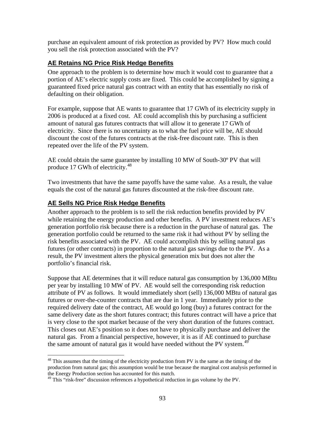purchase an equivalent amount of risk protection as provided by PV? How much could you sell the risk protection associated with the PV?

### **AE Retains NG Price Risk Hedge Benefits**

One approach to the problem is to determine how much it would cost to guarantee that a portion of AE's electric supply costs are fixed. This could be accomplished by signing a guaranteed fixed price natural gas contract with an entity that has essentially no risk of defaulting on their obligation.

For example, suppose that AE wants to guarantee that 17 GWh of its electricity supply in 2006 is produced at a fixed cost. AE could accomplish this by purchasing a sufficient amount of natural gas futures contracts that will allow it to generate 17 GWh of electricity. Since there is no uncertainty as to what the fuel price will be, AE should discount the cost of the futures contracts at the risk-free discount rate. This is then repeated over the life of the PV system.

AE could obtain the same guarantee by installing 10 MW of South-30º PV that will produce 17 GWh of electricity.<sup>48</sup>

Two investments that have the same payoffs have the same value. As a result, the value equals the cost of the natural gas futures discounted at the risk-free discount rate.

### **AE Sells NG Price Risk Hedge Benefits**

 $\overline{a}$ 

Another approach to the problem is to sell the risk reduction benefits provided by PV while retaining the energy production and other benefits. A PV investment reduces AE's generation portfolio risk because there is a reduction in the purchase of natural gas. The generation portfolio could be returned to the same risk it had without PV by selling the risk benefits associated with the PV. AE could accomplish this by selling natural gas futures (or other contracts) in proportion to the natural gas savings due to the PV. As a result, the PV investment alters the physical generation mix but does not alter the portfolio's financial risk.

Suppose that AE determines that it will reduce natural gas consumption by 136,000 MBtu per year by installing 10 MW of PV. AE would sell the corresponding risk reduction attribute of PV as follows. It would immediately short (sell) 136,000 MBtu of natural gas futures or over-the-counter contracts that are due in 1 year. Immediately prior to the required delivery date of the contract, AE would go long (buy) a futures contract for the same delivery date as the short futures contract; this futures contract will have a price that is very close to the spot market because of the very short duration of the futures contract. This closes out AE's position so it does not have to physically purchase and deliver the natural gas. From a financial perspective, however, it is as if AE continued to purchase the same amount of natural gas it would have needed without the PV system.<sup>49</sup>

 $48$  This assumes that the timing of the electricity production from PV is the same as the timing of the production from natural gas; this assumption would be true because the marginal cost analysis performed in the Energy Production section has accounted for this match.

 $49$  This "risk-free" discussion references a hypothetical reduction in gas volume by the PV.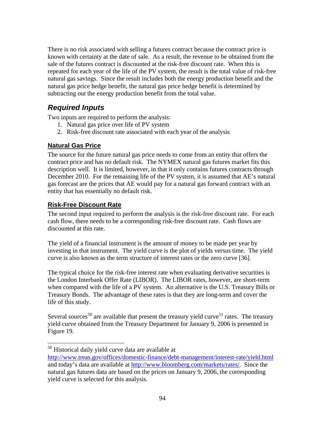There is no risk associated with selling a futures contract because the contract price is known with certainty at the date of sale. As a result, the revenue to be obtained from the sale of the futures contract is discounted at the risk-free discount rate. When this is repeated for each year of the life of the PV system, the result is the total value of risk-free natural gas savings. Since the result includes both the energy production benefit and the natural gas price hedge benefit, the natural gas price hedge benefit is determined by subtracting out the energy production benefit from the total value.

# *Required Inputs*

Two inputs are required to perform the analysis:

- 1. Natural gas price over life of PV system
- 2. Risk-free discount rate associated with each year of the analysis

### **Natural Gas Price**

The source for the future natural gas price needs to come from an entity that offers the contract price and has no default risk. The NYMEX natural gas futures market fits this description well. It is limited, however, in that it only contains futures contracts through December 2010. For the remaining life of the PV system, it is assumed that AE's natural gas forecast are the prices that AE would pay for a natural gas forward contract with an entity that has essentially no default risk.

### **Risk-Free Discount Rate**

 $\overline{a}$ 

The second input required to perform the analysis is the risk-free discount rate. For each cash flow, there needs to be a corresponding risk-free discount rate. Cash flows are discounted at this rate.

The yield of a financial instrument is the amount of money to be made per year by investing in that instrument. The yield curve is the plot of yields versus time. The yield curve is also known as the term structure of interest rates or the zero curve [36].

The typical choice for the risk-free interest rate when evaluating derivative securities is the London Interbank Offer Rate (LIBOR). The LIBOR rates, however, are short-term when compared with the life of a PV system. An alternative is the U.S. Treasury Bills or Treasury Bonds. The advantage of these rates is that they are long-term and cover the life of this study.

Several sources<sup>50</sup> are available that present the treasury yield curve<sup>51</sup> rates. The treasury yield curve obtained from the Treasury Department for January 9, 2006 is presented in Figure 19.

<sup>&</sup>lt;sup>50</sup> Historical daily yield curve data are available at

http://www.treas.gov/offices/domestic-finance/debt-management/interest-rate/yield.html and today's data are available at http://www.bloomberg.com/markets/rates/. Since the natural gas futures data are based on the prices on January 9, 2006, the corresponding yield curve is selected for this analysis.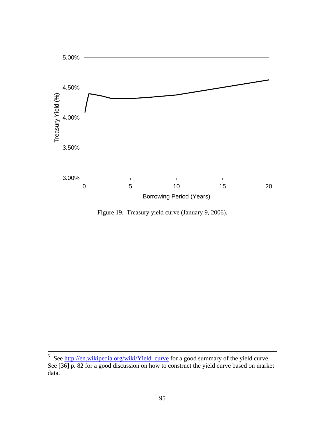

Figure 19. Treasury yield curve (January 9, 2006).

<sup>&</sup>lt;sup>51</sup> See http://en.wikipedia.org/wiki/Yield\_curve for a good summary of the yield curve. See [36] p. 82 for a good discussion on how to construct the yield curve based on market data.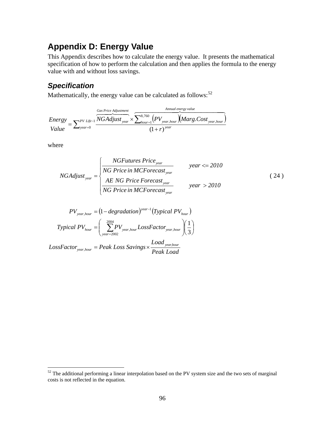# **Appendix D: Energy Value**

This Appendix describes how to calculate the energy value. It presents the mathematical specification of how to perform the calculation and then applies the formula to the energy value with and without loss savings.

# *Specification*

Mathematically, the energy value can be calculated as follows: $52$ 

 $\sum_{\text{year}=0}^{PV_{Life-1}} \frac{NGAdjust_{year} \times \sum_{hour=1}^{8,760} (PV_{year, hour}) (Marg. Cost_{year, hour})}{(1 + r)^{year}}$ = +  $=\sum_{{\it year}=0}^{{\it PV~Life}-1} \frac{NGAdjust_{\it year}\times}{\rm}$ 8,760  $\mathcal{H}$  **v** year, hour  $\bigwedge$  **VIUI**  $\mathcal{B}$ **.** COSI year,  $(1 + r)$ *PV Life year*=0  $(1 + \kappa)^{year}$ *Annual energy value*  $_{hour=1}$ <sup> $\left\{$ *l*</sup>  $\right\}$   $\left\{$   $\right\}$   $\left\{$   $\right\}$   $\left\{$   $\left\{$   $\right\}$   $\left\{$   $\right\}$   $\left\{$   $\right\}$   $\left\{$   $\right\}$   $\left\{$   $\left\{$   $\right\}$   $\left\{$   $\right\}$   $\left\{$   $\right\}$   $\left\{$   $\left\{$   $\right\}$   $\left\{$   $\right\}$   $\left\{$   $\left\{$   $\right\}$ *Gas Price Adjustment year r*  $NGA$ djust<sub>vear</sub>  $\times$   $\sum_{d}^{8,700}$ ,  $(PV_{year~hour}$  *Marg.Cost Value Energy*  $\overbrace{1}_{\text{Gas Price Adjustment}}$   $\overbrace{1}_{\text{Gas Price Adjustment}}$   $\overbrace{1}_{\text{Gas Price Adjustment}}$ 

where

 $\overline{a}$ 

NGAdjust<sub>year</sub> = 
$$
\begin{cases} \frac{NGFutures Price_{year}}{NG Price in MCForecast_{year}} & year < = 2010 \\ \frac{AE NG Price Forcecast_{year}}{NG Price in MCForecast_{year}} & year > 2010 \end{cases}
$$
 (24)

$$
PV_{year,hour} = (1 - degradation)^{year-1} (Typical PV_{hour})
$$
  
\n
$$
Typical PV_{hour} = \left(\sum_{year=2002}^{2004} PV_{year,hour} LossFactor_{year,hour}\right) \left(\frac{1}{3}\right)
$$
  
\n
$$
LossFactor_{year,hour} = Peak Loss Savings \times \frac{Load_{year,hour}}{Book Loss}
$$

*Peak Load*

 $52$  The additional performing a linear interpolation based on the PV system size and the two sets of marginal costs is not reflected in the equation.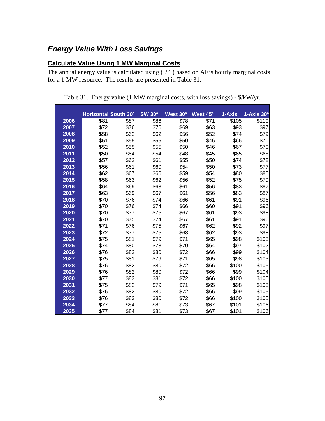# *Energy Value With Loss Savings*

### **Calculate Value Using 1 MW Marginal Costs**

The annual energy value is calculated using ( 24 ) based on AE's hourly marginal costs for a 1 MW resource. The results are presented in Table 31.

|      | Horizontal South 30° |      | <b>SW 30°</b> | West 30° | West 45° | 1-Axis | 1-Axis 30 <sup>o</sup> |
|------|----------------------|------|---------------|----------|----------|--------|------------------------|
| 2006 | \$81                 | \$87 | \$86          | \$78     | \$71     | \$105  | \$110                  |
| 2007 | \$72                 | \$76 | \$76          | \$69     | \$63     | \$93   | \$97                   |
| 2008 | \$58                 | \$62 | \$62          | \$56     | \$52     | \$74   | \$79                   |
| 2009 | \$51                 | \$55 | \$55          | \$50     | \$46     | \$66   | \$70                   |
| 2010 | \$52                 | \$55 | \$55          | \$50     | \$46     | \$67   | \$70                   |
| 2011 | \$50                 | \$54 | \$54          | \$48     | \$45     | \$65   | \$68                   |
| 2012 | \$57                 | \$62 | \$61          | \$55     | \$50     | \$74   | \$78                   |
| 2013 | \$56                 | \$61 | \$60          | \$54     | \$50     | \$73   | \$77                   |
| 2014 | \$62                 | \$67 | \$66          | \$59     | \$54     | \$80   | \$85                   |
| 2015 | \$58                 | \$63 | \$62          | \$56     | \$52     | \$75   | \$79                   |
| 2016 | \$64                 | \$69 | \$68          | \$61     | \$56     | \$83   | \$87                   |
| 2017 | \$63                 | \$69 | \$67          | \$61     | \$56     | \$83   | \$87                   |
| 2018 | \$70                 | \$76 | \$74          | \$66     | \$61     | \$91   | \$96                   |
| 2019 | \$70                 | \$76 | \$74          | \$66     | \$60     | \$91   | \$96                   |
| 2020 | \$70                 | \$77 | \$75          | \$67     | \$61     | \$93   | \$98                   |
| 2021 | \$70                 | \$75 | \$74          | \$67     | \$61     | \$91   | \$96                   |
| 2022 | \$71                 | \$76 | \$75          | \$67     | \$62     | \$92   | \$97                   |
| 2023 | \$72                 | \$77 | \$75          | \$68     | \$62     | \$93   | \$98                   |
| 2024 | \$75                 | \$81 | \$79          | \$71     | \$65     | \$98   | \$103                  |
| 2025 | \$74                 | \$80 | \$78          | \$70     | \$64     | \$97   | \$102                  |
| 2026 | \$76                 | \$82 | \$80          | \$72     | \$66     | \$99   | \$104                  |
| 2027 | \$75                 | \$81 | \$79          | \$71     | \$65     | \$98   | \$103                  |
| 2028 | \$76                 | \$82 | \$80          | \$72     | \$66     | \$100  | \$105                  |
| 2029 | \$76                 | \$82 | \$80          | \$72     | \$66     | \$99   | \$104                  |
| 2030 | \$77                 | \$83 | \$81          | \$72     | \$66     | \$100  | \$105                  |
| 2031 | \$75                 | \$82 | \$79          | \$71     | \$65     | \$98   | \$103                  |
| 2032 | \$76                 | \$82 | \$80          | \$72     | \$66     | \$99   | \$105                  |
| 2033 | \$76                 | \$83 | \$80          | \$72     | \$66     | \$100  | \$105                  |
| 2034 | \$77                 | \$84 | \$81          | \$73     | \$67     | \$101  | \$106                  |
| 2035 | \$77                 | \$84 | \$81          | \$73     | \$67     | \$101  | \$106                  |

Table 31. Energy value (1 MW marginal costs, with loss savings) - \$/kW/yr.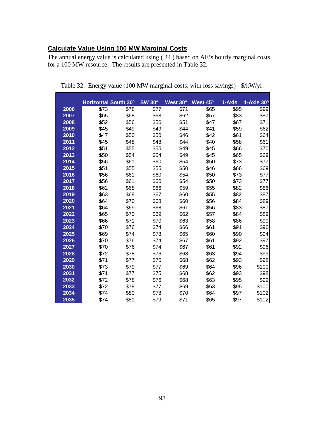# **Calculate Value Using 100 MW Marginal Costs**

The annual energy value is calculated using ( 24 ) based on AE's hourly marginal costs for a 100 MW resource. The results are presented in Table 32.

|      | Horizontal South 30° |      | <b>SW 30°</b> | West 30° | West 45° | 1-Axis | $1-Axis$ 30 $^{\circ}$ |
|------|----------------------|------|---------------|----------|----------|--------|------------------------|
| 2006 | \$73                 | \$78 | \$77          | \$71     | \$65     | \$95   | \$99                   |
| 2007 | \$65                 | \$68 | \$68          | \$62     | \$57     | \$83   | \$87                   |
| 2008 | \$52                 | \$56 | \$56          | \$51     | \$47     | \$67   | \$71                   |
| 2009 | \$45                 | \$49 | \$49          | \$44     | \$41     | \$59   | \$62                   |
| 2010 | \$47                 | \$50 | \$50          | \$46     | \$42     | \$61   | \$64                   |
| 2011 | \$45                 | \$48 | \$48          | \$44     | \$40     | \$58   | \$61                   |
| 2012 | \$51                 | \$55 | \$55          | \$49     | \$45     | \$66   | \$70                   |
| 2013 | \$50                 | \$54 | \$54          | \$49     | \$45     | \$65   | \$69                   |
| 2014 | \$56                 | \$61 | \$60          | \$54     | \$50     | \$73   | \$77                   |
| 2015 | \$51                 | \$55 | \$55          | \$50     | \$46     | \$66   | \$69                   |
| 2016 | \$56                 | \$61 | \$60          | \$54     | \$50     | \$73   | \$77                   |
| 2017 | \$56                 | \$61 | \$60          | \$54     | \$50     | \$73   | \$77                   |
| 2018 | \$62                 | \$68 | \$66          | \$59     | \$55     | \$82   | \$86                   |
| 2019 | \$63                 | \$68 | \$67          | \$60     | \$55     | \$82   | \$87                   |
| 2020 | \$64                 | \$70 | \$68          | \$60     | \$56     | \$84   | \$89                   |
| 2021 | \$64                 | \$69 | \$68          | \$61     | \$56     | \$83   | \$87                   |
| 2022 | \$65                 | \$70 | \$69          | \$62     | \$57     | \$84   | \$89                   |
| 2023 | \$66                 | \$71 | \$70          | \$63     | \$58     | \$86   | \$90                   |
| 2024 | \$70                 | \$76 | \$74          | \$66     | \$61     | \$91   | \$96                   |
| 2025 | \$69                 | \$74 | \$73          | \$65     | \$60     | \$90   | \$94                   |
| 2026 | \$70                 | \$76 | \$74          | \$67     | \$61     | \$92   | \$97                   |
| 2027 | \$70                 | \$76 | \$74          | \$67     | \$61     | \$92   | \$96                   |
| 2028 | \$72                 | \$78 | \$76          | \$68     | \$63     | \$94   | \$99                   |
| 2029 | \$71                 | \$77 | \$75          | \$68     | \$62     | \$93   | \$98                   |
| 2030 | \$73                 | \$79 | \$77          | \$69     | \$64     | \$96   | \$100                  |
| 2031 | \$71                 | \$77 | \$75          | \$68     | \$62     | \$93   | \$98                   |
| 2032 | \$72                 | \$78 | \$76          | \$68     | \$63     | \$95   | \$99                   |
| 2033 | \$72                 | \$78 | \$77          | \$69     | \$63     | \$95   | \$100                  |
| 2034 | \$74                 | \$80 | \$78          | \$70     | \$64     | \$97   | \$102                  |
| 2035 | \$74                 | \$81 | \$79          | \$71     | \$65     | \$97   | \$102                  |

Table 32. Energy value (100 MW marginal costs, with loss savings) - \$/kW/yr.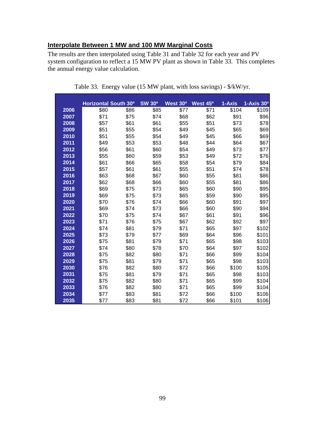### **Interpolate Between 1 MW and 100 MW Marginal Costs**

The results are then interpolated using Table 31 and Table 32 for each year and PV system configuration to reflect a 15 MW PV plant as shown in Table 33. This completes the annual energy value calculation.

|      | Horizontal South 30° |      | <b>SW 30°</b> | West 30° | West 45° | 1-Axis | 1-Axis 30 <sup>o</sup> |
|------|----------------------|------|---------------|----------|----------|--------|------------------------|
| 2006 | \$80                 | \$86 | \$85          | \$77     | \$71     | \$104  | \$109                  |
| 2007 | \$71                 | \$75 | \$74          | \$68     | \$62     | \$91   | \$96                   |
| 2008 | \$57                 | \$61 | \$61          | \$55     | \$51     | \$73   | \$78                   |
| 2009 | \$51                 | \$55 | \$54          | \$49     | \$45     | \$65   | \$69                   |
| 2010 | \$51                 | \$55 | \$54          | \$49     | \$45     | \$66   | \$69                   |
| 2011 | \$49                 | \$53 | \$53          | \$48     | \$44     | \$64   | \$67                   |
| 2012 | \$56                 | \$61 | \$60          | \$54     | \$49     | \$73   | \$77                   |
| 2013 | \$55                 | \$60 | \$59          | \$53     | \$49     | \$72   | \$76                   |
| 2014 | \$61                 | \$66 | \$65          | \$58     | \$54     | \$79   | \$84                   |
| 2015 | \$57                 | \$61 | \$61          | \$55     | \$51     | \$74   | \$78                   |
| 2016 | \$63                 | \$68 | \$67          | \$60     | \$55     | \$81   | \$86                   |
| 2017 | \$62                 | \$68 | \$66          | \$60     | \$55     | \$81   | \$86                   |
| 2018 | \$69                 | \$75 | \$73          | \$65     | \$60     | \$90   | \$95                   |
| 2019 | \$69                 | \$75 | \$73          | \$65     | \$59     | \$90   | \$95                   |
| 2020 | \$70                 | \$76 | \$74          | \$66     | \$60     | \$91   | \$97                   |
| 2021 | \$69                 | \$74 | \$73          | \$66     | \$60     | \$90   | \$94                   |
| 2022 | \$70                 | \$75 | \$74          | \$67     | \$61     | \$91   | \$96                   |
| 2023 | \$71                 | \$76 | \$75          | \$67     | \$62     | \$92   | \$97                   |
| 2024 | \$74                 | \$81 | \$79          | \$71     | \$65     | \$97   | \$102                  |
| 2025 | \$73                 | \$79 | \$77          | \$69     | \$64     | \$96   | \$101                  |
| 2026 | \$75                 | \$81 | \$79          | \$71     | \$65     | \$98   | \$103                  |
| 2027 | \$74                 | \$80 | \$78          | \$70     | \$64     | \$97   | \$102                  |
| 2028 | \$75                 | \$82 | \$80          | \$71     | \$66     | \$99   | \$104                  |
| 2029 | \$75                 | \$81 | \$79          | \$71     | \$65     | \$98   | \$103                  |
| 2030 | \$76                 | \$82 | \$80          | \$72     | \$66     | \$100  | \$105                  |
| 2031 | \$75                 | \$81 | \$79          | \$71     | \$65     | \$98   | \$103                  |
| 2032 | \$75                 | \$82 | \$80          | \$71     | \$65     | \$99   | \$104                  |
| 2033 | \$76                 | \$82 | \$80          | \$71     | \$65     | \$99   | \$104                  |
| 2034 | \$77                 | \$83 | \$81          | \$72     | \$66     | \$100  | \$106                  |
| 2035 | \$77                 | \$83 | \$81          | \$72     | \$66     | \$101  | \$106                  |

Table 33. Energy value (15 MW plant, with loss savings) - \$/kW/yr.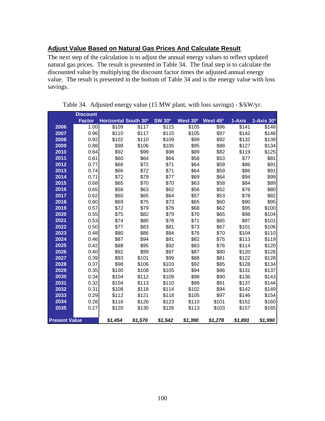### **Adjust Value Based on Natural Gas Prices And Calculate Result**

The next step of the calculation is to adjust the annual energy values to reflect updated natural gas prices. The result is presented in Table 34. The final step is to calculate the discounted value by multiplying the discount factor times the adjusted annual energy value. The result is presented in the bottom of Table 34 and is the energy value with loss savings.

|                      | <b>Discount</b> |                             |         |               |          |                      |         |                        |
|----------------------|-----------------|-----------------------------|---------|---------------|----------|----------------------|---------|------------------------|
|                      | <b>Factor</b>   | <b>Horizontal South 30°</b> |         | <b>SW 30°</b> | West 30° | West 45 <sup>o</sup> | 1-Axis  | 1-Axis 30 <sup>°</sup> |
| 2006                 | 1.00            | \$109                       | \$117   | \$115         | \$105    | \$96                 | \$141   | \$148                  |
| 2007                 | 0.96            | \$110                       | \$117   | \$115         | \$105    | \$97                 | \$142   | \$148                  |
| 2008                 | 0.92            | \$102                       | \$110   | \$109         | \$99     | \$92                 | \$132   | \$139                  |
| 2009                 | 0.88            | \$98                        | \$106   | \$105         | \$95     | \$88                 | \$127   | \$134                  |
| 2010                 | 0.84            | \$92                        | \$99    | \$98          | \$89     | \$82                 | \$119   | \$125                  |
| 2011                 | 0.81            | \$60                        | \$64    | \$64          | \$58     | \$53                 | \$77    | \$81                   |
| 2012                 | 0.77            | \$66                        | \$72    | \$71          | \$64     | \$59                 | \$86    | \$91                   |
| 2013                 | 0.74            | \$66                        | \$72    | \$71          | \$64     | \$59                 | \$86    | \$91                   |
| 2014                 | 0.71            | \$72                        | \$79    | \$77          | \$69     | \$64                 | \$94    | \$99                   |
| 2015                 | 0.68            | \$65                        | \$70    | \$70          | \$63     | \$58                 | \$84    | \$89                   |
| 2016                 | 0.65            | \$58                        | \$63    | \$62          | \$56     | \$52                 | \$76    | \$80                   |
| 2017                 | 0.62            | \$60                        | \$65    | \$64          | \$57     | \$53                 | \$78    | \$82                   |
| 2018                 | 0.60            | \$69                        | \$75    | \$73          | \$65     | \$60                 | \$90    | \$95                   |
| 2019                 | 0.57            | \$72                        | \$79    | \$76          | \$68     | \$62                 | \$95    | \$100                  |
| 2020                 | 0.55            | \$75                        | \$82    | \$79          | \$70     | \$65                 | \$98    | \$104                  |
| 2021                 | 0.53            | \$74                        | \$80    | \$78          | \$71     | \$65                 | \$97    | \$101                  |
| 2022                 | 0.50            | \$77                        | \$83    | \$81          | \$73     | \$67                 | \$101   | \$106                  |
| 2023                 | 0.48            | \$80                        | \$86    | \$84          | \$76     | \$70                 | \$104   | \$110                  |
| 2024                 | 0.46            | \$87                        | \$94    | \$91          | \$82     | \$75                 | \$113   | \$119                  |
| 2025                 | 0.42            | \$88                        | \$95    | \$92          | \$83     | \$76                 | \$114   | \$120                  |
| 2026                 | 0.40            | \$92                        | \$99    | \$97          | \$87     | \$80                 | \$120   | \$126                  |
| 2027                 | 0.39            | \$93                        | \$101   | \$99          | \$88     | \$81                 | \$122   | \$128                  |
| 2028                 | 0.37            | \$98                        | \$106   | \$103         | \$92     | \$85                 | \$128   | \$134                  |
| 2029                 | 0.35            | \$100                       | \$108   | \$105         | \$94     | \$86                 | \$131   | \$137                  |
| 2030                 | 0.34            | \$104                       | \$112   | \$109         | \$98     | \$90                 | \$136   | \$143                  |
| 2031                 | 0.32            | \$104                       | \$113   | \$110         | \$99     | \$91                 | \$137   | \$144                  |
| 2032                 | 0.31            | \$108                       | \$118   | \$114         | \$102    | \$94                 | \$142   | \$149                  |
| 2033                 | 0.29            | \$112                       | \$121   | \$118         | \$105    | \$97                 | \$146   | \$154                  |
| 2034                 | 0.28            | \$116                       | \$126   | \$123         | \$110    | \$101                | \$152   | \$160                  |
| 2035                 | 0.27            | \$120                       | \$130   | \$126         | \$113    | \$103                | \$157   | \$165                  |
| <b>Present Value</b> |                 | \$1.454                     | \$1,570 | \$1,542       | \$1,390  | \$1,278              | \$1,891 | \$1,990                |

Table 34. Adjusted energy value (15 MW plant, with loss savings) - \$/kW/yr.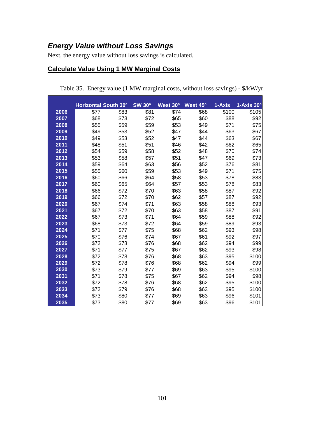## *Energy Value without Loss Savings*

Next, the energy value without loss savings is calculated.

## **Calculate Value Using 1 MW Marginal Costs**

|      | Horizontal South 30° |      | <b>SW 30°</b> | West 30° | West 45 <sup>o</sup> | 1-Axis | 1-Axis 30 <sup>o</sup> |
|------|----------------------|------|---------------|----------|----------------------|--------|------------------------|
| 2006 | \$77                 | \$83 | \$81          | \$74     | \$68                 | \$100  | \$105                  |
| 2007 | \$68                 | \$73 | \$72          | \$65     | \$60                 | \$88   | \$92                   |
| 2008 | \$55                 | \$59 | \$59          | \$53     | \$49                 | \$71   | \$75                   |
| 2009 | \$49                 | \$53 | \$52          | \$47     | \$44                 | \$63   | \$67                   |
| 2010 | \$49                 | \$53 | \$52          | \$47     | \$44                 | \$63   | \$67                   |
| 2011 | \$48                 | \$51 | \$51          | \$46     | \$42                 | \$62   | \$65                   |
| 2012 | \$54                 | \$59 | \$58          | \$52     | \$48                 | \$70   | \$74                   |
| 2013 | \$53                 | \$58 | \$57          | \$51     | \$47                 | \$69   | \$73                   |
| 2014 | \$59                 | \$64 | \$63          | \$56     | \$52                 | \$76   | \$81                   |
| 2015 | \$55                 | \$60 | \$59          | \$53     | \$49                 | \$71   | \$75                   |
| 2016 | \$60                 | \$66 | \$64          | \$58     | \$53                 | \$78   | \$83                   |
| 2017 | \$60                 | \$65 | \$64          | \$57     | \$53                 | \$78   | \$83                   |
| 2018 | \$66                 | \$72 | \$70          | \$63     | \$58                 | \$87   | \$92                   |
| 2019 | \$66                 | \$72 | \$70          | \$62     | \$57                 | \$87   | \$92                   |
| 2020 | \$67                 | \$74 | \$71          | \$63     | \$58                 | \$88   | \$93                   |
| 2021 | \$67                 | \$72 | \$70          | \$63     | \$58                 | \$87   | \$91                   |
| 2022 | \$67                 | \$73 | \$71          | \$64     | \$59                 | \$88   | \$92                   |
| 2023 | \$68                 | \$73 | \$72          | \$64     | \$59                 | \$89   | \$93                   |
| 2024 | \$71                 | \$77 | \$75          | \$68     | \$62                 | \$93   | \$98                   |
| 2025 | \$70                 | \$76 | \$74          | \$67     | \$61                 | \$92   | \$97                   |
| 2026 | \$72                 | \$78 | \$76          | \$68     | \$62                 | \$94   | \$99                   |
| 2027 | \$71                 | \$77 | \$75          | \$67     | \$62                 | \$93   | \$98                   |
| 2028 | \$72                 | \$78 | \$76          | \$68     | \$63                 | \$95   | \$100                  |
| 2029 | \$72                 | \$78 | \$76          | \$68     | \$62                 | \$94   | \$99                   |
| 2030 | \$73                 | \$79 | \$77          | \$69     | \$63                 | \$95   | \$100                  |
| 2031 | \$71                 | \$78 | \$75          | \$67     | \$62                 | \$94   | \$98                   |
| 2032 | \$72                 | \$78 | \$76          | \$68     | \$62                 | \$95   | \$100                  |
| 2033 | \$72                 | \$79 | \$76          | \$68     | \$63                 | \$95   | \$100                  |
| 2034 | \$73                 | \$80 | \$77          | \$69     | \$63                 | \$96   | \$101                  |
| 2035 | \$73                 | \$80 | \$77          | \$69     | \$63                 | \$96   | \$101                  |

Table 35. Energy value (1 MW marginal costs, without loss savings) - \$/kW/yr.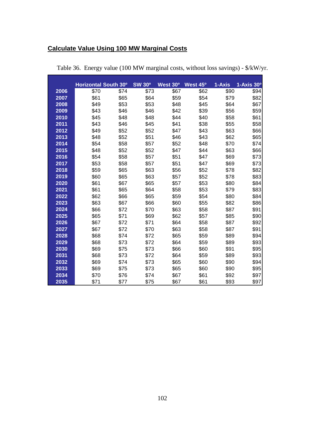# **Calculate Value Using 100 MW Marginal Costs**

|      | Horizontal South 30° |      | <b>SW 30°</b> | West 30° | West 45° | 1-Axis | 1-Axis 30 <sup>o</sup> |
|------|----------------------|------|---------------|----------|----------|--------|------------------------|
| 2006 | \$70                 | \$74 | \$73          | \$67     | \$62     | \$90   | \$94                   |
| 2007 | \$61                 | \$65 | \$64          | \$59     | \$54     | \$79   | \$82                   |
| 2008 | \$49                 | \$53 | \$53          | \$48     | \$45     | \$64   | \$67                   |
| 2009 | \$43                 | \$46 | \$46          | \$42     | \$39     | \$56   | \$59                   |
| 2010 | \$45                 | \$48 | \$48          | \$44     | \$40     | \$58   | \$61                   |
| 2011 | \$43                 | \$46 | \$45          | \$41     | \$38     | \$55   | \$58                   |
| 2012 | \$49                 | \$52 | \$52          | \$47     | \$43     | \$63   | \$66                   |
| 2013 | \$48                 | \$52 | \$51          | \$46     | \$43     | \$62   | \$65                   |
| 2014 | \$54                 | \$58 | \$57          | \$52     | \$48     | \$70   | \$74                   |
| 2015 | \$48                 | \$52 | \$52          | \$47     | \$44     | \$63   | \$66                   |
| 2016 | \$54                 | \$58 | \$57          | \$51     | \$47     | \$69   | \$73                   |
| 2017 | \$53                 | \$58 | \$57          | \$51     | \$47     | \$69   | \$73                   |
| 2018 | \$59                 | \$65 | \$63          | \$56     | \$52     | \$78   | \$82                   |
| 2019 | \$60                 | \$65 | \$63          | \$57     | \$52     | \$78   | \$83                   |
| 2020 | \$61                 | \$67 | \$65          | \$57     | \$53     | \$80   | \$84                   |
| 2021 | \$61                 | \$65 | \$64          | \$58     | \$53     | \$79   | \$83                   |
| 2022 | \$62                 | \$66 | \$65          | \$59     | \$54     | \$80   | \$84                   |
| 2023 | \$63                 | \$67 | \$66          | \$60     | \$55     | \$82   | \$86                   |
| 2024 | \$66                 | \$72 | \$70          | \$63     | \$58     | \$87   | \$91                   |
| 2025 | \$65                 | \$71 | \$69          | \$62     | \$57     | \$85   | \$90                   |
| 2026 | \$67                 | \$72 | \$71          | \$64     | \$58     | \$87   | \$92                   |
| 2027 | \$67                 | \$72 | \$70          | \$63     | \$58     | \$87   | \$91                   |
| 2028 | \$68                 | \$74 | \$72          | \$65     | \$59     | \$89   | \$94                   |
| 2029 | \$68                 | \$73 | \$72          | \$64     | \$59     | \$89   | \$93                   |
| 2030 | \$69                 | \$75 | \$73          | \$66     | \$60     | \$91   | \$95                   |
| 2031 | \$68                 | \$73 | \$72          | \$64     | \$59     | \$89   | \$93                   |
| 2032 | \$69                 | \$74 | \$73          | \$65     | \$60     | \$90   | \$94                   |
| 2033 | \$69                 | \$75 | \$73          | \$65     | \$60     | \$90   | \$95                   |
| 2034 | \$70                 | \$76 | \$74          | \$67     | \$61     | \$92   | \$97                   |
| 2035 | \$71                 | \$77 | \$75          | \$67     | \$61     | \$93   | \$97                   |

Table 36. Energy value (100 MW marginal costs, without loss savings) - \$/kW/yr.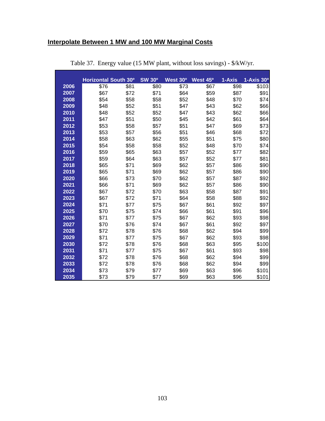### **Interpolate Between 1 MW and 100 MW Marginal Costs**

|      | <b>Horizontal South 30°</b> |      | <b>SW 30°</b> | West 30° | West 45 <sup>o</sup> | 1-Axis | 1-Axis 30 <sup>o</sup> |
|------|-----------------------------|------|---------------|----------|----------------------|--------|------------------------|
| 2006 | \$76                        | \$81 | \$80          | \$73     | \$67                 | \$98   | \$103                  |
| 2007 | \$67                        | \$72 | \$71          | \$64     | \$59                 | \$87   | \$91                   |
| 2008 | \$54                        | \$58 | \$58          | \$52     | \$48                 | \$70   | \$74                   |
| 2009 | \$48                        | \$52 | \$51          | \$47     | \$43                 | \$62   | \$66                   |
| 2010 | \$48                        | \$52 | \$52          | \$47     | \$43                 | \$62   | \$66                   |
| 2011 | \$47                        | \$51 | \$50          | \$45     | \$42                 | \$61   | \$64                   |
| 2012 | \$53                        | \$58 | \$57          | \$51     | \$47                 | \$69   | \$73                   |
| 2013 | \$53                        | \$57 | \$56          | \$51     | \$46                 | \$68   | \$72                   |
| 2014 | \$58                        | \$63 | \$62          | \$55     | \$51                 | \$75   | \$80                   |
| 2015 | \$54                        | \$58 | \$58          | \$52     | \$48                 | \$70   | \$74                   |
| 2016 | \$59                        | \$65 | \$63          | \$57     | \$52                 | \$77   | \$82                   |
| 2017 | \$59                        | \$64 | \$63          | \$57     | \$52                 | \$77   | \$81                   |
| 2018 | \$65                        | \$71 | \$69          | \$62     | \$57                 | \$86   | \$90                   |
| 2019 | \$65                        | \$71 | \$69          | \$62     | \$57                 | \$86   | \$90                   |
| 2020 | \$66                        | \$73 | \$70          | \$62     | \$57                 | \$87   | \$92                   |
| 2021 | \$66                        | \$71 | \$69          | \$62     | \$57                 | \$86   | \$90                   |
| 2022 | \$67                        | \$72 | \$70          | \$63     | \$58                 | \$87   | \$91                   |
| 2023 | \$67                        | \$72 | \$71          | \$64     | \$58                 | \$88   | \$92                   |
| 2024 | \$71                        | \$77 | \$75          | \$67     | \$61                 | \$92   | \$97                   |
| 2025 | \$70                        | \$75 | \$74          | \$66     | \$61                 | \$91   | \$96                   |
| 2026 | \$71                        | \$77 | \$75          | \$67     | \$62                 | \$93   | \$98                   |
| 2027 | \$70                        | \$76 | \$74          | \$67     | \$61                 | \$92   | \$97                   |
| 2028 | \$72                        | \$78 | \$76          | \$68     | \$62                 | \$94   | \$99                   |
| 2029 | \$71                        | \$77 | \$75          | \$67     | \$62                 | \$93   | \$98                   |
| 2030 | \$72                        | \$78 | \$76          | \$68     | \$63                 | \$95   | \$100                  |
| 2031 | \$71                        | \$77 | \$75          | \$67     | \$61                 | \$93   | \$98                   |
| 2032 | \$72                        | \$78 | \$76          | \$68     | \$62                 | \$94   | \$99                   |
| 2033 | \$72                        | \$78 | \$76          | \$68     | \$62                 | \$94   | \$99                   |
| 2034 | \$73                        | \$79 | \$77          | \$69     | \$63                 | \$96   | \$101                  |
| 2035 | \$73                        | \$79 | \$77          | \$69     | \$63                 | \$96   | \$101                  |

Table 37. Energy value (15 MW plant, without loss savings) - \$/kW/yr.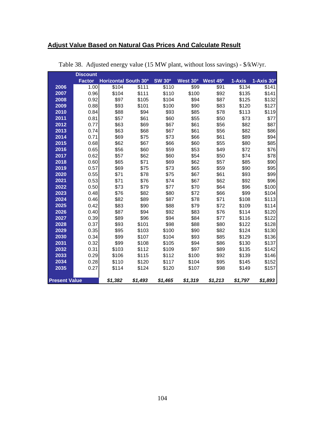# **Adjust Value Based on Natural Gas Prices And Calculate Result**

|                      | <b>Discount</b> |                      |         |               |          |                      |         |                        |
|----------------------|-----------------|----------------------|---------|---------------|----------|----------------------|---------|------------------------|
|                      | <b>Factor</b>   | Horizontal South 30° |         | <b>SW 30°</b> | West 30° | West 45 <sup>o</sup> | 1-Axis  | 1-Axis 30 <sup>o</sup> |
| 2006                 | 1.00            | \$104                | \$111   | \$110         | \$99     | \$91                 | \$134   | \$141                  |
| 2007                 | 0.96            | \$104                | \$111   | \$110         | \$100    | \$92                 | \$135   | \$141                  |
| 2008                 | 0.92            | \$97                 | \$105   | \$104         | \$94     | \$87                 | \$125   | \$132                  |
| 2009                 | 0.88            | \$93                 | \$101   | \$100         | \$90     | \$83                 | \$120   | \$127                  |
| 2010                 | 0.84            | \$88                 | \$94    | \$93          | \$85     | \$78                 | \$113   | \$119                  |
| 2011                 | 0.81            | \$57                 | \$61    | \$60          | \$55     | \$50                 | \$73    | \$77                   |
| 2012                 | 0.77            | \$63                 | \$69    | \$67          | \$61     | \$56                 | \$82    | \$87                   |
| 2013                 | 0.74            | \$63                 | \$68    | \$67          | \$61     | \$56                 | \$82    | \$86                   |
| 2014                 | 0.71            | \$69                 | \$75    | \$73          | \$66     | \$61                 | \$89    | \$94                   |
| 2015                 | 0.68            | \$62                 | \$67    | \$66          | \$60     | \$55                 | \$80    | \$85                   |
| 2016                 | 0.65            | \$56                 | \$60    | \$59          | \$53     | \$49                 | \$72    | \$76                   |
| 2017                 | 0.62            | \$57                 | \$62    | \$60          | \$54     | \$50                 | \$74    | \$78                   |
| 2018                 | 0.60            | \$65                 | \$71    | \$69          | \$62     | \$57                 | \$85    | \$90                   |
| 2019                 | 0.57            | \$69                 | \$75    | \$73          | \$65     | \$59                 | \$90    | \$95                   |
| 2020                 | 0.55            | \$71                 | \$78    | \$75          | \$67     | \$61                 | \$93    | \$99                   |
| 2021                 | 0.53            | \$71                 | \$76    | \$74          | \$67     | \$62                 | \$92    | \$96                   |
| 2022                 | 0.50            | \$73                 | \$79    | \$77          | \$70     | \$64                 | \$96    | \$100                  |
| 2023                 | 0.48            | \$76                 | \$82    | \$80          | \$72     | \$66                 | \$99    | \$104                  |
| 2024                 | 0.46            | \$82                 | \$89    | \$87          | \$78     | \$71                 | \$108   | \$113                  |
| 2025                 | 0.42            | \$83                 | \$90    | \$88          | \$79     | \$72                 | \$109   | \$114                  |
| 2026                 | 0.40            | \$87                 | \$94    | \$92          | \$83     | \$76                 | \$114   | \$120                  |
| 2027                 | 0.39            | \$89                 | \$96    | \$94          | \$84     | \$77                 | \$116   | \$122                  |
| 2028                 | 0.37            | \$93                 | \$101   | \$98          | \$88     | \$80                 | \$122   | \$128                  |
| 2029                 | 0.35            | \$95                 | \$103   | \$100         | \$90     | \$82                 | \$124   | \$130                  |
| 2030                 | 0.34            | \$99                 | \$107   | \$104         | \$93     | \$85                 | \$129   | \$136                  |
| 2031                 | 0.32            | \$99                 | \$108   | \$105         | \$94     | \$86                 | \$130   | \$137                  |
| 2032                 | 0.31            | \$103                | \$112   | \$109         | \$97     | \$89                 | \$135   | \$142                  |
| 2033                 | 0.29            | \$106                | \$115   | \$112         | \$100    | \$92                 | \$139   | \$146                  |
| 2034                 | 0.28            | \$110                | \$120   | \$117         | \$104    | \$95                 | \$145   | \$152                  |
| 2035                 | 0.27            | \$114                | \$124   | \$120         | \$107    | \$98                 | \$149   | \$157                  |
|                      |                 |                      |         |               |          |                      |         |                        |
| <b>Present Value</b> |                 | \$1,382              | \$1,493 | \$1,465       | \$1,319  | \$1,213              | \$1,797 | \$1,893                |

Table 38. Adjusted energy value (15 MW plant, without loss savings) - \$/kW/yr.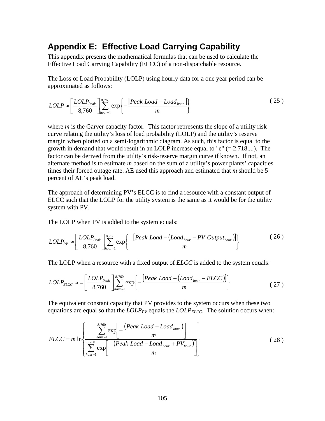## **Appendix E: Effective Load Carrying Capability**

This appendix presents the mathematical formulas that can be used to calculate the Effective Load Carrying Capability (ELCC) of a non-dispatchable resource.

The Loss of Load Probability (LOLP) using hourly data for a one year period can be approximated as follows:

$$
LOLP \approx \left[\frac{LOLP_{Peak}}{8,760}\right]_{hour=1}^{8,760} \exp\left\{-\frac{\left[Peak\;Load - Load_{hour}\right]}{m}\right\} \tag{25}
$$

where *m* is the Garver capacity factor. This factor represents the slope of a utility risk curve relating the utility's loss of load probability (LOLP) and the utility's reserve margin when plotted on a semi-logarithmic diagram. As such, this factor is equal to the growth in demand that would result in an LOLP increase equal to " $e$ " (= 2.718....). The factor can be derived from the utility's risk-reserve margin curve if known. If not, an alternate method is to estimate *m* based on the sum of a utility's power plants' capacities times their forced outage rate. AE used this approach and estimated that *m* should be 5 percent of AE's peak load.

The approach of determining PV's ELCC is to find a resource with a constant output of ELCC such that the LOLP for the utility system is the same as it would be for the utility system with PV.

The LOLP when PV is added to the system equals:

$$
LOLP_{PV} \approx \left[ \frac{LOLP_{Peak}}{8,760} \right]_{hour=1}^{8,760} \exp \left\{ -\frac{\left[ Peak\; Load - \left( Load_{hour} - PV\;Output_{hour}\right) \right]}{m} \right\} \tag{26}
$$

The LOLP when a resource with a fixed output of *ELCC* is added to the system equals:

$$
LOLP_{ELCC} \approx = \left[\frac{LOLP_{Peak}}{8,760}\right]_{hour=1}^{8,760} \exp\left\{-\frac{\left[Peak\;Load - \left(Load_{hour} - ELCC\right)\right]}{m}\right\} \tag{27}
$$

The equivalent constant capacity that PV provides to the system occurs when these two equations are equal so that the  $LOLP_{PV}$  equals the  $LOLP_{ELCC}$ . The solution occurs when:

$$
ELCC = m \ln \left\{ \frac{\sum_{hour=1}^{8,760} \exp\left[-\frac{\left(Peak\text{ }Load - Load_{hour}\right)}{m}\right]}{\sum_{hour=1}^{8,760} \exp\left[-\frac{\left(Peak\text{ }Load - Load_{hour} + PV_{hour}\right)}{m}\right]}\right\}
$$
(28)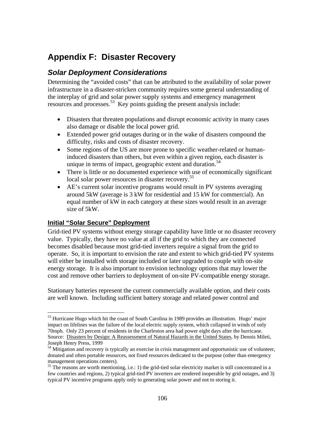# **Appendix F: Disaster Recovery**

## *Solar Deployment Considerations*

Determining the "avoided costs" that can be attributed to the availability of solar power infrastructure in a disaster-stricken community requires some general understanding of the interplay of grid and solar power supply systems and emergency management resources and processes.<sup>53</sup> Key points guiding the present analysis include:

- Disasters that threaten populations and disrupt economic activity in many cases also damage or disable the local power grid.
- Extended power grid outages during or in the wake of disasters compound the difficulty, risks and costs of disaster recovery.
- Some regions of the US are more prone to specific weather-related or humaninduced disasters than others, but even within a given region, each disaster is unique in terms of impact, geographic extent and duration.<sup>54</sup>
- There is little or no documented experience with use of economically significant local solar power resources in disaster recovery.<sup>55</sup>
- AE's current solar incentive programs would result in PV systems averaging around 5kW (average is 3 kW for residential and 15 kW for commercial). An equal number of kW in each category at these sizes would result in an average size of 5kW.

#### **Initial "Solar Secure" Deployment**

1

Grid-tied PV systems without energy storage capability have little or no disaster recovery value. Typically, they have no value at all if the grid to which they are connected becomes disabled because most grid-tied inverters require a signal from the grid to operate. So, it is important to envision the rate and extent to which grid-tied PV systems will either be installed with storage included or later upgraded to couple with on-site energy storage. It is also important to envision technology options that may lower the cost and remove other barriers to deployment of on-site PV-compatible energy storage.

Stationary batteries represent the current commercially available option, and their costs are well known. Including sufficient battery storage and related power control and

<sup>&</sup>lt;sup>53</sup> Hurricane Hugo which hit the coast of South Carolina in 1989 provides an illustration. Hugo' major impact on lifelines was the failure of the local electric supply system, which collapsed in winds of only 70mph. Only 23 percent of residents in the Charleston area had power eight days after the hurricane. Source: Disasters by Design: A Reassessment of Natural Hazards in the United States, by Dennis Mileti, Joseph Henry Press, 1999

<sup>&</sup>lt;sup>54</sup> Mitigation and recovery is typically an exercise in crisis management and opportunistic use of volunteer, donated and often portable resources, not fixed resources dedicated to the purpose (other than emergency management operations centers).

<sup>&</sup>lt;sup>55</sup> The reasons are worth mentioning, i.e.: 1) the grid-tied solar electricity market is still concentrated in a few countries and regions, 2) typical grid-tied PV inverters are rendered inoperable by grid outages, and 3) typical PV incentive programs apply only to generating solar power and not to storing it.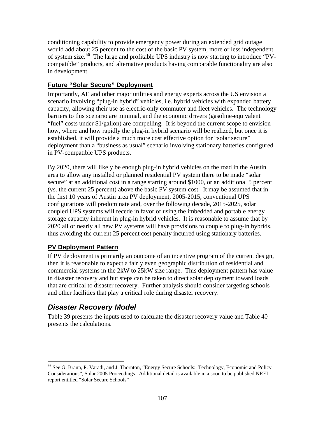conditioning capability to provide emergency power during an extended grid outage would add about 25 percent to the cost of the basic PV system, more or less independent of system size.56 The large and profitable UPS industry is now starting to introduce "PVcompatible" products, and alternative products having comparable functionality are also in development.

### **Future "Solar Secure" Deployment**

Importantly, AE and other major utilities and energy experts across the US envision a scenario involving "plug-in hybrid" vehicles, i.e. hybrid vehicles with expanded battery capacity, allowing their use as electric-only commuter and fleet vehicles. The technology barriers to this scenario are minimal, and the economic drivers (gasoline-equivalent "fuel" costs under \$1/gallon) are compelling. It is beyond the current scope to envision how, where and how rapidly the plug-in hybrid scenario will be realized, but once it is established, it will provide a much more cost effective option for "solar secure" deployment than a "business as usual" scenario involving stationary batteries configured in PV-compatible UPS products.

By 2020, there will likely be enough plug-in hybrid vehicles on the road in the Austin area to allow any installed or planned residential PV system there to be made "solar secure" at an additional cost in a range starting around \$1000, or an additional 5 percent (vs. the current 25 percent) above the basic PV system cost. It may be assumed that in the first 10 years of Austin area PV deployment, 2005-2015, conventional UPS configurations will predominate and, over the following decade, 2015-2025, solar coupled UPS systems will recede in favor of using the imbedded and portable energy storage capacity inherent in plug-in hybrid vehicles. It is reasonable to assume that by 2020 all or nearly all new PV systems will have provisions to couple to plug-in hybrids, thus avoiding the current 25 percent cost penalty incurred using stationary batteries.

### **PV Deployment Pattern**

If PV deployment is primarily an outcome of an incentive program of the current design, then it is reasonable to expect a fairly even geographic distribution of residential and commercial systems in the 2kW to 25kW size range. This deployment pattern has value in disaster recovery and but steps can be taken to direct solar deployment toward loads that are critical to disaster recovery. Further analysis should consider targeting schools and other facilities that play a critical role during disaster recovery.

## *Disaster Recovery Model*

1

Table 39 presents the inputs used to calculate the disaster recovery value and Table 40 presents the calculations.

<sup>56</sup> See G. Braun, P. Varadi, and J. Thornton, "Energy Secure Schools: Technology, Economic and Policy Considerations", Solar 2005 Proceedings. Additional detail is available in a soon to be published NREL report entitled "Solar Secure Schools"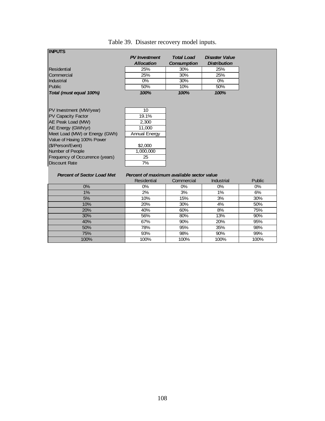| <b>IINPUTS</b>                    |                                           |                    |                       |        |
|-----------------------------------|-------------------------------------------|--------------------|-----------------------|--------|
|                                   | <b>PV</b> Investment                      | <b>Total Load</b>  | <b>Disaster Value</b> |        |
|                                   | <b>Allocation</b>                         | <b>Consumption</b> | <b>Distribution</b>   |        |
| Residential                       | 25%                                       | 30%                | 25%                   |        |
| Commercial                        | 25%                                       | 30%                | 25%                   |        |
| Industrial                        | 0%                                        | 30%                | 0%                    |        |
| Public                            | 50%                                       | 10%                | 50%                   |        |
| Total (must equal 100%)           | 100%                                      | 100%               | 100%                  |        |
|                                   |                                           |                    |                       |        |
|                                   |                                           |                    |                       |        |
| PV Investment (MW/year)           | 10                                        |                    |                       |        |
| <b>PV Capacity Factor</b>         | 19.1%                                     |                    |                       |        |
| AE Peak Load (MW)                 | 2,300                                     |                    |                       |        |
| AE Energy (GWh/yr)                | 11,000                                    |                    |                       |        |
| Meet Load (MW) or Energy (GWh)    | <b>Annual Energy</b>                      |                    |                       |        |
| Value of Having 100% Power        |                                           |                    |                       |        |
| (\$/Person/Event)                 | \$2,000                                   |                    |                       |        |
| Number of People                  | 1,000,000                                 |                    |                       |        |
| Frequency of Occurrence (years)   | 25                                        |                    |                       |        |
| <b>Discount Rate</b>              | 7%                                        |                    |                       |        |
|                                   |                                           |                    |                       |        |
| <b>Percent of Sector Load Met</b> | Percent of maximum available sector value |                    |                       |        |
|                                   | <b>Residential</b>                        | Commercial         | <b>Industrial</b>     | Public |
| 0%                                | 0%                                        | 0%                 | 0%                    | 0%     |
| 1%                                | 2%                                        | 3%                 | 1%                    | 6%     |
| 5%                                | 10%                                       | 15%                | 3%                    | 30%    |
| 10%                               | 20%                                       | 30%                | 4%                    | 50%    |
| 20%                               | 40%                                       | 60%                | 8%                    | 75%    |
| 30%                               | 56%                                       | 80%                | 13%                   | 90%    |
| 40%                               | 67%                                       | 90%                | 20%                   | 95%    |
| 50%                               | 78%                                       | 95%                | 35%                   | 98%    |
|                                   |                                           |                    |                       |        |
| 75%                               | 93%                                       | 98%                | 90%                   | 99%    |

## Table 39. Disaster recovery model inputs.

**INPUTS**